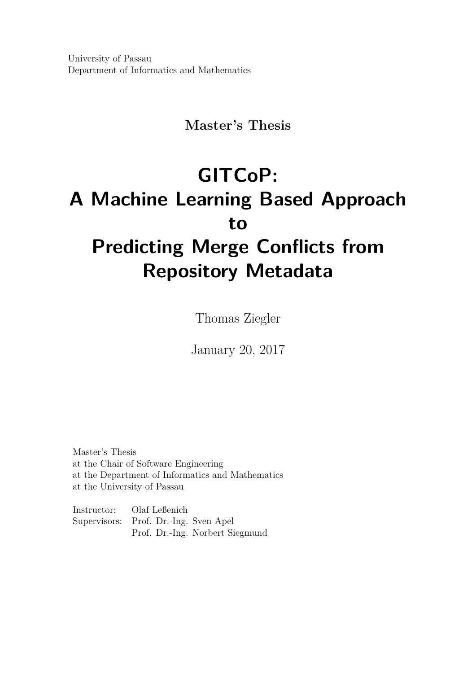University of Passau Department of Informatics and Mathematics

# **Master's Thesis**

# **GITCoP: A Machine Learning Based Approach to Predicting Merge Conflicts from Repository Metadata**

Thomas Ziegler

January 20, 2017

Master's Thesis at the Chair of Software Engineering at the Department of Informatics and Mathematics at the University of Passau

Instructor: Olaf Leßenich Supervisors: Prof. Dr.-Ing. Sven Apel Prof. Dr.-Ing. Norbert Siegmund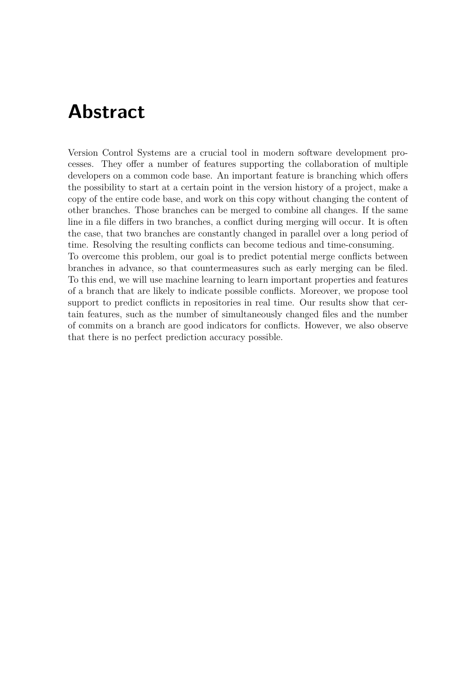# **Abstract**

Version Control Systems are a crucial tool in modern software development processes. They offer a number of features supporting the collaboration of multiple developers on a common code base. An important feature is branching which offers the possibility to start at a certain point in the version history of a project, make a copy of the entire code base, and work on this copy without changing the content of other branches. Those branches can be merged to combine all changes. If the same line in a file differs in two branches, a conflict during merging will occur. It is often the case, that two branches are constantly changed in parallel over a long period of time. Resolving the resulting conflicts can become tedious and time-consuming. To overcome this problem, our goal is to predict potential merge conflicts between branches in advance, so that countermeasures such as early merging can be filed. To this end, we will use machine learning to learn important properties and features of a branch that are likely to indicate possible conflicts. Moreover, we propose tool

support to predict conflicts in repositories in real time. Our results show that certain features, such as the number of simultaneously changed files and the number of commits on a branch are good indicators for conflicts. However, we also observe that there is no perfect prediction accuracy possible.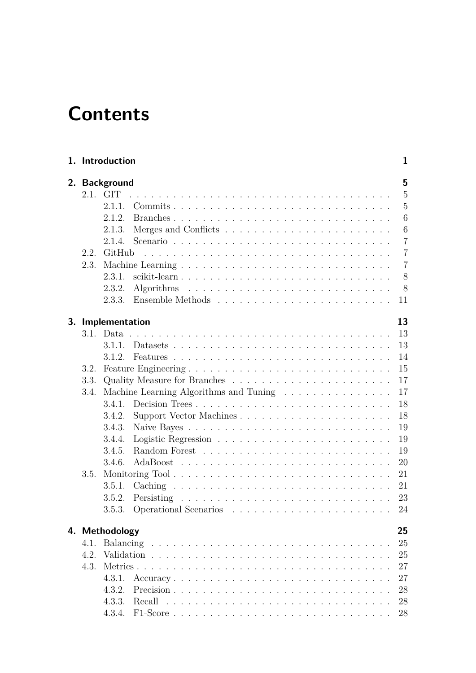# **Contents**

| 2.1.         | 2. Background<br><b>GIT</b>            |          |
|--------------|----------------------------------------|----------|
|              | 2.1.1.                                 |          |
|              | 2.1.2.                                 |          |
|              | 2.1.3.                                 |          |
|              | 2.1.4.                                 |          |
| 2.2.         | GitHub                                 |          |
| 2.3.         |                                        |          |
|              | 2.3.1.<br>scikit-learn                 |          |
|              | 2.3.2.                                 |          |
|              | 2.3.3.                                 | 11       |
|              |                                        |          |
|              | 3. Implementation                      | 13       |
|              |                                        | 13       |
|              | 3.1.1.                                 | 13       |
|              | 3.1.2.                                 | 14<br>15 |
| 3.2.<br>3.3. |                                        | 17       |
| 3.4.         | Machine Learning Algorithms and Tuning | 17       |
|              | Decision Trees<br>3.4.1.               | 18       |
|              | Support Vector Machines<br>3.4.2.      | 18       |
|              | 3.4.3.                                 | 19       |
|              | 3.4.4.                                 | 19       |
|              | 3.4.5.                                 | 19       |
|              | 3.4.6.                                 | 20       |
| 3.5.         | Monitoring Tool                        | 21       |
|              | 3.5.1.                                 | 21       |
|              | 3.5.2.                                 | 23       |
|              |                                        | 24       |
|              | 4. Methodology                         | 25       |
| 4.1.         |                                        | 25       |
| 4.2.         |                                        | 25       |
| 4.3.         |                                        | 27       |
|              | 4.3.1.<br>Accuracy                     | 27       |
|              | 4.3.2.                                 | 28       |
|              | 4.3.3.                                 | 28       |
|              |                                        | 28       |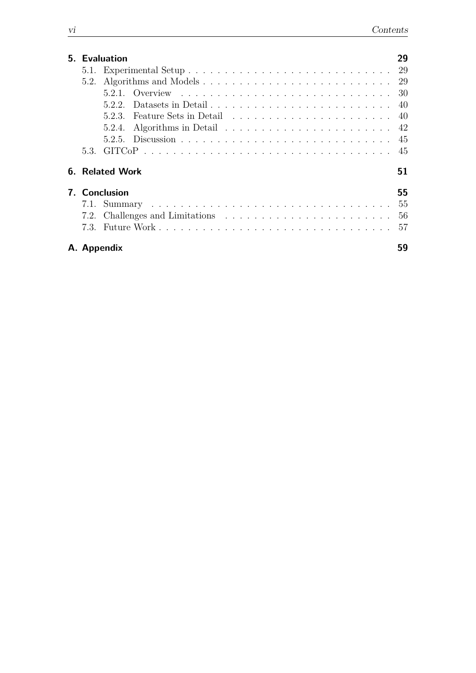|                     | 5. Evaluation          | 29 |  |  |  |
|---------------------|------------------------|----|--|--|--|
|                     |                        |    |  |  |  |
| 5.2.                |                        |    |  |  |  |
|                     |                        |    |  |  |  |
|                     | 522                    |    |  |  |  |
|                     | 523                    |    |  |  |  |
|                     | 5.2.4.                 |    |  |  |  |
|                     |                        |    |  |  |  |
|                     |                        |    |  |  |  |
|                     | <b>6. Related Work</b> | 51 |  |  |  |
| 7. Conclusion<br>55 |                        |    |  |  |  |
|                     |                        | 55 |  |  |  |
|                     |                        | 56 |  |  |  |
|                     |                        | 57 |  |  |  |
|                     | A. Appendix            | 59 |  |  |  |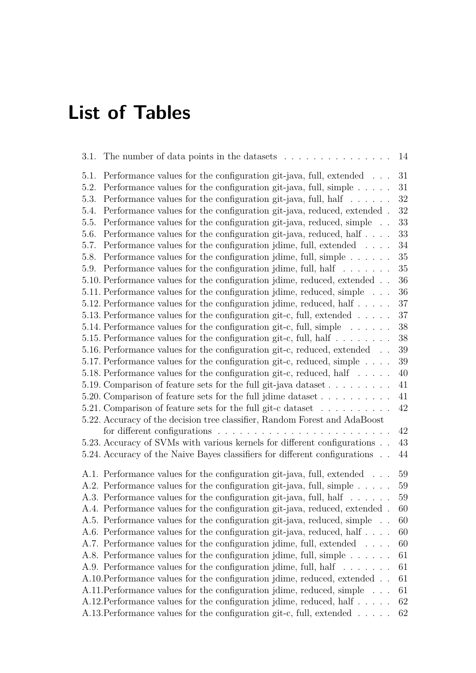# **List of Tables**

| The number of data points in the datasets<br>3.1.                                      | 14     |
|----------------------------------------------------------------------------------------|--------|
| Performance values for the configuration git-java, full, extended<br>5.1.              | 31     |
| Performance values for the configuration git-java, full, simple $\dots$ .<br>5.2.      | 31     |
| Performance values for the configuration git-java, full, half $\dots \dots$<br>5.3.    | 32     |
| Performance values for the configuration git-java, reduced, extended.<br>5.4.          | 32     |
| Performance values for the configuration git-java, reduced, simple<br>5.5.             | 33     |
| Performance values for the configuration git-java, reduced, half<br>5.6.               | 33     |
| Performance values for the configuration jdime, full, extended<br>5.7.                 | 34     |
| Performance values for the configuration jdime, full, simple<br>5.8.                   | 35     |
| Performance values for the configuration jdime, full, half $\dots \dots$<br>5.9.       | $35\,$ |
| 5.10. Performance values for the configuration jdime, reduced, extended                | $36\,$ |
| 5.11. Performance values for the configuration jdime, reduced, simple                  | 36     |
| 5.12. Performance values for the configuration jdime, reduced, half $\dots$ .          | 37     |
| 5.13. Performance values for the configuration git-c, full, extended $\ldots$ .        | 37     |
| 5.14. Performance values for the configuration git-c, full, simple $\dots \dots$       | $38\,$ |
| 5.15. Performance values for the configuration git-c, full, half                       | 38     |
| 5.16. Performance values for the configuration git-c, reduced, extended                | 39     |
| 5.17. Performance values for the configuration git-c, reduced, simple                  | 39     |
| 5.18. Performance values for the configuration git-c, reduced, half                    | $40\,$ |
| 5.19. Comparison of feature sets for the full git-java dataset                         | 41     |
| 5.20. Comparison of feature sets for the full jdime dataset                            | 41     |
| 5.21. Comparison of feature sets for the full git-c dataset                            | 42     |
| 5.22. Accuracy of the decision tree classifier, Random Forest and AdaBoost             |        |
| for different configurations $\ldots \ldots \ldots \ldots \ldots \ldots \ldots \ldots$ | 42     |
| 5.23. Accuracy of SVMs with various kernels for different configurations               | 43     |
| 5.24. Accuracy of the Naive Bayes classifiers for different configurations             | 44     |
| A.1. Performance values for the configuration git-java, full, extended                 | 59     |
| A.2. Performance values for the configuration git-java, full, simple                   | 59     |
| A.3. Performance values for the configuration git-java, full, half                     | 59     |
| A.4. Performance values for the configuration git-java, reduced, extended.             | 60     |
| A.5. Performance values for the configuration git-java, reduced, simple                | 60     |
| A.6. Performance values for the configuration git-java, reduced, half                  | 60     |
| A.7. Performance values for the configuration jdime, full, extended                    | 60     |
| A.8. Performance values for the configuration jdime, full, simple                      | 61     |
| A.9. Performance values for the configuration jdime, full, half                        | 61     |
| A.10. Performance values for the configuration jdime, reduced, extended                | 61     |
| A.11. Performance values for the configuration jdime, reduced, simple                  | 61     |
| A.12. Performance values for the configuration jdime, reduced, half                    | 62     |
| A.13. Performance values for the configuration git-c, full, extended                   | 62     |
|                                                                                        |        |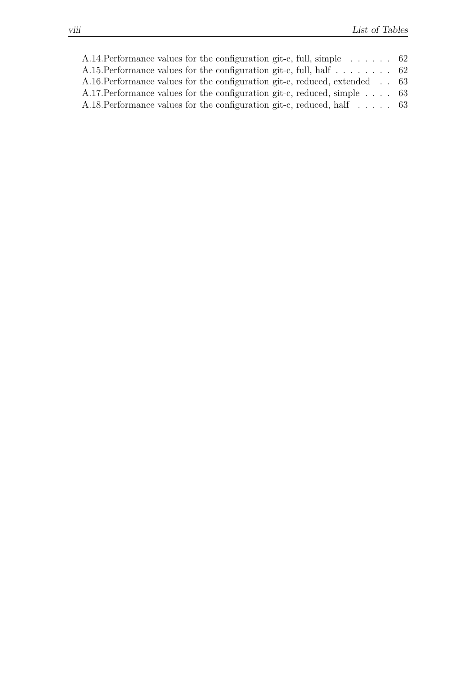|  | A.14. Performance values for the configuration git-c, full, simple $\ldots$ 62<br>A.15. Performance values for the configuration git-c, full, half $\ldots \ldots$ .<br>A.16. Performance values for the configuration git-c, reduced, extended 63<br>A.17. Performance values for the configuration git-c, reduced, simple $\ldots$ 63<br>A.18. Performance values for the configuration git-c, reduced, half $\ldots$ . 63 |
|--|------------------------------------------------------------------------------------------------------------------------------------------------------------------------------------------------------------------------------------------------------------------------------------------------------------------------------------------------------------------------------------------------------------------------------|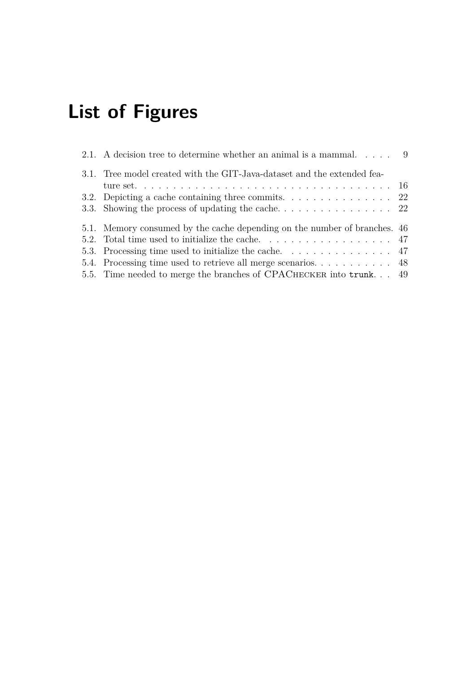# **List of Figures**

| 2.1. A decision tree to determine whether an animal is a mammal. $\dots$ 9                |  |
|-------------------------------------------------------------------------------------------|--|
| 3.1. Tree model created with the GIT-Java-dataset and the extended fea-                   |  |
|                                                                                           |  |
| 3.2. Depicting a cache containing three commits. $\dots \dots \dots \dots \dots \dots$ 22 |  |
|                                                                                           |  |
| 5.1. Memory consumed by the cache depending on the number of branches. 46                 |  |
|                                                                                           |  |
|                                                                                           |  |
|                                                                                           |  |
| 5.5. Time needed to merge the branches of CPACHECKER into trunk 49                        |  |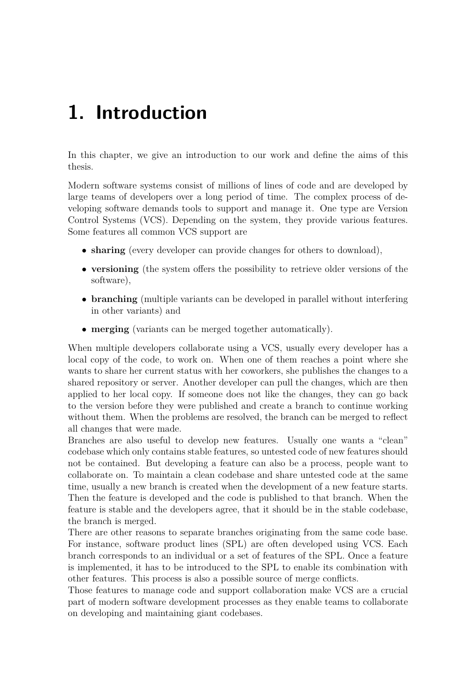# <span id="page-10-0"></span>**1. Introduction**

In this chapter, we give an introduction to our work and define the aims of this thesis.

Modern software systems consist of millions of lines of code and are developed by large teams of developers over a long period of time. The complex process of developing software demands tools to support and manage it. One type are Version Control Systems (VCS). Depending on the system, they provide various features. Some features all common VCS support are

- **sharing** (every developer can provide changes for others to download),
- **versioning** (the system offers the possibility to retrieve older versions of the software),
- **branching** (multiple variants can be developed in parallel without interfering in other variants) and
- **merging** (variants can be merged together automatically).

When multiple developers collaborate using a VCS, usually every developer has a local copy of the code, to work on. When one of them reaches a point where she wants to share her current status with her coworkers, she publishes the changes to a shared repository or server. Another developer can pull the changes, which are then applied to her local copy. If someone does not like the changes, they can go back to the version before they were published and create a branch to continue working without them. When the problems are resolved, the branch can be merged to reflect all changes that were made.

Branches are also useful to develop new features. Usually one wants a "clean" codebase which only contains stable features, so untested code of new features should not be contained. But developing a feature can also be a process, people want to collaborate on. To maintain a clean codebase and share untested code at the same time, usually a new branch is created when the development of a new feature starts. Then the feature is developed and the code is published to that branch. When the feature is stable and the developers agree, that it should be in the stable codebase, the branch is merged.

There are other reasons to separate branches originating from the same code base. For instance, software product lines (SPL) are often developed using VCS. Each branch corresponds to an individual or a set of features of the SPL. Once a feature is implemented, it has to be introduced to the SPL to enable its combination with other features. This process is also a possible source of merge conflicts.

Those features to manage code and support collaboration make VCS are a crucial part of modern software development processes as they enable teams to collaborate on developing and maintaining giant codebases.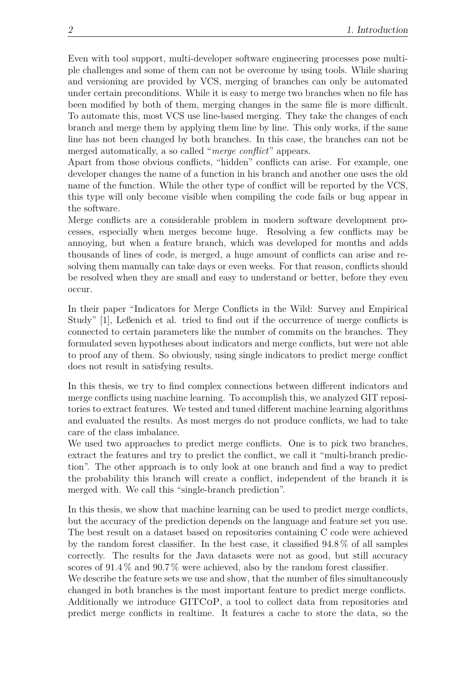Even with tool support, multi-developer software engineering processes pose multiple challenges and some of them can not be overcome by using tools. While sharing and versioning are provided by VCS, merging of branches can only be automated under certain preconditions. While it is easy to merge two branches when no file has been modified by both of them, merging changes in the same file is more difficult. To automate this, most VCS use line-based merging. They take the changes of each branch and merge them by applying them line by line. This only works, if the same line has not been changed by both branches. In this case, the branches can not be merged automatically, a so called "*merge conflict*" appears.

Apart from those obvious conflicts, "hidden" conflicts can arise. For example, one developer changes the name of a function in his branch and another one uses the old name of the function. While the other type of conflict will be reported by the VCS, this type will only become visible when compiling the code fails or bug appear in the software.

Merge conflicts are a considerable problem in modern software development processes, especially when merges become huge. Resolving a few conflicts may be annoying, but when a feature branch, which was developed for months and adds thousands of lines of code, is merged, a huge amount of conflicts can arise and resolving them manually can take days or even weeks. For that reason, conflicts should be resolved when they are small and easy to understand or better, before they even occur.

In their paper "Indicators for Merge Conflicts in the Wild: Survey and Empirical Study" [\[1\]](#page-74-0), Leßenich et al. tried to find out if the occurrence of merge conflicts is connected to certain parameters like the number of commits on the branches. They formulated seven hypotheses about indicators and merge conflicts, but were not able to proof any of them. So obviously, using single indicators to predict merge conflict does not result in satisfying results.

In this thesis, we try to find complex connections between different indicators and merge conflicts using machine learning. To accomplish this, we analyzed GIT repositories to extract features. We tested and tuned different machine learning algorithms and evaluated the results. As most merges do not produce conflicts, we had to take care of the class imbalance.

We used two approaches to predict merge conflicts. One is to pick two branches, extract the features and try to predict the conflict, we call it "multi-branch prediction". The other approach is to only look at one branch and find a way to predict the probability this branch will create a conflict, independent of the branch it is merged with. We call this "single-branch prediction".

In this thesis, we show that machine learning can be used to predict merge conflicts, but the accuracy of the prediction depends on the language and feature set you use. The best result on a dataset based on repositories containing C code were achieved by the random forest classifier. In the best case, it classified 94*.*8 % of all samples correctly. The results for the Java datasets were not as good, but still accuracy scores of 91*.*4 % and 90*.*7 % were achieved, also by the random forest classifier. We describe the feature sets we use and show, that the number of files simultaneously changed in both branches is the most important feature to predict merge conflicts. Additionally we introduce GITCoP, a tool to collect data from repositories and predict merge conflicts in realtime. It features a cache to store the data, so the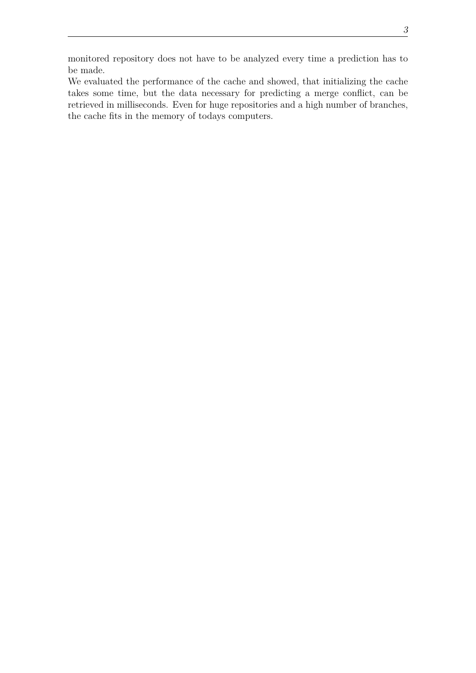3

monitored repository does not have to be analyzed every time a prediction has to be made.

We evaluated the performance of the cache and showed, that initializing the cache takes some time, but the data necessary for predicting a merge conflict, can be retrieved in milliseconds. Even for huge repositories and a high number of branches, the cache fits in the memory of todays computers.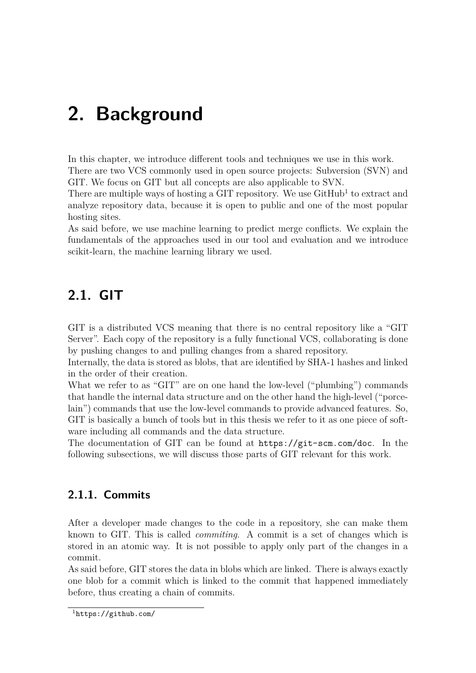# <span id="page-14-0"></span>**2. Background**

In this chapter, we introduce different tools and techniques we use in this work. There are two VCS commonly used in open source projects: Subversion (SVN) and GIT. We focus on GIT but all concepts are also applicable to SVN.

There are multiple ways of hosting a GIT repository. We use  $\text{GitHub}^1$  $\text{GitHub}^1$  to extract and analyze repository data, because it is open to public and one of the most popular hosting sites.

As said before, we use machine learning to predict merge conflicts. We explain the fundamentals of the approaches used in our tool and evaluation and we introduce scikit-learn, the machine learning library we used.

# <span id="page-14-1"></span>**2.1. GIT**

GIT is a distributed VCS meaning that there is no central repository like a "GIT Server". Each copy of the repository is a fully functional VCS, collaborating is done by pushing changes to and pulling changes from a shared repository.

Internally, the data is stored as blobs, that are identified by SHA-1 hashes and linked in the order of their creation.

What we refer to as "GIT" are on one hand the low-level ("plumbing") commands that handle the internal data structure and on the other hand the high-level ("porcelain") commands that use the low-level commands to provide advanced features. So, GIT is basically a bunch of tools but in this thesis we refer to it as one piece of software including all commands and the data structure.

The documentation of GIT can be found at <https://git-scm.com/doc>. In the following subsections, we will discuss those parts of GIT relevant for this work.

## <span id="page-14-2"></span>**2.1.1. Commits**

After a developer made changes to the code in a repository, she can make them known to GIT. This is called *commiting*. A commit is a set of changes which is stored in an atomic way. It is not possible to apply only part of the changes in a commit.

As said before, GIT stores the data in blobs which are linked. There is always exactly one blob for a commit which is linked to the commit that happened immediately before, thus creating a chain of commits.

<span id="page-14-3"></span><sup>1</sup><https://github.com/>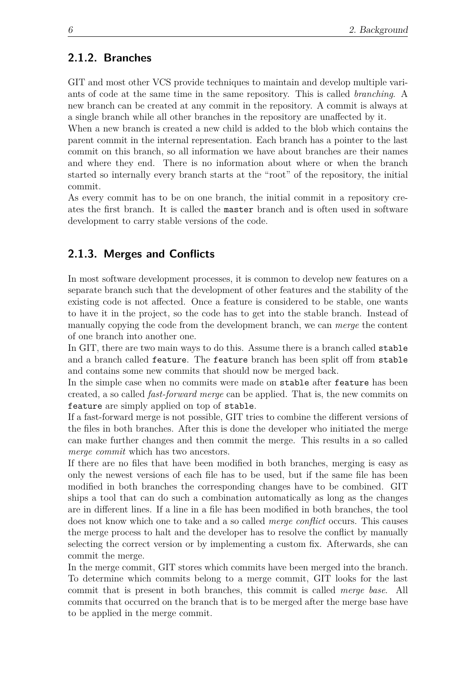### <span id="page-15-0"></span>**2.1.2. Branches**

GIT and most other VCS provide techniques to maintain and develop multiple variants of code at the same time in the same repository. This is called *branching*. A new branch can be created at any commit in the repository. A commit is always at a single branch while all other branches in the repository are unaffected by it.

When a new branch is created a new child is added to the blob which contains the parent commit in the internal representation. Each branch has a pointer to the last commit on this branch, so all information we have about branches are their names and where they end. There is no information about where or when the branch started so internally every branch starts at the "root" of the repository, the initial commit.

As every commit has to be on one branch, the initial commit in a repository creates the first branch. It is called the master branch and is often used in software development to carry stable versions of the code.

### <span id="page-15-1"></span>**2.1.3. Merges and Conflicts**

In most software development processes, it is common to develop new features on a separate branch such that the development of other features and the stability of the existing code is not affected. Once a feature is considered to be stable, one wants to have it in the project, so the code has to get into the stable branch. Instead of manually copying the code from the development branch, we can *merge* the content of one branch into another one.

In GIT, there are two main ways to do this. Assume there is a branch called stable and a branch called feature. The feature branch has been split off from stable and contains some new commits that should now be merged back.

In the simple case when no commits were made on stable after feature has been created, a so called *fast-forward merge* can be applied. That is, the new commits on feature are simply applied on top of stable.

If a fast-forward merge is not possible, GIT tries to combine the different versions of the files in both branches. After this is done the developer who initiated the merge can make further changes and then commit the merge. This results in a so called *merge commit* which has two ancestors.

If there are no files that have been modified in both branches, merging is easy as only the newest versions of each file has to be used, but if the same file has been modified in both branches the corresponding changes have to be combined. GIT ships a tool that can do such a combination automatically as long as the changes are in different lines. If a line in a file has been modified in both branches, the tool does not know which one to take and a so called *merge conflict* occurs. This causes the merge process to halt and the developer has to resolve the conflict by manually selecting the correct version or by implementing a custom fix. Afterwards, she can commit the merge.

In the merge commit, GIT stores which commits have been merged into the branch. To determine which commits belong to a merge commit, GIT looks for the last commit that is present in both branches, this commit is called *merge base*. All commits that occurred on the branch that is to be merged after the merge base have to be applied in the merge commit.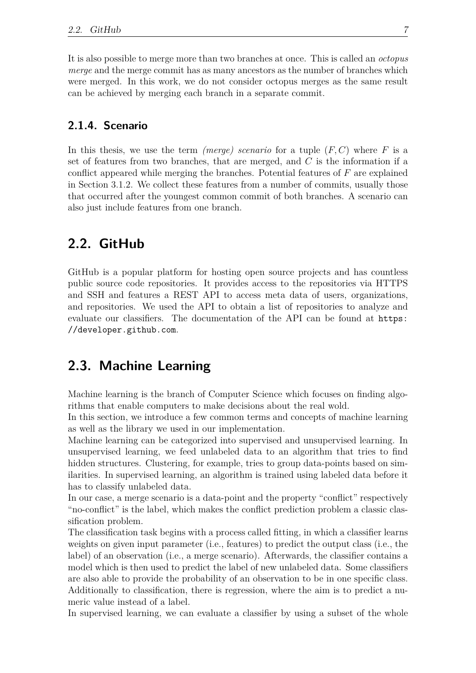It is also possible to merge more than two branches at once. This is called an *octopus merge* and the merge commit has as many ancestors as the number of branches which were merged. In this work, we do not consider octopus merges as the same result can be achieved by merging each branch in a separate commit.

### <span id="page-16-0"></span>**2.1.4. Scenario**

In this thesis, we use the term *(merge) scenario* for a tuple (*F, C*) where *F* is a set of features from two branches, that are merged, and *C* is the information if a conflict appeared while merging the branches. Potential features of *F* are explained in Section [3.1.2.](#page-23-0) We collect these features from a number of commits, usually those that occurred after the youngest common commit of both branches. A scenario can also just include features from one branch.

# <span id="page-16-1"></span>**2.2. GitHub**

GitHub is a popular platform for hosting open source projects and has countless public source code repositories. It provides access to the repositories via HTTPS and SSH and features a REST API to access meta data of users, organizations, and repositories. We used the API to obtain a list of repositories to analyze and evaluate our classifiers. The documentation of the API can be found at [https:](https://developer.github.com) [//developer.github.com](https://developer.github.com).

# <span id="page-16-2"></span>**2.3. Machine Learning**

Machine learning is the branch of Computer Science which focuses on finding algorithms that enable computers to make decisions about the real wold.

In this section, we introduce a few common terms and concepts of machine learning as well as the library we used in our implementation.

Machine learning can be categorized into supervised and unsupervised learning. In unsupervised learning, we feed unlabeled data to an algorithm that tries to find hidden structures. Clustering, for example, tries to group data-points based on similarities. In supervised learning, an algorithm is trained using labeled data before it has to classify unlabeled data.

In our case, a merge scenario is a data-point and the property "conflict" respectively "no-conflict" is the label, which makes the conflict prediction problem a classic classification problem.

The classification task begins with a process called fitting, in which a classifier learns weights on given input parameter (i.e., features) to predict the output class (i.e., the label) of an observation (i.e., a merge scenario). Afterwards, the classifier contains a model which is then used to predict the label of new unlabeled data. Some classifiers are also able to provide the probability of an observation to be in one specific class. Additionally to classification, there is regression, where the aim is to predict a numeric value instead of a label.

In supervised learning, we can evaluate a classifier by using a subset of the whole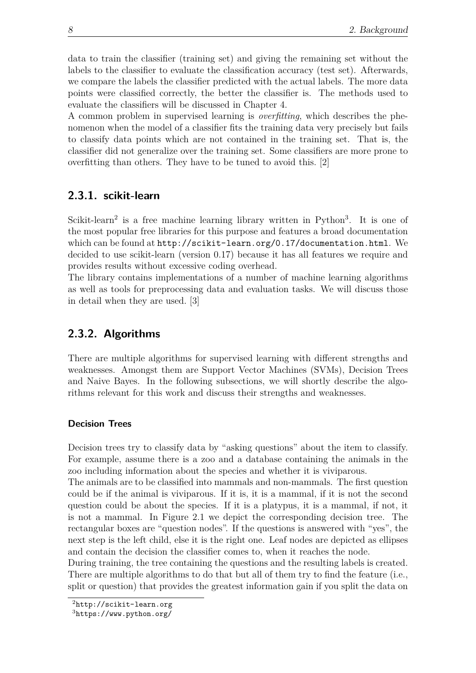data to train the classifier (training set) and giving the remaining set without the labels to the classifier to evaluate the classification accuracy (test set). Afterwards, we compare the labels the classifier predicted with the actual labels. The more data points were classified correctly, the better the classifier is. The methods used to evaluate the classifiers will be discussed in Chapter [4.](#page-34-0)

A common problem in supervised learning is *overfitting*, which describes the phenomenon when the model of a classifier fits the training data very precisely but fails to classify data points which are not contained in the training set. That is, the classifier did not generalize over the training set. Some classifiers are more prone to overfitting than others. They have to be tuned to avoid this. [\[2\]](#page-74-1)

#### <span id="page-17-0"></span>**2.3.1. scikit-learn**

Scikit-learn<sup>[2](#page-17-2)</sup> is a free machine learning library written in Python<sup>[3](#page-17-3)</sup>. It is one of the most popular free libraries for this purpose and features a broad documentation which can be found at <http://scikit-learn.org/0.17/documentation.html>. We decided to use scikit-learn (version 0.17) because it has all features we require and provides results without excessive coding overhead.

The library contains implementations of a number of machine learning algorithms as well as tools for preprocessing data and evaluation tasks. We will discuss those in detail when they are used. [\[3\]](#page-74-2)

### <span id="page-17-1"></span>**2.3.2. Algorithms**

There are multiple algorithms for supervised learning with different strengths and weaknesses. Amongst them are Support Vector Machines (SVMs), Decision Trees and Naive Bayes. In the following subsections, we will shortly describe the algorithms relevant for this work and discuss their strengths and weaknesses.

#### <span id="page-17-4"></span>**Decision Trees**

Decision trees try to classify data by "asking questions" about the item to classify. For example, assume there is a zoo and a database containing the animals in the zoo including information about the species and whether it is viviparous.

The animals are to be classified into mammals and non-mammals. The first question could be if the animal is viviparous. If it is, it is a mammal, if it is not the second question could be about the species. If it is a platypus, it is a mammal, if not, it is not a mammal. In Figure [2.1](#page-18-0) we depict the corresponding decision tree. The rectangular boxes are "question nodes". If the questions is answered with "yes", the next step is the left child, else it is the right one. Leaf nodes are depicted as ellipses and contain the decision the classifier comes to, when it reaches the node.

During training, the tree containing the questions and the resulting labels is created. There are multiple algorithms to do that but all of them try to find the feature (i.e., split or question) that provides the greatest information gain if you split the data on

<span id="page-17-2"></span><sup>2</sup><http://scikit-learn.org>

<span id="page-17-3"></span> $3$ <https://www.python.org/>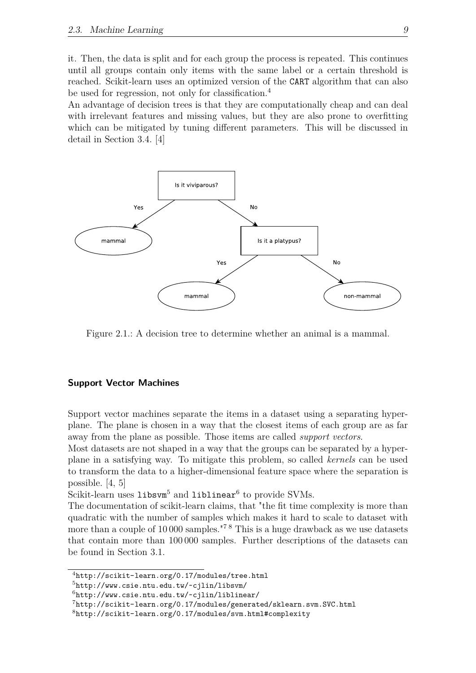it. Then, the data is split and for each group the process is repeated. This continues until all groups contain only items with the same label or a certain threshold is reached. Scikit-learn uses an optimized version of the CART algorithm that can also be used for regression, not only for classification.[4](#page-18-1)

An advantage of decision trees is that they are computationally cheap and can deal with irrelevant features and missing values, but they are also prone to overfitting which can be mitigated by tuning different parameters. This will be discussed in detail in Section [3.4.](#page-26-1) [\[4\]](#page-74-3)



<span id="page-18-0"></span>Figure 2.1.: A decision tree to determine whether an animal is a mammal.

#### **Support Vector Machines**

Support vector machines separate the items in a dataset using a separating hyperplane. The plane is chosen in a way that the closest items of each group are as far away from the plane as possible. Those items are called *support vectors*.

Most datasets are not shaped in a way that the groups can be separated by a hyperplane in a satisfying way. To mitigate this problem, so called *kernels* can be used to transform the data to a higher-dimensional feature space where the separation is possible. [\[4,](#page-74-3) [5\]](#page-74-4)

Scikit-learn uses  $\mathtt{libswm}^5$  $\mathtt{libswm}^5$  and  $\mathtt{liblinear}^6$  $\mathtt{liblinear}^6$  to provide SVMs.

The documentation of scikit-learn claims, that "the fit time complexity is more than quadratic with the number of samples which makes it hard to scale to dataset with more than a couple of 10 000 samples.<sup>"[7](#page-18-4)8</sup> This is a huge drawback as we use datasets that contain more than 100 000 samples. Further descriptions of the datasets can be found in Section [3.1.](#page-22-1)

<span id="page-18-1"></span><sup>4</sup><http://scikit-learn.org/0.17/modules/tree.html>

<span id="page-18-2"></span><sup>5</sup><http://www.csie.ntu.edu.tw/~cjlin/libsvm/>

<span id="page-18-3"></span><sup>6</sup><http://www.csie.ntu.edu.tw/~cjlin/liblinear/>

<span id="page-18-4"></span><sup>7</sup><http://scikit-learn.org/0.17/modules/generated/sklearn.svm.SVC.html>

<span id="page-18-5"></span><sup>8</sup><http://scikit-learn.org/0.17/modules/svm.html#complexity>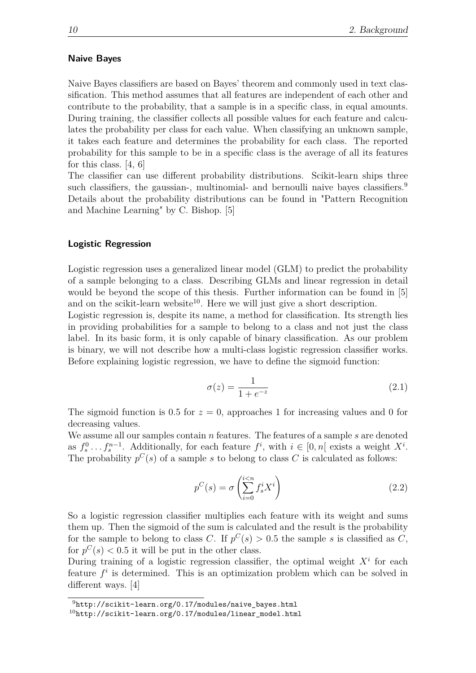#### **Naive Bayes**

Naive Bayes classifiers are based on Bayes' theorem and commonly used in text classification. This method assumes that all features are independent of each other and contribute to the probability, that a sample is in a specific class, in equal amounts. During training, the classifier collects all possible values for each feature and calculates the probability per class for each value. When classifying an unknown sample, it takes each feature and determines the probability for each class. The reported probability for this sample to be in a specific class is the average of all its features for this class. [\[4,](#page-74-3) [6\]](#page-74-5)

The classifier can use different probability distributions. Scikit-learn ships three such classifiers, the gaussian-, multinomial- and bernoulli naive bayes classifiers.<sup>[9](#page-19-0)</sup> Details about the probability distributions can be found in "Pattern Recognition and Machine Learning" by C. Bishop. [\[5\]](#page-74-4)

#### <span id="page-19-2"></span>**Logistic Regression**

Logistic regression uses a generalized linear model (GLM) to predict the probability of a sample belonging to a class. Describing GLMs and linear regression in detail would be beyond the scope of this thesis. Further information can be found in [\[5\]](#page-74-4) and on the scikit-learn website<sup>[10](#page-19-1)</sup>. Here we will just give a short description.

Logistic regression is, despite its name, a method for classification. Its strength lies in providing probabilities for a sample to belong to a class and not just the class label. In its basic form, it is only capable of binary classification. As our problem is binary, we will not describe how a multi-class logistic regression classifier works. Before explaining logistic regression, we have to define the sigmoid function:

$$
\sigma(z) = \frac{1}{1 + e^{-z}}\tag{2.1}
$$

The sigmoid function is 0.5 for  $z = 0$ , approaches 1 for increasing values and 0 for decreasing values.

We assume all our samples contain *n* features. The features of a sample *s* are denoted as  $f_s^0 \ldots f_s^{n-1}$ . Additionally, for each feature  $f^i$ , with  $i \in [0, n]$  exists a weight  $X^i$ . The probability  $p^C(s)$  of a sample *s* to belong to class *C* is calculated as follows:

$$
p^{C}(s) = \sigma \left(\sum_{i=0}^{i < n} f_s^i X^i\right) \tag{2.2}
$$

So a logistic regression classifier multiplies each feature with its weight and sums them up. Then the sigmoid of the sum is calculated and the result is the probability for the sample to belong to class *C*. If  $p^C(s) > 0.5$  the sample *s* is classified as *C*, for  $p^{C}(s) < 0.5$  it will be put in the other class.

During training of a logistic regression classifier, the optimal weight  $X^i$  for each feature  $f^i$  is determined. This is an optimization problem which can be solved in different ways. [\[4\]](#page-74-3)

<span id="page-19-0"></span><sup>9</sup>[http://scikit-learn.org/0.17/modules/naive\\_bayes.html](http://scikit-learn.org/0.17/modules/naive_bayes.html)

<span id="page-19-1"></span> $10$ [http://scikit-learn.org/0.17/modules/linear\\_model.html](http://scikit-learn.org/0.17/modules/linear_model.html)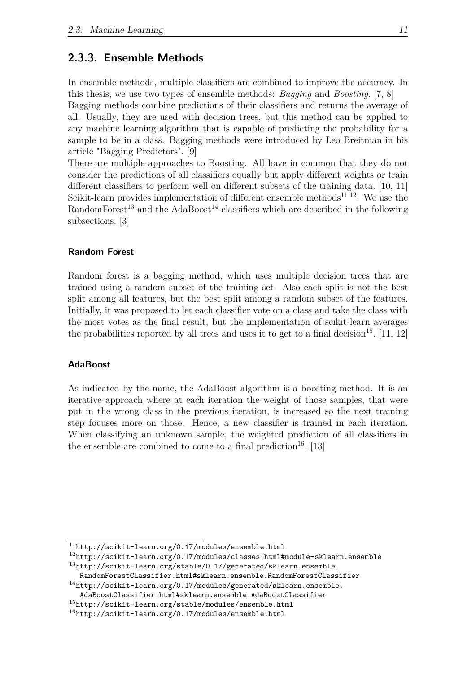#### <span id="page-20-0"></span>**2.3.3. Ensemble Methods**

In ensemble methods, multiple classifiers are combined to improve the accuracy. In this thesis, we use two types of ensemble methods: *Bagging* and *Boosting*. [\[7,](#page-74-6) [8\]](#page-74-7)

Bagging methods combine predictions of their classifiers and returns the average of all. Usually, they are used with decision trees, but this method can be applied to any machine learning algorithm that is capable of predicting the probability for a sample to be in a class. Bagging methods were introduced by Leo Breitman in his article "Bagging Predictors". [\[9\]](#page-74-8)

There are multiple approaches to Boosting. All have in common that they do not consider the predictions of all classifiers equally but apply different weights or train different classifiers to perform well on different subsets of the training data. [\[10,](#page-74-9) [11\]](#page-74-10) Scikit-learn provides implementation of different ensemble methods<sup>[11](#page-20-1) [12](#page-20-2)</sup>. We use the RandomForest<sup>[13](#page-20-3)</sup> and the AdaBoost<sup>[14](#page-20-4)</sup> classifiers which are described in the following subsections. [\[3\]](#page-74-2)

#### <span id="page-20-7"></span>**Random Forest**

Random forest is a bagging method, which uses multiple decision trees that are trained using a random subset of the training set. Also each split is not the best split among all features, but the best split among a random subset of the features. Initially, it was proposed to let each classifier vote on a class and take the class with the most votes as the final result, but the implementation of scikit-learn averages the probabilities reported by all trees and uses it to get to a final decision<sup>[15](#page-20-5)</sup>. [\[11,](#page-74-10) [12\]](#page-74-11)

#### **AdaBoost**

As indicated by the name, the AdaBoost algorithm is a boosting method. It is an iterative approach where at each iteration the weight of those samples, that were put in the wrong class in the previous iteration, is increased so the next training step focuses more on those. Hence, a new classifier is trained in each iteration. When classifying an unknown sample, the weighted prediction of all classifiers in the ensemble are combined to come to a final prediction<sup>[16](#page-20-6)</sup>. [\[13\]](#page-74-12)

<span id="page-20-1"></span> $^{11}\mathrm{http://scikit-learn.org/0.17/modules/ensemble.html}$  $^{11}\mathrm{http://scikit-learn.org/0.17/modules/ensemble.html}$  $^{11}\mathrm{http://scikit-learn.org/0.17/modules/ensemble.html}$ 

<span id="page-20-3"></span><span id="page-20-2"></span> $^{12}\text{http://scikit-learn.org/0.17/modules/classes.html#module-sklearn.ensemble}$  $^{12}\text{http://scikit-learn.org/0.17/modules/classes.html#module-sklearn.ensemble}$  $^{12}\text{http://scikit-learn.org/0.17/modules/classes.html#module-sklearn.ensemble}$  $^{13}$ [http://scikit-learn.org/stable/0.17/generated/sklearn.ensemble.](http://scikit-learn.org/stable/0.17/generated/sklearn.ensemble.RandomForestClassifier.html#sklearn.ensemble.RandomForestClassifier)

<span id="page-20-4"></span>[RandomForestClassifier.html#sklearn.ensemble.RandomForestClassifier](http://scikit-learn.org/stable/0.17/generated/sklearn.ensemble.RandomForestClassifier.html#sklearn.ensemble.RandomForestClassifier)  $14$ [http://scikit-learn.org/0.17/modules/generated/sklearn.ensemble.](http://scikit-learn.org/0.17/modules/generated/sklearn.ensemble.AdaBoostClassifier.html#sklearn.ensemble.AdaBoostClassifier)

<span id="page-20-5"></span>[AdaBoostClassifier.html#sklearn.ensemble.AdaBoostClassifier](http://scikit-learn.org/0.17/modules/generated/sklearn.ensemble.AdaBoostClassifier.html#sklearn.ensemble.AdaBoostClassifier)

 $^{15}$ <http://scikit-learn.org/stable/modules/ensemble.html>

<span id="page-20-6"></span> $^{16}$ <http://scikit-learn.org/0.17/modules/ensemble.html>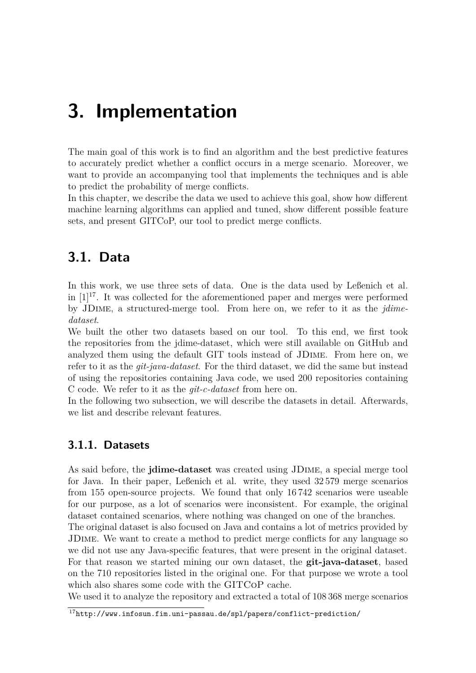# <span id="page-22-0"></span>**3. Implementation**

The main goal of this work is to find an algorithm and the best predictive features to accurately predict whether a conflict occurs in a merge scenario. Moreover, we want to provide an accompanying tool that implements the techniques and is able to predict the probability of merge conflicts.

In this chapter, we describe the data we used to achieve this goal, show how different machine learning algorithms can applied and tuned, show different possible feature sets, and present GITCoP, our tool to predict merge conflicts.

# <span id="page-22-1"></span>**3.1. Data**

In this work, we use three sets of data. One is the data used by Leßenich et al. in  $[1]^{17}$  $[1]^{17}$  $[1]^{17}$  $[1]^{17}$ . It was collected for the aforementioned paper and merges were performed by JDime, a structured-merge tool. From here on, we refer to it as the *jdimedataset*.

We built the other two datasets based on our tool. To this end, we first took the repositories from the jdime-dataset, which were still available on GitHub and analyzed them using the default GIT tools instead of JDime. From here on, we refer to it as the *git-java-dataset*. For the third dataset, we did the same but instead of using the repositories containing Java code, we used 200 repositories containing C code. We refer to it as the *git-c-dataset* from here on.

In the following two subsection, we will describe the datasets in detail. Afterwards, we list and describe relevant features.

## <span id="page-22-2"></span>**3.1.1. Datasets**

As said before, the **jdime-dataset** was created using JDime, a special merge tool for Java. In their paper, Leßenich et al. write, they used 32 579 merge scenarios from 155 open-source projects. We found that only 16 742 scenarios were useable for our purpose, as a lot of scenarios were inconsistent. For example, the original dataset contained scenarios, where nothing was changed on one of the branches.

The original dataset is also focused on Java and contains a lot of metrics provided by JDime. We want to create a method to predict merge conflicts for any language so we did not use any Java-specific features, that were present in the original dataset. For that reason we started mining our own dataset, the **git-java-dataset**, based on the 710 repositories listed in the original one. For that purpose we wrote a tool which also shares some code with the GITCoP cache.

We used it to analyze the repository and extracted a total of 108 368 merge scenarios

<span id="page-22-3"></span><sup>17</sup><http://www.infosun.fim.uni-passau.de/spl/papers/conflict-prediction/>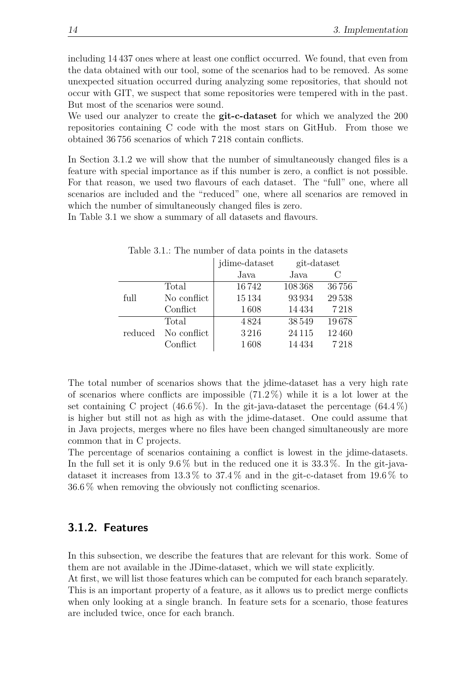including 14 437 ones where at least one conflict occurred. We found, that even from the data obtained with our tool, some of the scenarios had to be removed. As some unexpected situation occurred during analyzing some repositories, that should not occur with GIT, we suspect that some repositories were tempered with in the past. But most of the scenarios were sound.

We used our analyzer to create the **git-c-dataset** for which we analyzed the 200 repositories containing C code with the most stars on GitHub. From those we obtained 36 756 scenarios of which 7 218 contain conflicts.

In Section [3.1.2](#page-23-0) we will show that the number of simultaneously changed files is a feature with special importance as if this number is zero, a conflict is not possible. For that reason, we used two flavours of each dataset. The "full" one, where all scenarios are included and the "reduced" one, where all scenarios are removed in which the number of simultaneously changed files is zero.

In Table [3.1](#page-23-1) we show a summary of all datasets and flavours.

|         |             | jdime-dataset | git-dataset |       |
|---------|-------------|---------------|-------------|-------|
|         |             | Java          | Java        |       |
|         | Total       | 16742         | 108 368     | 36756 |
| full    | No conflict | 15134         | 93934       | 29538 |
|         | Conflict    | 1608          | 14434       | 7218  |
|         | Total       | 4824          | 38549       | 19678 |
| reduced | No conflict | 3216          | 24 1 15     | 12460 |
|         | Conflict    | 1608          | 14 434      | 7218  |

<span id="page-23-1"></span>Table 3.1.: The number of data points in the datasets

The total number of scenarios shows that the jdime-dataset has a very high rate of scenarios where conflicts are impossible (71*.*2 %) while it is a lot lower at the set containing C project (46*.*6 %). In the git-java-dataset the percentage (64*.*4 %) is higher but still not as high as with the jdime-dataset. One could assume that in Java projects, merges where no files have been changed simultaneously are more common that in C projects.

The percentage of scenarios containing a conflict is lowest in the jdime-datasets. In the full set it is only 9*.*6 % but in the reduced one it is 33*.*3 %. In the git-javadataset it increases from 13*.*3 % to 37*.*4 % and in the git-c-dataset from 19*.*6 % to 36*.*6 % when removing the obviously not conflicting scenarios.

#### <span id="page-23-0"></span>**3.1.2. Features**

In this subsection, we describe the features that are relevant for this work. Some of them are not available in the JDime-dataset, which we will state explicitly.

At first, we will list those features which can be computed for each branch separately. This is an important property of a feature, as it allows us to predict merge conflicts when only looking at a single branch. In feature sets for a scenario, those features are included twice, once for each branch.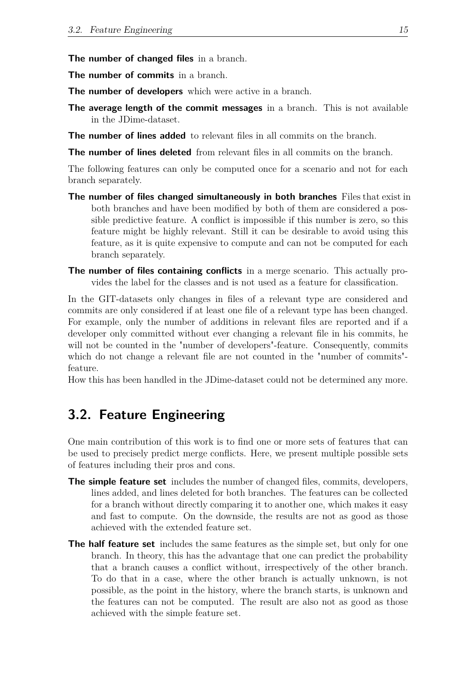**The number of changed files** in a branch.

**The number of commits** in a branch.

**The number of developers** which were active in a branch.

**The average length of the commit messages** in a branch. This is not available in the JDime-dataset.

**The number of lines added** to relevant files in all commits on the branch.

**The number of lines deleted** from relevant files in all commits on the branch.

The following features can only be computed once for a scenario and not for each branch separately.

- **The number of files changed simultaneously in both branches** Files that exist in both branches and have been modified by both of them are considered a possible predictive feature. A conflict is impossible if this number is zero, so this feature might be highly relevant. Still it can be desirable to avoid using this feature, as it is quite expensive to compute and can not be computed for each branch separately.
- **The number of files containing conflicts** in a merge scenario. This actually provides the label for the classes and is not used as a feature for classification.

In the GIT-datasets only changes in files of a relevant type are considered and commits are only considered if at least one file of a relevant type has been changed. For example, only the number of additions in relevant files are reported and if a developer only committed without ever changing a relevant file in his commits, he will not be counted in the "number of developers"-feature. Consequently, commits which do not change a relevant file are not counted in the "number of commits"feature.

How this has been handled in the JDime-dataset could not be determined any more.

# <span id="page-24-0"></span>**3.2. Feature Engineering**

One main contribution of this work is to find one or more sets of features that can be used to precisely predict merge conflicts. Here, we present multiple possible sets of features including their pros and cons.

- **The simple feature set** includes the number of changed files, commits, developers, lines added, and lines deleted for both branches. The features can be collected for a branch without directly comparing it to another one, which makes it easy and fast to compute. On the downside, the results are not as good as those achieved with the extended feature set.
- **The half feature set** includes the same features as the simple set, but only for one branch. In theory, this has the advantage that one can predict the probability that a branch causes a conflict without, irrespectively of the other branch. To do that in a case, where the other branch is actually unknown, is not possible, as the point in the history, where the branch starts, is unknown and the features can not be computed. The result are also not as good as those achieved with the simple feature set.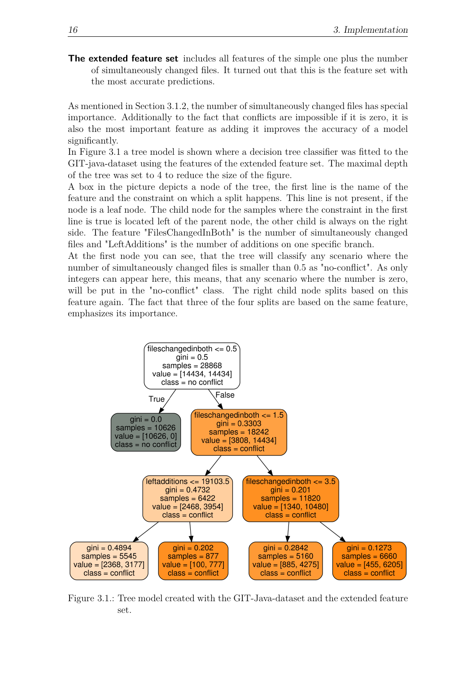**The extended feature set** includes all features of the simple one plus the number of simultaneously changed files. It turned out that this is the feature set with the most accurate predictions.

As mentioned in Section [3.1.2,](#page-23-0) the number of simultaneously changed files has special importance. Additionally to the fact that conflicts are impossible if it is zero, it is also the most important feature as adding it improves the accuracy of a model significantly.

In Figure [3.1](#page-25-0) a tree model is shown where a decision tree classifier was fitted to the GIT-java-dataset using the features of the extended feature set. The maximal depth of the tree was set to 4 to reduce the size of the figure.

A box in the picture depicts a node of the tree, the first line is the name of the feature and the constraint on which a split happens. This line is not present, if the node is a leaf node. The child node for the samples where the constraint in the first line is true is located left of the parent node, the other child is always on the right side. The feature "FilesChangedInBoth" is the number of simultaneously changed files and "LeftAdditions" is the number of additions on one specific branch.

At the first node you can see, that the tree will classify any scenario where the number of simultaneously changed files is smaller than 0*.*5 as "no-conflict". As only integers can appear here, this means, that any scenario where the number is zero, will be put in the "no-conflict" class. The right child node splits based on this feature again. The fact that three of the four splits are based on the same feature, emphasizes its importance.



<span id="page-25-0"></span>Figure 3.1.: Tree model created with the GIT-Java-dataset and the extended feature set.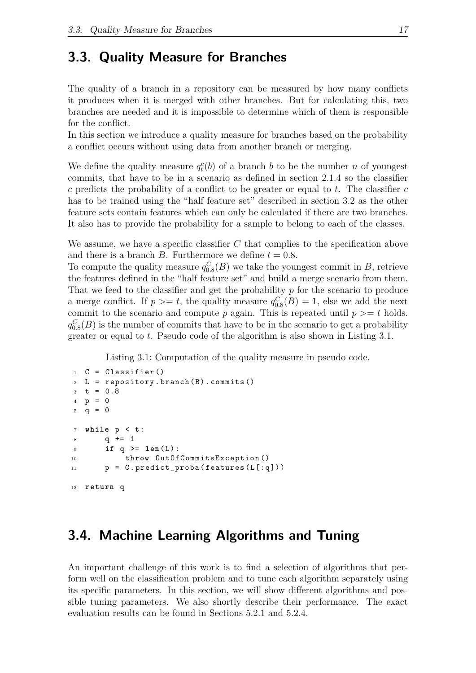## <span id="page-26-0"></span>**3.3. Quality Measure for Branches**

The quality of a branch in a repository can be measured by how many conflicts it produces when it is merged with other branches. But for calculating this, two branches are needed and it is impossible to determine which of them is responsible for the conflict.

In this section we introduce a quality measure for branches based on the probability a conflict occurs without using data from another branch or merging.

We define the quality measure  $q_t^c(b)$  of a branch *b* to be the number *n* of youngest commits, that have to be in a scenario as defined in section [2.1.4](#page-16-0) so the classifier *c* predicts the probability of a conflict to be greater or equal to *t*. The classifier *c* has to be trained using the "half feature set" described in section [3.2](#page-24-0) as the other feature sets contain features which can only be calculated if there are two branches. It also has to provide the probability for a sample to belong to each of the classes.

We assume, we have a specific classifier *C* that complies to the specification above and there is a branch *B*. Furthermore we define  $t = 0.8$ .

To compute the quality measure  $q_{0.8}^C(B)$  we take the youngest commit in *B*, retrieve the features defined in the "half feature set" and build a merge scenario from them. That we feed to the classifier and get the probability *p* for the scenario to produce a merge conflict. If  $p \geq t$ , the quality measure  $q_{0.8}^C(B) = 1$ , else we add the next commit to the scenario and compute  $p$  again. This is repeated until  $p \geq t$  holds.  $q_{0.8}^C(B)$  is the number of commits that have to be in the scenario to get a probability greater or equal to *t*. Pseudo code of the algorithm is also shown in Listing [3.1.](#page-26-2)

Listing 3.1: Computation of the quality measure in pseudo code.

```
1 \quad C = \text{Classifier}()L = repository. branch (B). commits ()
3 t = 0.8p = 05 \text{ q} = 07 while p < t :
8 \t q \t + = 19 if q \geq 1en(L):
10 throw OutOfCommitsException ()
11 p = C. predict_proba (features (L[:q]))
13 return q
```
# <span id="page-26-1"></span>**3.4. Machine Learning Algorithms and Tuning**

An important challenge of this work is to find a selection of algorithms that perform well on the classification problem and to tune each algorithm separately using its specific parameters. In this section, we will show different algorithms and possible tuning parameters. We also shortly describe their performance. The exact evaluation results can be found in Sections [5.2.1](#page-39-0) and [5.2.4.](#page-51-0)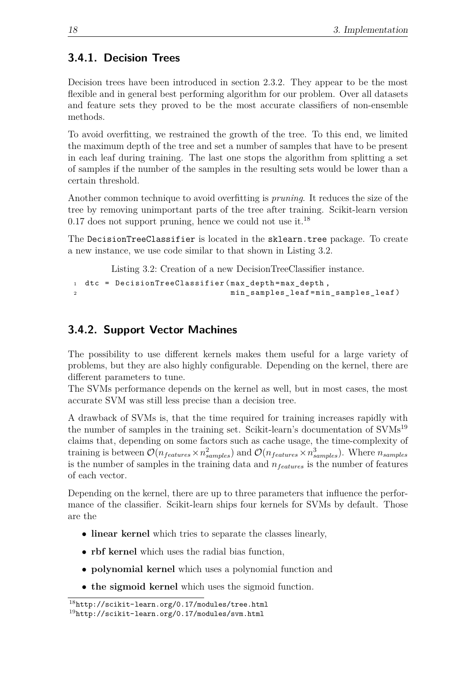## <span id="page-27-0"></span>**3.4.1. Decision Trees**

Decision trees have been introduced in section [2.3.2.](#page-17-4) They appear to be the most flexible and in general best performing algorithm for our problem. Over all datasets and feature sets they proved to be the most accurate classifiers of non-ensemble methods.

To avoid overfitting, we restrained the growth of the tree. To this end, we limited the maximum depth of the tree and set a number of samples that have to be present in each leaf during training. The last one stops the algorithm from splitting a set of samples if the number of the samples in the resulting sets would be lower than a certain threshold.

Another common technique to avoid overfitting is *pruning*. It reduces the size of the tree by removing unimportant parts of the tree after training. Scikit-learn version  $0.17$  does not support pruning, hence we could not use it.<sup>[18](#page-27-2)</sup>

The DecisionTreeClassifier is located in the sklearn.tree package. To create a new instance, we use code similar to that shown in Listing [3.2.](#page-27-3)

Listing 3.2: Creation of a new DecisionTreeClassifier instance.

```
1 dtc = DecisionTreeClassifier (max_depth=max_depth,
2 min_samples_leaf = min_samples_leaf )
```
## <span id="page-27-1"></span>**3.4.2. Support Vector Machines**

The possibility to use different kernels makes them useful for a large variety of problems, but they are also highly configurable. Depending on the kernel, there are different parameters to tune.

The SVMs performance depends on the kernel as well, but in most cases, the most accurate SVM was still less precise than a decision tree.

A drawback of SVMs is, that the time required for training increases rapidly with the number of samples in the training set. Scikit-learn's documentation of  $\text{SVMs}^{19}$  $\text{SVMs}^{19}$  $\text{SVMs}^{19}$ claims that, depending on some factors such as cache usage, the time-complexity of training is between  $\mathcal{O}(n_{features} \times n_{samples}^2)$  and  $\mathcal{O}(n_{features} \times n_{samples}^3)$ . Where  $n_{samples}$ is the number of samples in the training data and *nfeatures* is the number of features of each vector.

Depending on the kernel, there are up to three parameters that influence the performance of the classifier. Scikit-learn ships four kernels for SVMs by default. Those are the

- **linear kernel** which tries to separate the classes linearly,
- **rbf kernel** which uses the radial bias function,
- **polynomial kernel** which uses a polynomial function and
- **the sigmoid kernel** which uses the sigmoid function.

<span id="page-27-2"></span><sup>18</sup><http://scikit-learn.org/0.17/modules/tree.html>

<span id="page-27-4"></span> $19$ <http://scikit-learn.org/0.17/modules/svm.html>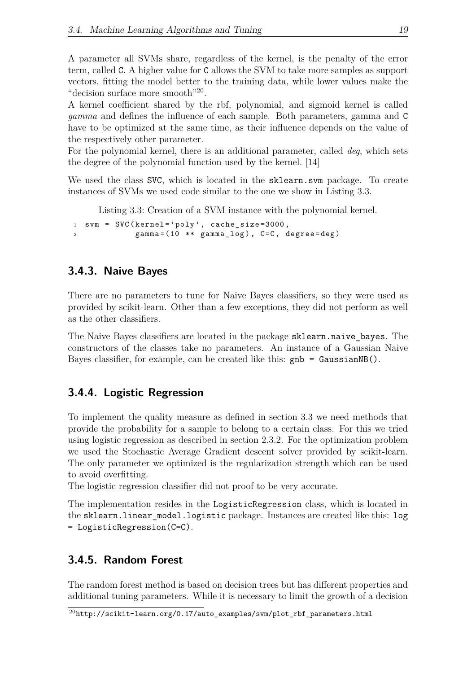A parameter all SVMs share, regardless of the kernel, is the penalty of the error term, called C. A higher value for C allows the SVM to take more samples as support vectors, fitting the model better to the training data, while lower values make the "decision surface more smooth"<sup>[20](#page-28-3)</sup>.

A kernel coefficient shared by the rbf, polynomial, and sigmoid kernel is called *gamma* and defines the influence of each sample. Both parameters, gamma and C have to be optimized at the same time, as their influence depends on the value of the respectively other parameter.

For the polynomial kernel, there is an additional parameter, called *deg*, which sets the degree of the polynomial function used by the kernel. [\[14\]](#page-74-13)

We used the class SVC, which is located in the sklearn.svm package. To create instances of SVMs we used code similar to the one we show in Listing [3.3.](#page-28-4)

Listing 3.3: Creation of a SVM instance with the polynomial kernel.

```
1 svm = SVC (kernel='poly', cache_size=3000,
2 gamma=(10 ** gamma_log), C=C, degree=deg)
```
### <span id="page-28-0"></span>**3.4.3. Naive Bayes**

There are no parameters to tune for Naive Bayes classifiers, so they were used as provided by scikit-learn. Other than a few exceptions, they did not perform as well as the other classifiers.

The Naive Bayes classifiers are located in the package sklearn.naive bayes. The constructors of the classes take no parameters. An instance of a Gaussian Naive Bayes classifier, for example, can be created like this: gnb = GaussianNB().

### <span id="page-28-1"></span>**3.4.4. Logistic Regression**

To implement the quality measure as defined in section [3.3](#page-26-0) we need methods that provide the probability for a sample to belong to a certain class. For this we tried using logistic regression as described in section [2.3.2.](#page-19-2) For the optimization problem we used the Stochastic Average Gradient descent solver provided by scikit-learn. The only parameter we optimized is the regularization strength which can be used to avoid overfitting.

The logistic regression classifier did not proof to be very accurate.

The implementation resides in the LogisticRegression class, which is located in the sklearn.linear model.logistic package. Instances are created like this: log = LogisticRegression(C=C).

### <span id="page-28-2"></span>**3.4.5. Random Forest**

The random forest method is based on decision trees but has different properties and additional tuning parameters. While it is necessary to limit the growth of a decision

<span id="page-28-3"></span> $^{20}$ [http://scikit-learn.org/0.17/auto\\_examples/svm/plot\\_rbf\\_parameters.html](http://scikit-learn.org/0.17/auto_examples/svm/plot_rbf_parameters.html)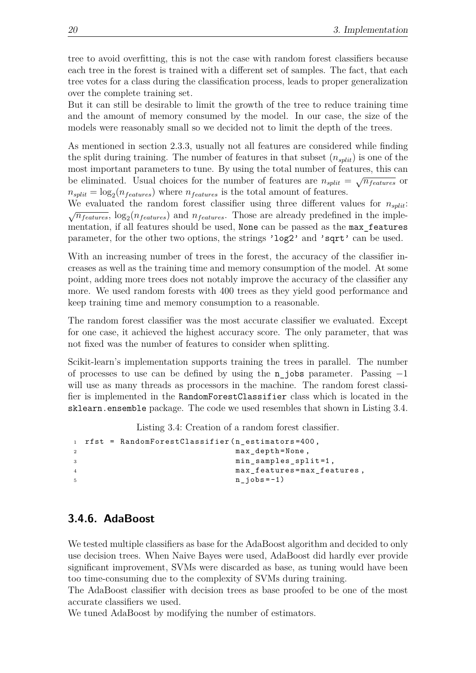tree to avoid overfitting, this is not the case with random forest classifiers because each tree in the forest is trained with a different set of samples. The fact, that each tree votes for a class during the classification process, leads to proper generalization over the complete training set.

But it can still be desirable to limit the growth of the tree to reduce training time and the amount of memory consumed by the model. In our case, the size of the models were reasonably small so we decided not to limit the depth of the trees.

As mentioned in section [2.3.3,](#page-20-7) usually not all features are considered while finding the split during training. The number of features in that subset (*nsplit*) is one of the most important parameters to tune. By using the total number of features, this can be eliminated. Usual choices for the number of features are  $n_{split} = \sqrt{n_{features}}$  or  $n_{split} = \log_2(n_{features})$  where  $n_{features}$  is the total amount of features.

We evaluated the random forest classifier using three different values for *nsplit*:  $\sqrt{n_{features}}$ ,  $\log_2(n_{features})$  and  $n_{features}$ . Those are already predefined in the implementation, if all features should be used, None can be passed as the max\_features parameter, for the other two options, the strings 'log2' and 'sqrt' can be used.

With an increasing number of trees in the forest, the accuracy of the classifier increases as well as the training time and memory consumption of the model. At some point, adding more trees does not notably improve the accuracy of the classifier any more. We used random forests with 400 trees as they yield good performance and keep training time and memory consumption to a reasonable.

The random forest classifier was the most accurate classifier we evaluated. Except for one case, it achieved the highest accuracy score. The only parameter, that was not fixed was the number of features to consider when splitting.

Scikit-learn's implementation supports training the trees in parallel. The number of processes to use can be defined by using the n\_jobs parameter. Passing −1 will use as many threads as processors in the machine. The random forest classifier is implemented in the RandomForestClassifier class which is located in the sklearn.ensemble package. The code we used resembles that shown in Listing [3.4.](#page-29-1)

Listing 3.4: Creation of a random forest classifier.

```
1 rfst = RandomForestClassifier ( n_estimators =400 ,
2 max_depth = None ,
3 min_samples_split=1,
4 max_features = max_features ,
n_jobs = -1)
```
### <span id="page-29-0"></span>**3.4.6. AdaBoost**

We tested multiple classifiers as base for the AdaBoost algorithm and decided to only use decision trees. When Naive Bayes were used, AdaBoost did hardly ever provide significant improvement, SVMs were discarded as base, as tuning would have been too time-consuming due to the complexity of SVMs during training.

The AdaBoost classifier with decision trees as base proofed to be one of the most accurate classifiers we used.

We tuned AdaBoost by modifying the number of estimators.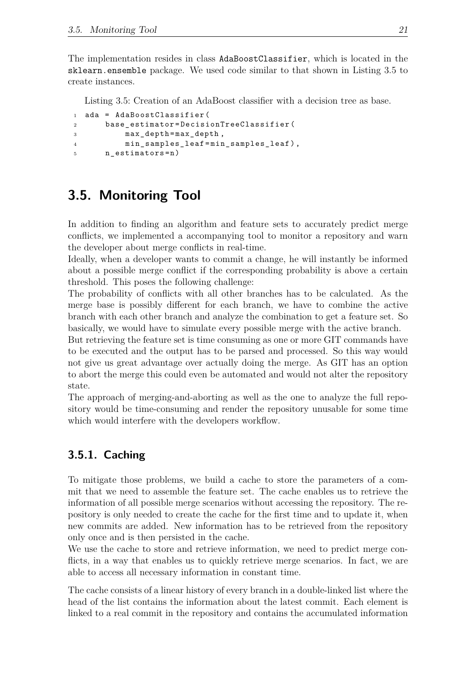The implementation resides in class AdaBoostClassifier, which is located in the sklearn.ensemble package. We used code similar to that shown in Listing [3.5](#page-30-2) to create instances.

<span id="page-30-2"></span>Listing 3.5: Creation of an AdaBoost classifier with a decision tree as base.

```
1 ada = AdaBoostClassifier (
2 base_estimator = DecisionTreeClassifier (
3 max_depth = max_depth ,
4 min_samples_leaf = min_samples_leaf ) ,
5 n estimators = n )
```
# <span id="page-30-0"></span>**3.5. Monitoring Tool**

In addition to finding an algorithm and feature sets to accurately predict merge conflicts, we implemented a accompanying tool to monitor a repository and warn the developer about merge conflicts in real-time.

Ideally, when a developer wants to commit a change, he will instantly be informed about a possible merge conflict if the corresponding probability is above a certain threshold. This poses the following challenge:

The probability of conflicts with all other branches has to be calculated. As the merge base is possibly different for each branch, we have to combine the active branch with each other branch and analyze the combination to get a feature set. So basically, we would have to simulate every possible merge with the active branch.

But retrieving the feature set is time consuming as one or more GIT commands have to be executed and the output has to be parsed and processed. So this way would not give us great advantage over actually doing the merge. As GIT has an option to abort the merge this could even be automated and would not alter the repository state.

The approach of merging-and-aborting as well as the one to analyze the full repository would be time-consuming and render the repository unusable for some time which would interfere with the developers workflow.

# <span id="page-30-1"></span>**3.5.1. Caching**

To mitigate those problems, we build a cache to store the parameters of a commit that we need to assemble the feature set. The cache enables us to retrieve the information of all possible merge scenarios without accessing the repository. The repository is only needed to create the cache for the first time and to update it, when new commits are added. New information has to be retrieved from the repository only once and is then persisted in the cache.

We use the cache to store and retrieve information, we need to predict merge conflicts, in a way that enables us to quickly retrieve merge scenarios. In fact, we are able to access all necessary information in constant time.

The cache consists of a linear history of every branch in a double-linked list where the head of the list contains the information about the latest commit. Each element is linked to a real commit in the repository and contains the accumulated information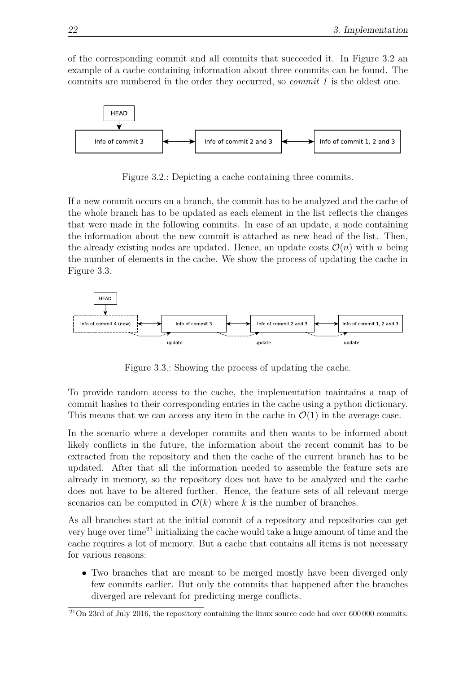of the corresponding commit and all commits that succeeded it. In Figure [3.2](#page-31-0) an example of a cache containing information about three commits can be found. The commits are numbered in the order they occurred, so *commit 1* is the oldest one.



<span id="page-31-0"></span>Figure 3.2.: Depicting a cache containing three commits.

If a new commit occurs on a branch, the commit has to be analyzed and the cache of the whole branch has to be updated as each element in the list reflects the changes that were made in the following commits. In case of an update, a node containing the information about the new commit is attached as new head of the list. Then, the already existing nodes are updated. Hence, an update costs  $\mathcal{O}(n)$  with *n* being the number of elements in the cache. We show the process of updating the cache in Figure [3.3.](#page-31-1)



<span id="page-31-1"></span>Figure 3.3.: Showing the process of updating the cache.

To provide random access to the cache, the implementation maintains a map of commit hashes to their corresponding entries in the cache using a python dictionary. This means that we can access any item in the cache in  $\mathcal{O}(1)$  in the average case.

In the scenario where a developer commits and then wants to be informed about likely conflicts in the future, the information about the recent commit has to be extracted from the repository and then the cache of the current branch has to be updated. After that all the information needed to assemble the feature sets are already in memory, so the repository does not have to be analyzed and the cache does not have to be altered further. Hence, the feature sets of all relevant merge scenarios can be computed in  $\mathcal{O}(k)$  where *k* is the number of branches.

As all branches start at the initial commit of a repository and repositories can get very huge over time[21](#page-31-2) initializing the cache would take a huge amount of time and the cache requires a lot of memory. But a cache that contains all items is not necessary for various reasons:

• Two branches that are meant to be merged mostly have been diverged only few commits earlier. But only the commits that happened after the branches diverged are relevant for predicting merge conflicts.

<span id="page-31-2"></span> $21$ On 23rd of July 2016, the repository containing the linux source code had over 600 000 commits.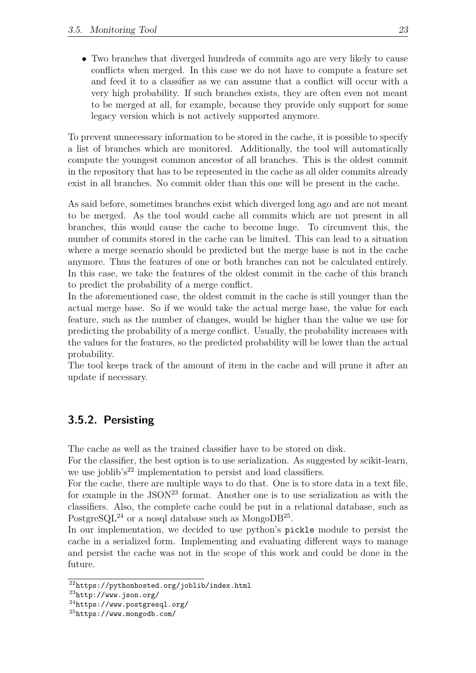• Two branches that diverged hundreds of commits ago are very likely to cause conflicts when merged. In this case we do not have to compute a feature set and feed it to a classifier as we can assume that a conflict will occur with a very high probability. If such branches exists, they are often even not meant to be merged at all, for example, because they provide only support for some legacy version which is not actively supported anymore.

To prevent unnecessary information to be stored in the cache, it is possible to specify a list of branches which are monitored. Additionally, the tool will automatically compute the youngest common ancestor of all branches. This is the oldest commit in the repository that has to be represented in the cache as all older commits already exist in all branches. No commit older than this one will be present in the cache.

As said before, sometimes branches exist which diverged long ago and are not meant to be merged. As the tool would cache all commits which are not present in all branches, this would cause the cache to become huge. To circumvent this, the number of commits stored in the cache can be limited. This can lead to a situation where a merge scenario should be predicted but the merge base is not in the cache anymore. Thus the features of one or both branches can not be calculated entirely. In this case, we take the features of the oldest commit in the cache of this branch to predict the probability of a merge conflict.

In the aforementioned case, the oldest commit in the cache is still younger than the actual merge base. So if we would take the actual merge base, the value for each feature, such as the number of changes, would be higher than the value we use for predicting the probability of a merge conflict. Usually, the probability increases with the values for the features, so the predicted probability will be lower than the actual probability.

The tool keeps track of the amount of item in the cache and will prune it after an update if necessary.

### <span id="page-32-0"></span>**3.5.2. Persisting**

The cache as well as the trained classifier have to be stored on disk.

For the classifier, the best option is to use serialization. As suggested by scikit-learn, we use joblib's<sup>[22](#page-32-1)</sup> implementation to persist and load classifiers.

For the cache, there are multiple ways to do that. One is to store data in a text file, for example in the  $\text{JSON}^{23}$  $\text{JSON}^{23}$  $\text{JSON}^{23}$  format. Another one is to use serialization as with the classifiers. Also, the complete cache could be put in a relational database, such as PostgreSQL<sup>[24](#page-32-3)</sup> or a nosql database such as MongoDB<sup>[25](#page-32-4)</sup>.

In our implementation, we decided to use python's pickle module to persist the cache in a serialized form. Implementing and evaluating different ways to manage and persist the cache was not in the scope of this work and could be done in the future.

<span id="page-32-1"></span><sup>22</sup><https://pythonhosted.org/joblib/index.html>

<span id="page-32-2"></span><sup>23</sup><http://www.json.org/>

<span id="page-32-3"></span> $^{24}$ <https://www.postgresql.org/>

<span id="page-32-4"></span><sup>25</sup><https://www.mongodb.com/>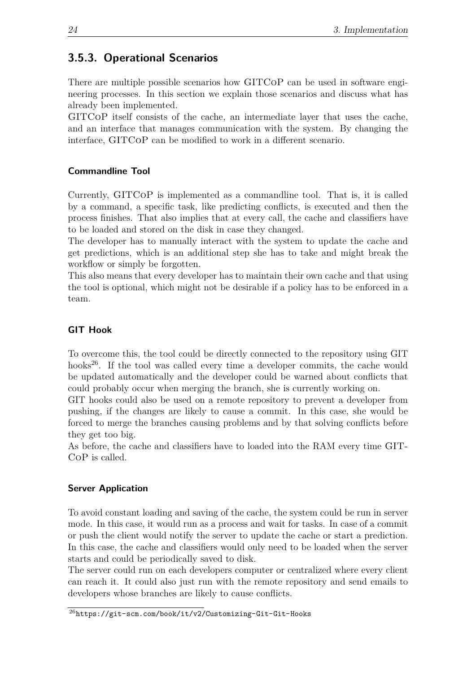## <span id="page-33-0"></span>**3.5.3. Operational Scenarios**

There are multiple possible scenarios how GITCoP can be used in software engineering processes. In this section we explain those scenarios and discuss what has already been implemented.

GITCoP itself consists of the cache, an intermediate layer that uses the cache, and an interface that manages communication with the system. By changing the interface, GITCoP can be modified to work in a different scenario.

### **Commandline Tool**

Currently, GITCoP is implemented as a commandline tool. That is, it is called by a command, a specific task, like predicting conflicts, is executed and then the process finishes. That also implies that at every call, the cache and classifiers have to be loaded and stored on the disk in case they changed.

The developer has to manually interact with the system to update the cache and get predictions, which is an additional step she has to take and might break the workflow or simply be forgotten.

This also means that every developer has to maintain their own cache and that using the tool is optional, which might not be desirable if a policy has to be enforced in a team.

## **GIT Hook**

To overcome this, the tool could be directly connected to the repository using GIT hooks<sup>[26](#page-33-1)</sup>. If the tool was called every time a developer commits, the cache would be updated automatically and the developer could be warned about conflicts that could probably occur when merging the branch, she is currently working on.

GIT hooks could also be used on a remote repository to prevent a developer from pushing, if the changes are likely to cause a commit. In this case, she would be forced to merge the branches causing problems and by that solving conflicts before they get too big.

As before, the cache and classifiers have to loaded into the RAM every time GIT-CoP is called.

### **Server Application**

To avoid constant loading and saving of the cache, the system could be run in server mode. In this case, it would run as a process and wait for tasks. In case of a commit or push the client would notify the server to update the cache or start a prediction. In this case, the cache and classifiers would only need to be loaded when the server starts and could be periodically saved to disk.

The server could run on each developers computer or centralized where every client can reach it. It could also just run with the remote repository and send emails to developers whose branches are likely to cause conflicts.

<span id="page-33-1"></span><sup>26</sup><https://git-scm.com/book/it/v2/Customizing-Git-Git-Hooks>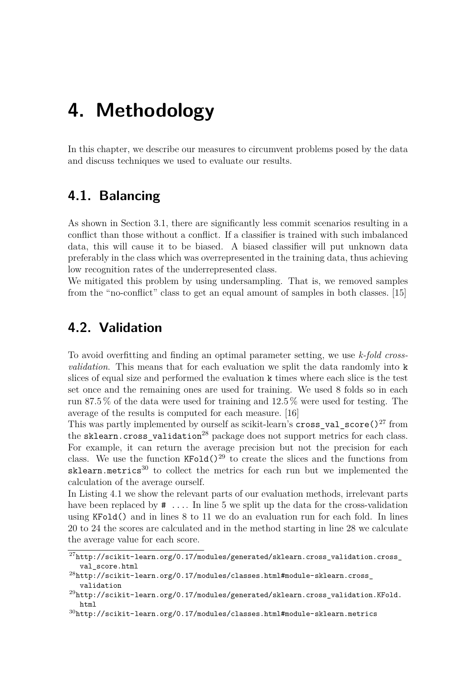# <span id="page-34-0"></span>**4. Methodology**

In this chapter, we describe our measures to circumvent problems posed by the data and discuss techniques we used to evaluate our results.

## <span id="page-34-1"></span>**4.1. Balancing**

As shown in Section [3.1,](#page-22-1) there are significantly less commit scenarios resulting in a conflict than those without a conflict. If a classifier is trained with such imbalanced data, this will cause it to be biased. A biased classifier will put unknown data preferably in the class which was overrepresented in the training data, thus achieving low recognition rates of the underrepresented class.

We mitigated this problem by using undersampling. That is, we removed samples from the "no-conflict" class to get an equal amount of samples in both classes. [\[15\]](#page-75-0)

# <span id="page-34-2"></span>**4.2. Validation**

To avoid overfitting and finding an optimal parameter setting, we use *k-fold crossvalidation*. This means that for each evaluation we split the data randomly into k slices of equal size and performed the evaluation k times where each slice is the test set once and the remaining ones are used for training. We used 8 folds so in each run 87*.*5 % of the data were used for training and 12*.*5 % were used for testing. The average of the results is computed for each measure. [\[16\]](#page-75-1)

This was partly implemented by ourself as scikit-learn's cross\_val\_score() $^{27}$  $^{27}$  $^{27}$  from the sklearn.cross validation<sup>[28](#page-34-4)</sup> package does not support metrics for each class. For example, it can return the average precision but not the precision for each class. We use the function  $KFold()^{29}$  $KFold()^{29}$  $KFold()^{29}$  to create the slices and the functions from  $sklearn.$ metrics<sup>[30](#page-34-6)</sup> to collect the metrics for each run but we implemented the calculation of the average ourself.

In Listing [4.1](#page-35-0) we show the relevant parts of our evaluation methods, irrelevant parts have been replaced by  $\# \dots$ . In line 5 we split up the data for the cross-validation using KFold() and in lines 8 to 11 we do an evaluation run for each fold. In lines 20 to 24 the scores are calculated and in the method starting in line 28 we calculate the average value for each score.

<span id="page-34-3"></span> $^{27}\text{http://scikit-learn.org/0.17/modules/generated/sklearn.cross_validation.cross_$  $^{27}\text{http://scikit-learn.org/0.17/modules/generated/sklearn.cross_validation.cross_$ [val\\_score.html](http://scikit-learn.org/0.17/modules/generated/sklearn.cross_validation.cross_val_score.html)

<span id="page-34-4"></span> $^{28}$ [http://scikit-learn.org/0.17/modules/classes.html#module-sklearn.cross\\_](http://scikit-learn.org/0.17/modules/classes.html#module-sklearn.cross_validation) [validation](http://scikit-learn.org/0.17/modules/classes.html#module-sklearn.cross_validation)

<span id="page-34-5"></span><sup>29</sup>[http://scikit-learn.org/0.17/modules/generated/sklearn.cross\\_validation.KFold.](http://scikit-learn.org/0.17/modules/generated/sklearn.cross_validation.KFold.html) [html](http://scikit-learn.org/0.17/modules/generated/sklearn.cross_validation.KFold.html)

<span id="page-34-6"></span> $30$ <http://scikit-learn.org/0.17/modules/classes.html#module-sklearn.metrics>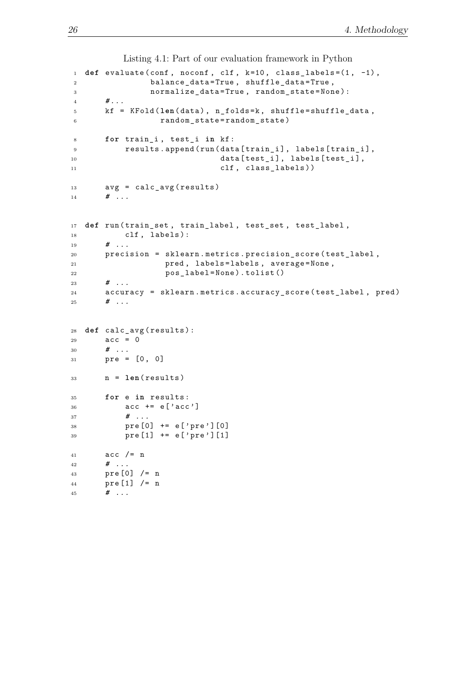```
Listing 4.1: Part of our evaluation framework in Python
_1 def evaluate (conf, noconf, clf, k=10, class_labels=(1, -1),
2 balance_data=True, shuffle_data=True,
3 normalize_data = True , random_state = None ) :
4 # ...
5 kf = KFold (len (data), n_folds = k, shuffle = shuffle_data,
6 random_state = random_state )
8 for train_i , test_i in kf :
9 results.append (run (data [train_i], labels [train_i],
10 data [test_i], labels [test_i],
11 clf, class_labels))
13 avg = calc_avg (results)
14 # ...
17 def run (train_set, train_label, test_set, test_label,
18 clf, labels):
19 # ...
20 precision = sklearn . metrics . precision_score ( test_label ,
21 pred , labels = labels , average = None ,
22 pos_label = None ) . tolist ()
23 # ...
24 accuracy = sklearn . metrics . accuracy_score ( test_label , pred )
25 # ...
28 def calc_avg ( results ) :
29 acc = 0
30 # ...
31 pre = [0 , 0]
33 \qquad n = len(results)35 for e in results :
36 acc += e' \cdot acc']
37 # ...
38 pre [0] += e [ 'pre' ] [0]39 pre [1] += e ['pre'] [1]
41 acc / = n42 # ...
43 pre [0] /= n
44 pre [1] /= n
45 # ...
```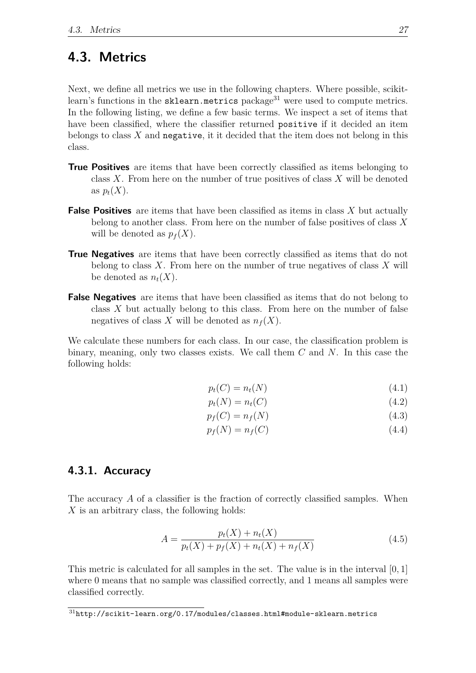## <span id="page-36-1"></span>**4.3. Metrics**

Next, we define all metrics we use in the following chapters. Where possible, scikitlearn's functions in the sklearn.metrics package $31$  were used to compute metrics. In the following listing, we define a few basic terms. We inspect a set of items that have been classified, where the classifier returned positive if it decided an item belongs to class *X* and negative, it it decided that the item does not belong in this class.

- **True Positives** are items that have been correctly classified as items belonging to class *X*. From here on the number of true positives of class *X* will be denoted as  $p_t(X)$ .
- **False Positives** are items that have been classified as items in class *X* but actually belong to another class. From here on the number of false positives of class *X* will be denoted as  $p_f(X)$ .
- **True Negatives** are items that have been correctly classified as items that do not belong to class *X*. From here on the number of true negatives of class *X* will be denoted as  $n_t(X)$ .
- **False Negatives** are items that have been classified as items that do not belong to class *X* but actually belong to this class. From here on the number of false negatives of class *X* will be denoted as  $n_f(X)$ .

We calculate these numbers for each class. In our case, the classification problem is binary, meaning, only two classes exists. We call them *C* and *N*. In this case the following holds:

$$
p_t(C) = n_t(N) \tag{4.1}
$$

$$
p_t(N) = n_t(C) \tag{4.2}
$$

$$
p_f(C) = n_f(N) \tag{4.3}
$$

$$
p_f(N) = n_f(C) \tag{4.4}
$$

### **4.3.1. Accuracy**

The accuracy A of a classifier is the fraction of correctly classified samples. When *X* is an arbitrary class, the following holds:

$$
A = \frac{p_t(X) + n_t(X)}{p_t(X) + p_f(X) + n_t(X) + n_f(X)}\tag{4.5}
$$

This metric is calculated for all samples in the set. The value is in the interval [0*,* 1] where 0 means that no sample was classified correctly, and 1 means all samples were classified correctly.

<span id="page-36-0"></span> $31$ <http://scikit-learn.org/0.17/modules/classes.html#module-sklearn.metrics>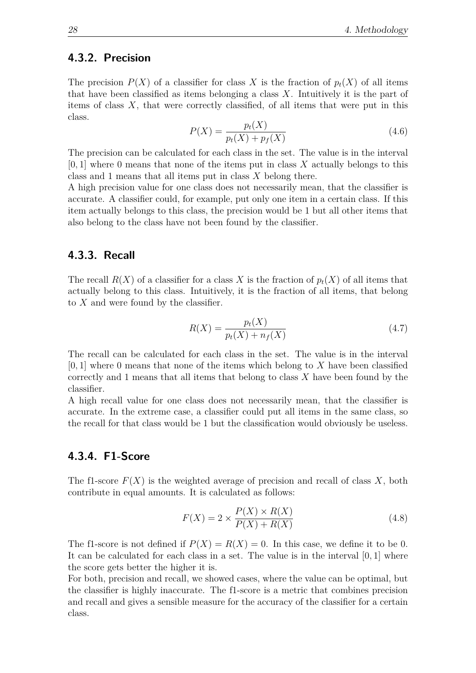#### **4.3.2. Precision**

The precision  $P(X)$  of a classifier for class X is the fraction of  $p_t(X)$  of all items that have been classified as items belonging a class *X*. Intuitively it is the part of items of class *X*, that were correctly classified, of all items that were put in this class.

$$
P(X) = \frac{p_t(X)}{p_t(X) + p_f(X)}
$$
\n(4.6)

The precision can be calculated for each class in the set. The value is in the interval [0*,* 1] where 0 means that none of the items put in class *X* actually belongs to this class and 1 means that all items put in class *X* belong there.

A high precision value for one class does not necessarily mean, that the classifier is accurate. A classifier could, for example, put only one item in a certain class. If this item actually belongs to this class, the precision would be 1 but all other items that also belong to the class have not been found by the classifier.

#### **4.3.3. Recall**

The recall  $R(X)$  of a classifier for a class X is the fraction of  $p_t(X)$  of all items that actually belong to this class. Intuitively, it is the fraction of all items, that belong to *X* and were found by the classifier.

$$
R(X) = \frac{p_t(X)}{p_t(X) + n_f(X)}
$$
\n(4.7)

The recall can be calculated for each class in the set. The value is in the interval [0*,* 1] where 0 means that none of the items which belong to *X* have been classified correctly and 1 means that all items that belong to class *X* have been found by the classifier.

A high recall value for one class does not necessarily mean, that the classifier is accurate. In the extreme case, a classifier could put all items in the same class, so the recall for that class would be 1 but the classification would obviously be useless.

#### **4.3.4. F1-Score**

The f1-score  $F(X)$  is the weighted average of precision and recall of class X, both contribute in equal amounts. It is calculated as follows:

$$
F(X) = 2 \times \frac{P(X) \times R(X)}{P(X) + R(X)}
$$
\n(4.8)

The f1-score is not defined if  $P(X) = R(X) = 0$ . In this case, we define it to be 0. It can be calculated for each class in a set. The value is in the interval [0*,* 1] where the score gets better the higher it is.

For both, precision and recall, we showed cases, where the value can be optimal, but the classifier is highly inaccurate. The f1-score is a metric that combines precision and recall and gives a sensible measure for the accuracy of the classifier for a certain class.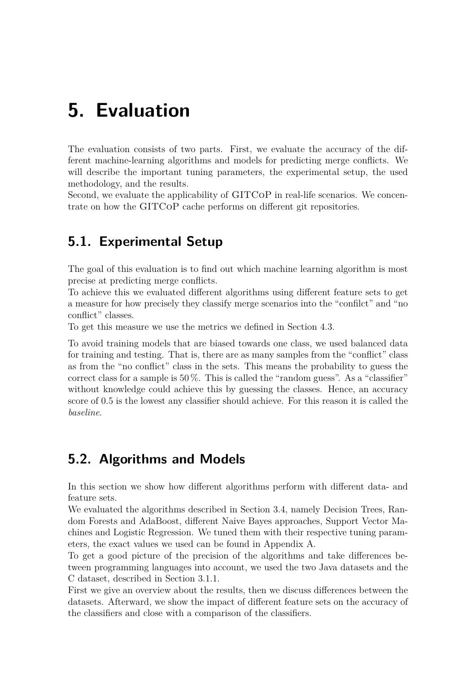# <span id="page-38-0"></span>**5. Evaluation**

The evaluation consists of two parts. First, we evaluate the accuracy of the different machine-learning algorithms and models for predicting merge conflicts. We will describe the important tuning parameters, the experimental setup, the used methodology, and the results.

Second, we evaluate the applicability of GITCoP in real-life scenarios. We concentrate on how the GITCoP cache performs on different git repositories.

## **5.1. Experimental Setup**

The goal of this evaluation is to find out which machine learning algorithm is most precise at predicting merge conflicts.

To achieve this we evaluated different algorithms using different feature sets to get a measure for how precisely they classify merge scenarios into the "confilct" and "no conflict" classes.

To get this measure we use the metrics we defined in Section [4.3.](#page-36-1)

To avoid training models that are biased towards one class, we used balanced data for training and testing. That is, there are as many samples from the "conflict" class as from the "no conflict" class in the sets. This means the probability to guess the correct class for a sample is  $50\%$ . This is called the "random guess". As a "classifier" without knowledge could achieve this by guessing the classes. Hence, an accuracy score of 0*.*5 is the lowest any classifier should achieve. For this reason it is called the *baseline*.

## **5.2. Algorithms and Models**

In this section we show how different algorithms perform with different data- and feature sets.

We evaluated the algorithms described in Section [3.4,](#page-26-0) namely Decision Trees, Random Forests and AdaBoost, different Naive Bayes approaches, Support Vector Machines and Logistic Regression. We tuned them with their respective tuning parameters, the exact values we used can be found in Appendix [A.](#page-68-0)

To get a good picture of the precision of the algorithms and take differences between programming languages into account, we used the two Java datasets and the C dataset, described in Section [3.1.1.](#page-22-0)

First we give an overview about the results, then we discuss differences between the datasets. Afterward, we show the impact of different feature sets on the accuracy of the classifiers and close with a comparison of the classifiers.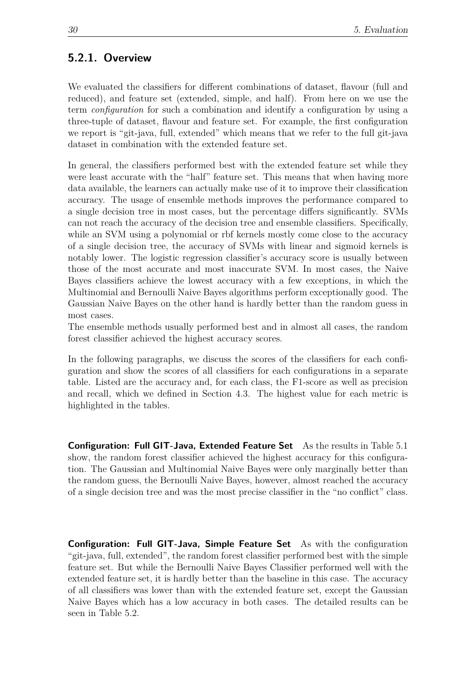### **5.2.1. Overview**

We evaluated the classifiers for different combinations of dataset, flavour (full and reduced), and feature set (extended, simple, and half). From here on we use the term *configuration* for such a combination and identify a configuration by using a three-tuple of dataset, flavour and feature set. For example, the first configuration we report is "git-java, full, extended" which means that we refer to the full git-java dataset in combination with the extended feature set.

In general, the classifiers performed best with the extended feature set while they were least accurate with the "half" feature set. This means that when having more data available, the learners can actually make use of it to improve their classification accuracy. The usage of ensemble methods improves the performance compared to a single decision tree in most cases, but the percentage differs significantly. SVMs can not reach the accuracy of the decision tree and ensemble classifiers. Specifically, while an SVM using a polynomial or rbf kernels mostly come close to the accuracy of a single decision tree, the accuracy of SVMs with linear and sigmoid kernels is notably lower. The logistic regression classifier's accuracy score is usually between those of the most accurate and most inaccurate SVM. In most cases, the Naive Bayes classifiers achieve the lowest accuracy with a few exceptions, in which the Multinomial and Bernoulli Naive Bayes algorithms perform exceptionally good. The Gaussian Naive Bayes on the other hand is hardly better than the random guess in most cases.

The ensemble methods usually performed best and in almost all cases, the random forest classifier achieved the highest accuracy scores.

In the following paragraphs, we discuss the scores of the classifiers for each configuration and show the scores of all classifiers for each configurations in a separate table. Listed are the accuracy and, for each class, the F1-score as well as precision and recall, which we defined in Section [4.3.](#page-36-1) The highest value for each metric is highlighted in the tables.

**Configuration: Full GIT-Java, Extended Feature Set** As the results in Table [5.1](#page-40-0) show, the random forest classifier achieved the highest accuracy for this configuration. The Gaussian and Multinomial Naive Bayes were only marginally better than the random guess, the Bernoulli Naive Bayes, however, almost reached the accuracy of a single decision tree and was the most precise classifier in the "no conflict" class.

**Configuration: Full GIT-Java, Simple Feature Set** As with the configuration "git-java, full, extended", the random forest classifier performed best with the simple feature set. But while the Bernoulli Naive Bayes Classifier performed well with the extended feature set, it is hardly better than the baseline in this case. The accuracy of all classifiers was lower than with the extended feature set, except the Gaussian Naive Bayes which has a low accuracy in both cases. The detailed results can be seen in Table [5.2.](#page-40-1)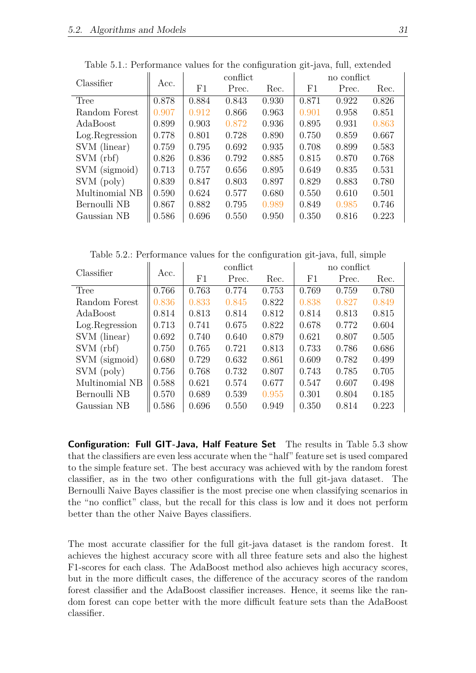| Classifier      |       | conflict |       |       | no conflict |       |       |  |
|-----------------|-------|----------|-------|-------|-------------|-------|-------|--|
|                 | Acc.  | F1       | Prec. | Rec.  | F1          | Prec. | Rec.  |  |
| Tree            | 0.878 | 0.884    | 0.843 | 0.930 | 0.871       | 0.922 | 0.826 |  |
| Random Forest   | 0.907 | 0.912    | 0.866 | 0.963 | 0.901       | 0.958 | 0.851 |  |
| AdaBoost        | 0.899 | 0.903    | 0.872 | 0.936 | 0.895       | 0.931 | 0.863 |  |
| Log. Regression | 0.778 | 0.801    | 0.728 | 0.890 | 0.750       | 0.859 | 0.667 |  |
| SVM (linear)    | 0.759 | 0.795    | 0.692 | 0.935 | 0.708       | 0.899 | 0.583 |  |
| SVM(rbf)        | 0.826 | 0.836    | 0.792 | 0.885 | 0.815       | 0.870 | 0.768 |  |
| SVM (sigmoid)   | 0.713 | 0.757    | 0.656 | 0.895 | 0.649       | 0.835 | 0.531 |  |
| SVM (poly)      | 0.839 | 0.847    | 0.803 | 0.897 | 0.829       | 0.883 | 0.780 |  |
| Multinomial NB  | 0.590 | 0.624    | 0.577 | 0.680 | 0.550       | 0.610 | 0.501 |  |
| Bernoulli NB    | 0.867 | 0.882    | 0.795 | 0.989 | 0.849       | 0.985 | 0.746 |  |
| Gaussian NB     | 0.586 | 0.696    | 0.550 | 0.950 | 0.350       | 0.816 | 0.223 |  |

<span id="page-40-0"></span>Table 5.1.: Performance values for the configuration git-java, full, extended

<span id="page-40-1"></span>Table 5.2.: Performance values for the configuration git-java, full, simple

| Classifier      |       | conflict |       |       | no conflict |       |       |  |
|-----------------|-------|----------|-------|-------|-------------|-------|-------|--|
|                 | Acc.  | F1       | Prec. | Rec.  | F1          | Prec. | Rec.  |  |
| Tree            | 0.766 | 0.763    | 0.774 | 0.753 | 0.769       | 0.759 | 0.780 |  |
| Random Forest   | 0.836 | 0.833    | 0.845 | 0.822 | 0.838       | 0.827 | 0.849 |  |
| AdaBoost        | 0.814 | 0.813    | 0.814 | 0.812 | 0.814       | 0.813 | 0.815 |  |
| Log. Regression | 0.713 | 0.741    | 0.675 | 0.822 | 0.678       | 0.772 | 0.604 |  |
| SVM (linear)    | 0.692 | 0.740    | 0.640 | 0.879 | 0.621       | 0.807 | 0.505 |  |
| SVM(rbf)        | 0.750 | 0.765    | 0.721 | 0.813 | 0.733       | 0.786 | 0.686 |  |
| SVM (sigmoid)   | 0.680 | 0.729    | 0.632 | 0.861 | 0.609       | 0.782 | 0.499 |  |
| SVM (poly)      | 0.756 | 0.768    | 0.732 | 0.807 | 0.743       | 0.785 | 0.705 |  |
| Multinomial NB  | 0.588 | 0.621    | 0.574 | 0.677 | 0.547       | 0.607 | 0.498 |  |
| Bernoulli NB    | 0.570 | 0.689    | 0.539 | 0.955 | 0.301       | 0.804 | 0.185 |  |
| Gaussian NB     | 0.586 | 0.696    | 0.550 | 0.949 | 0.350       | 0.814 | 0.223 |  |

**Configuration: Full GIT-Java, Half Feature Set** The results in Table [5.3](#page-41-0) show that the classifiers are even less accurate when the "half" feature set is used compared to the simple feature set. The best accuracy was achieved with by the random forest classifier, as in the two other configurations with the full git-java dataset. The Bernoulli Naive Bayes classifier is the most precise one when classifying scenarios in the "no conflict" class, but the recall for this class is low and it does not perform better than the other Naive Bayes classifiers.

The most accurate classifier for the full git-java dataset is the random forest. It achieves the highest accuracy score with all three feature sets and also the highest F1-scores for each class. The AdaBoost method also achieves high accuracy scores, but in the more difficult cases, the difference of the accuracy scores of the random forest classifier and the AdaBoost classifier increases. Hence, it seems like the random forest can cope better with the more difficult feature sets than the AdaBoost classifier.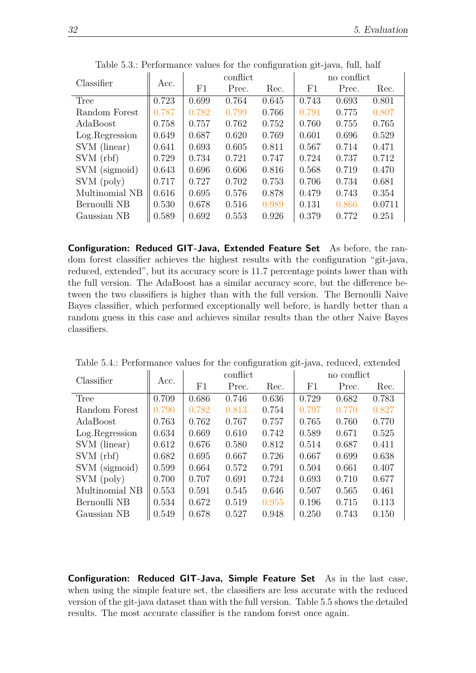| Classifier      |       | conflict |       |       | no conflict |       |        |  |
|-----------------|-------|----------|-------|-------|-------------|-------|--------|--|
|                 | Acc.  | F1       | Prec. | Rec.  | F1          | Prec. | Rec.   |  |
| Tree            | 0.723 | 0.699    | 0.764 | 0.645 | 0.743       | 0.693 | 0.801  |  |
| Random Forest   | 0.787 | 0.782    | 0.799 | 0.766 | 0.791       | 0.775 | 0.807  |  |
| AdaBoost        | 0.758 | 0.757    | 0.762 | 0.752 | 0.760       | 0.755 | 0.765  |  |
| Log. Regression | 0.649 | 0.687    | 0.620 | 0.769 | 0.601       | 0.696 | 0.529  |  |
| SVM (linear)    | 0.641 | 0.693    | 0.605 | 0.811 | 0.567       | 0.714 | 0.471  |  |
| SVM(rbf)        | 0.729 | 0.734    | 0.721 | 0.747 | 0.724       | 0.737 | 0.712  |  |
| SVM (sigmoid)   | 0.643 | 0.696    | 0.606 | 0.816 | 0.568       | 0.719 | 0.470  |  |
| SVM (poly)      | 0.717 | 0.727    | 0.702 | 0.753 | 0.706       | 0.734 | 0.681  |  |
| Multinomial NB  | 0.616 | 0.695    | 0.576 | 0.878 | 0.479       | 0.743 | 0.354  |  |
| Bernoulli NB    | 0.530 | 0.678    | 0.516 | 0.989 | 0.131       | 0.866 | 0.0711 |  |
| Gaussian NB     | 0.589 | 0.692    | 0.553 | 0.926 | 0.379       | 0.772 | 0.251  |  |
|                 |       |          |       |       |             |       |        |  |

<span id="page-41-0"></span>Table 5.3.: Performance values for the configuration git-java, full, half

**Configuration: Reduced GIT-Java, Extended Feature Set** As before, the random forest classifier achieves the highest results with the configuration "git-java, reduced, extended", but its accuracy score is 11*.*7 percentage points lower than with the full version. The AdaBoost has a similar accuracy score, but the difference between the two classifiers is higher than with the full version. The Bernoulli Naive Bayes classifier, which performed exceptionally well before, is hardly better than a random guess in this case and achieves similar results than the other Naive Bayes classifiers.

| Classifier      | Acc.  | conflict |       |       | no conflict |       |       |  |
|-----------------|-------|----------|-------|-------|-------------|-------|-------|--|
|                 |       | F1       | Prec. | Rec.  | F1          | Prec. | Rec.  |  |
| Tree            | 0.709 | 0.686    | 0.746 | 0.636 | 0.729       | 0.682 | 0.783 |  |
| Random Forest   | 0.790 | 0.782    | 0.813 | 0.754 | 0.797       | 0.770 | 0.827 |  |
| AdaBoost        | 0.763 | 0.762    | 0.767 | 0.757 | 0.765       | 0.760 | 0.770 |  |
| Log. Regression | 0.634 | 0.669    | 0.610 | 0.742 | 0.589       | 0.671 | 0.525 |  |
| SVM (linear)    | 0.612 | 0.676    | 0.580 | 0.812 | 0.514       | 0.687 | 0.411 |  |
| SVM(rbf)        | 0.682 | 0.695    | 0.667 | 0.726 | 0.667       | 0.699 | 0.638 |  |
| SVM (sigmoid)   | 0.599 | 0.664    | 0.572 | 0.791 | 0.504       | 0.661 | 0.407 |  |
| SVM (poly)      | 0.700 | 0.707    | 0.691 | 0.724 | 0.693       | 0.710 | 0.677 |  |
| Multinomial NB  | 0.553 | 0.591    | 0.545 | 0.646 | 0.507       | 0.565 | 0.461 |  |
| Bernoulli NB    | 0.534 | 0.672    | 0.519 | 0.955 | 0.196       | 0.715 | 0.113 |  |
| Gaussian NB     | 0.549 | 0.678    | 0.527 | 0.948 | 0.250       | 0.743 | 0.150 |  |

Table 5.4.: Performance values for the configuration git-java, reduced, extended

**Configuration: Reduced GIT-Java, Simple Feature Set** As in the last case, when using the simple feature set, the classifiers are less accurate with the reduced version of the git-java dataset than with the full version. Table [5.5](#page-42-0) shows the detailed results. The most accurate classifier is the random forest once again.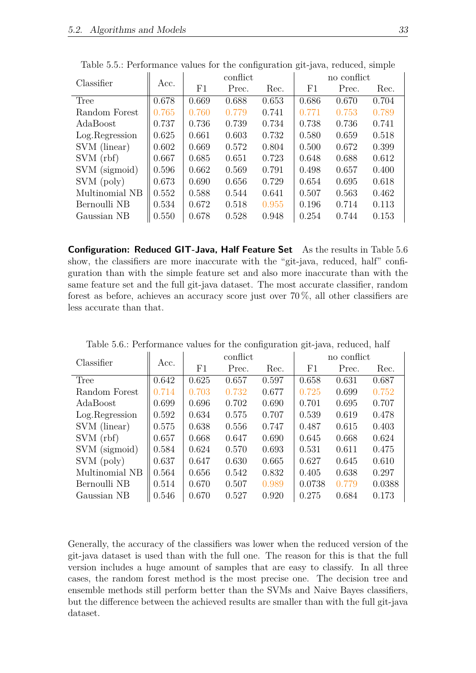| Classifier      | Acc.  | conflict |       |       | no conflict |       |       |  |
|-----------------|-------|----------|-------|-------|-------------|-------|-------|--|
|                 |       | F1       | Prec. | Rec.  | F1          | Prec. | Rec.  |  |
| Tree            | 0.678 | 0.669    | 0.688 | 0.653 | 0.686       | 0.670 | 0.704 |  |
| Random Forest   | 0.765 | 0.760    | 0.779 | 0.741 | 0.771       | 0.753 | 0.789 |  |
| AdaBoost        | 0.737 | 0.736    | 0.739 | 0.734 | 0.738       | 0.736 | 0.741 |  |
| Log. Regression | 0.625 | 0.661    | 0.603 | 0.732 | 0.580       | 0.659 | 0.518 |  |
| SVM (linear)    | 0.602 | 0.669    | 0.572 | 0.804 | 0.500       | 0.672 | 0.399 |  |
| SVM(rbf)        | 0.667 | 0.685    | 0.651 | 0.723 | 0.648       | 0.688 | 0.612 |  |
| SVM (sigmoid)   | 0.596 | 0.662    | 0.569 | 0.791 | 0.498       | 0.657 | 0.400 |  |
| SVM (poly)      | 0.673 | 0.690    | 0.656 | 0.729 | 0.654       | 0.695 | 0.618 |  |
| Multinomial NB  | 0.552 | 0.588    | 0.544 | 0.641 | 0.507       | 0.563 | 0.462 |  |
| Bernoulli NB    | 0.534 | 0.672    | 0.518 | 0.955 | 0.196       | 0.714 | 0.113 |  |
| Gaussian NB     | 0.550 | 0.678    | 0.528 | 0.948 | 0.254       | 0.744 | 0.153 |  |

<span id="page-42-0"></span>Table 5.5.: Performance values for the configuration git-java, reduced, simple

**Configuration: Reduced GIT-Java, Half Feature Set** As the results in Table [5.6](#page-42-1) show, the classifiers are more inaccurate with the "git-java, reduced, half" configuration than with the simple feature set and also more inaccurate than with the same feature set and the full git-java dataset. The most accurate classifier, random forest as before, achieves an accuracy score just over 70 %, all other classifiers are less accurate than that.

| Classifier      |       |             | conflict |       | no conflict |       |        |  |
|-----------------|-------|-------------|----------|-------|-------------|-------|--------|--|
|                 | Acc.  | $_{\rm F1}$ | Prec.    | Rec.  | F1          | Prec. | Rec.   |  |
| Tree            | 0.642 | 0.625       | 0.657    | 0.597 | 0.658       | 0.631 | 0.687  |  |
| Random Forest   | 0.714 | 0.703       | 0.732    | 0.677 | 0.725       | 0.699 | 0.752  |  |
| AdaBoost        | 0.699 | 0.696       | 0.702    | 0.690 | 0.701       | 0.695 | 0.707  |  |
| Log. Regression | 0.592 | 0.634       | 0.575    | 0.707 | 0.539       | 0.619 | 0.478  |  |
| SVM (linear)    | 0.575 | 0.638       | 0.556    | 0.747 | 0.487       | 0.615 | 0.403  |  |
| SVM(rbf)        | 0.657 | 0.668       | 0.647    | 0.690 | 0.645       | 0.668 | 0.624  |  |
| SVM (sigmoid)   | 0.584 | 0.624       | 0.570    | 0.693 | 0.531       | 0.611 | 0.475  |  |
| SVM (poly)      | 0.637 | 0.647       | 0.630    | 0.665 | 0.627       | 0.645 | 0.610  |  |
| Multinomial NB  | 0.564 | 0.656       | 0.542    | 0.832 | 0.405       | 0.638 | 0.297  |  |
| Bernoulli NB    | 0.514 | 0.670       | 0.507    | 0.989 | 0.0738      | 0.779 | 0.0388 |  |
| Gaussian NB     | 0.546 | 0.670       | 0.527    | 0.920 | 0.275       | 0.684 | 0.173  |  |

<span id="page-42-1"></span>Table 5.6.: Performance values for the configuration git-java, reduced, half

Generally, the accuracy of the classifiers was lower when the reduced version of the git-java dataset is used than with the full one. The reason for this is that the full version includes a huge amount of samples that are easy to classify. In all three cases, the random forest method is the most precise one. The decision tree and ensemble methods still perform better than the SVMs and Naive Bayes classifiers, but the difference between the achieved results are smaller than with the full git-java dataset.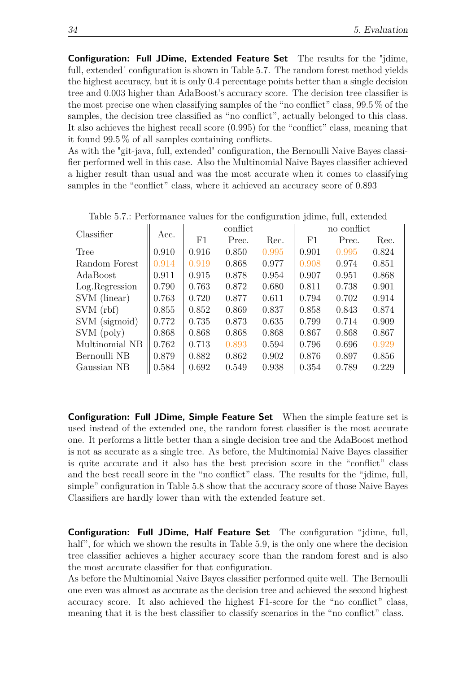**Configuration: Full JDime, Extended Feature Set** The results for the "jdime, full, extended" configuration is shown in Table [5.7.](#page-43-0) The random forest method yields the highest accuracy, but it is only 0*.*4 percentage points better than a single decision tree and 0*.*003 higher than AdaBoost's accuracy score. The decision tree classifier is the most precise one when classifying samples of the "no conflict" class, 99*.*5 % of the samples, the decision tree classified as "no conflict", actually belonged to this class. It also achieves the highest recall score (0*.*995) for the "conflict" class, meaning that it found 99*.*5 % of all samples containing conflicts.

As with the "git-java, full, extended" configuration, the Bernoulli Naive Bayes classifier performed well in this case. Also the Multinomial Naive Bayes classifier achieved a higher result than usual and was the most accurate when it comes to classifying samples in the "conflict" class, where it achieved an accuracy score of 0*.*893

| Classifier      |       | conflict |       |       | no conflict |       |       |  |
|-----------------|-------|----------|-------|-------|-------------|-------|-------|--|
|                 | Acc.  | F1       | Prec. | Rec.  | F1          | Prec. | Rec.  |  |
| Tree            | 0.910 | 0.916    | 0.850 | 0.995 | 0.901       | 0.995 | 0.824 |  |
| Random Forest   | 0.914 | 0.919    | 0.868 | 0.977 | 0.908       | 0.974 | 0.851 |  |
| AdaBoost        | 0.911 | 0.915    | 0.878 | 0.954 | 0.907       | 0.951 | 0.868 |  |
| Log. Regression | 0.790 | 0.763    | 0.872 | 0.680 | 0.811       | 0.738 | 0.901 |  |
| SVM (linear)    | 0.763 | 0.720    | 0.877 | 0.611 | 0.794       | 0.702 | 0.914 |  |
| SVM(rbf)        | 0.855 | 0.852    | 0.869 | 0.837 | 0.858       | 0.843 | 0.874 |  |
| SVM (sigmoid)   | 0.772 | 0.735    | 0.873 | 0.635 | 0.799       | 0.714 | 0.909 |  |
| SVM (poly)      | 0.868 | 0.868    | 0.868 | 0.868 | 0.867       | 0.868 | 0.867 |  |
| Multinomial NB  | 0.762 | 0.713    | 0.893 | 0.594 | 0.796       | 0.696 | 0.929 |  |
| Bernoulli NB    | 0.879 | 0.882    | 0.862 | 0.902 | 0.876       | 0.897 | 0.856 |  |
| Gaussian NB     | 0.584 | 0.692    | 0.549 | 0.938 | 0.354       | 0.789 | 0.229 |  |

<span id="page-43-0"></span>Table 5.7.: Performance values for the configuration jdime, full, extended

**Configuration: Full JDime, Simple Feature Set** When the simple feature set is used instead of the extended one, the random forest classifier is the most accurate one. It performs a little better than a single decision tree and the AdaBoost method is not as accurate as a single tree. As before, the Multinomial Naive Bayes classifier is quite accurate and it also has the best precision score in the "conflict" class and the best recall score in the "no conflict" class. The results for the "jdime, full, simple" configuration in Table [5.8](#page-44-0) show that the accuracy score of those Naive Bayes Classifiers are hardly lower than with the extended feature set.

**Configuration: Full JDime, Half Feature Set** The configuration "jdime, full, half", for which we shown the results in Table [5.9,](#page-44-1) is the only one where the decision tree classifier achieves a higher accuracy score than the random forest and is also the most accurate classifier for that configuration.

As before the Multinomial Naive Bayes classifier performed quite well. The Bernoulli one even was almost as accurate as the decision tree and achieved the second highest accuracy score. It also achieved the highest F1-score for the "no conflict" class, meaning that it is the best classifier to classify scenarios in the "no conflict" class.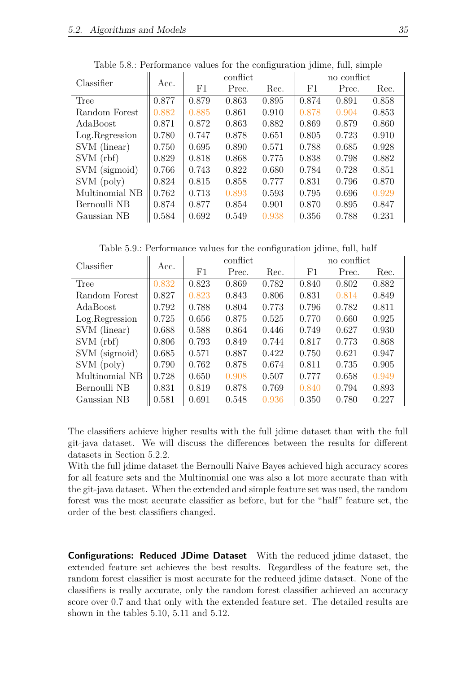| Classifier      |       | conflict |       |       | no conflict |       |       |  |
|-----------------|-------|----------|-------|-------|-------------|-------|-------|--|
|                 | Acc.  | F1       | Prec. | Rec.  | F1          | Prec. | Rec.  |  |
| Tree            | 0.877 | 0.879    | 0.863 | 0.895 | 0.874       | 0.891 | 0.858 |  |
| Random Forest   | 0.882 | 0.885    | 0.861 | 0.910 | 0.878       | 0.904 | 0.853 |  |
| AdaBoost        | 0.871 | 0.872    | 0.863 | 0.882 | 0.869       | 0.879 | 0.860 |  |
| Log. Regression | 0.780 | 0.747    | 0.878 | 0.651 | 0.805       | 0.723 | 0.910 |  |
| SVM (linear)    | 0.750 | 0.695    | 0.890 | 0.571 | 0.788       | 0.685 | 0.928 |  |
| SVM(rbf)        | 0.829 | 0.818    | 0.868 | 0.775 | 0.838       | 0.798 | 0.882 |  |
| SVM (sigmoid)   | 0.766 | 0.743    | 0.822 | 0.680 | 0.784       | 0.728 | 0.851 |  |
| SVM (poly)      | 0.824 | 0.815    | 0.858 | 0.777 | 0.831       | 0.796 | 0.870 |  |
| Multinomial NB  | 0.762 | 0.713    | 0.893 | 0.593 | 0.795       | 0.696 | 0.929 |  |
| Bernoulli NB    | 0.874 | 0.877    | 0.854 | 0.901 | 0.870       | 0.895 | 0.847 |  |
| Gaussian NB     | 0.584 | 0.692    | 0.549 | 0.938 | 0.356       | 0.788 | 0.231 |  |

<span id="page-44-0"></span>Table 5.8.: Performance values for the configuration jdime, full, simple

<span id="page-44-1"></span>Table 5.9.: Performance values for the configuration jdime, full, half

| Classifier      | Acc.  | conflict    |       |       | no conflict |       |       |  |
|-----------------|-------|-------------|-------|-------|-------------|-------|-------|--|
|                 |       | $_{\rm F1}$ | Prec. | Rec.  | $\rm F1$    | Prec. | Rec.  |  |
| Tree            | 0.832 | 0.823       | 0.869 | 0.782 | 0.840       | 0.802 | 0.882 |  |
| Random Forest   | 0.827 | 0.823       | 0.843 | 0.806 | 0.831       | 0.814 | 0.849 |  |
| AdaBoost        | 0.792 | 0.788       | 0.804 | 0.773 | 0.796       | 0.782 | 0.811 |  |
| Log. Regression | 0.725 | 0.656       | 0.875 | 0.525 | 0.770       | 0.660 | 0.925 |  |
| SVM (linear)    | 0.688 | 0.588       | 0.864 | 0.446 | 0.749       | 0.627 | 0.930 |  |
| SVM(rbf)        | 0.806 | 0.793       | 0.849 | 0.744 | 0.817       | 0.773 | 0.868 |  |
| SVM (sigmoid)   | 0.685 | 0.571       | 0.887 | 0.422 | 0.750       | 0.621 | 0.947 |  |
| SVM (poly)      | 0.790 | 0.762       | 0.878 | 0.674 | 0.811       | 0.735 | 0.905 |  |
| Multinomial NB  | 0.728 | 0.650       | 0.908 | 0.507 | 0.777       | 0.658 | 0.949 |  |
| Bernoulli NB    | 0.831 | 0.819       | 0.878 | 0.769 | 0.840       | 0.794 | 0.893 |  |
| Gaussian NB     | 0.581 | 0.691       | 0.548 | 0.936 | 0.350       | 0.780 | 0.227 |  |

The classifiers achieve higher results with the full jdime dataset than with the full git-java dataset. We will discuss the differences between the results for different datasets in Section [5.2.2.](#page-49-0)

With the full jdime dataset the Bernoulli Naive Bayes achieved high accuracy scores for all feature sets and the Multinomial one was also a lot more accurate than with the git-java dataset. When the extended and simple feature set was used, the random forest was the most accurate classifier as before, but for the "half" feature set, the order of the best classifiers changed.

**Configurations: Reduced JDime Dataset** With the reduced jdime dataset, the extended feature set achieves the best results. Regardless of the feature set, the random forest classifier is most accurate for the reduced jdime dataset. None of the classifiers is really accurate, only the random forest classifier achieved an accuracy score over 0*.*7 and that only with the extended feature set. The detailed results are shown in the tables [5.10,](#page-45-0) [5.11](#page-45-1) and [5.12.](#page-46-0)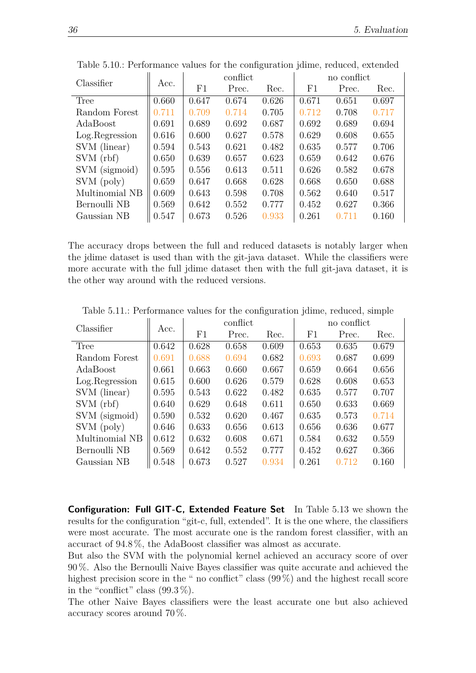| Classifier      | Acc.  | conflict |       |       | no conflict |       |       |  |
|-----------------|-------|----------|-------|-------|-------------|-------|-------|--|
|                 |       | F1       | Prec. | Rec.  | F1          | Prec. | Rec.  |  |
| Tree            | 0.660 | 0.647    | 0.674 | 0.626 | 0.671       | 0.651 | 0.697 |  |
| Random Forest   | 0.711 | 0.709    | 0.714 | 0.705 | 0.712       | 0.708 | 0.717 |  |
| AdaBoost        | 0.691 | 0.689    | 0.692 | 0.687 | 0.692       | 0.689 | 0.694 |  |
| Log. Regression | 0.616 | 0.600    | 0.627 | 0.578 | 0.629       | 0.608 | 0.655 |  |
| SVM (linear)    | 0.594 | 0.543    | 0.621 | 0.482 | 0.635       | 0.577 | 0.706 |  |
| SVM(rbf)        | 0.650 | 0.639    | 0.657 | 0.623 | 0.659       | 0.642 | 0.676 |  |
| SVM (sigmoid)   | 0.595 | 0.556    | 0.613 | 0.511 | 0.626       | 0.582 | 0.678 |  |
| SVM (poly)      | 0.659 | 0.647    | 0.668 | 0.628 | 0.668       | 0.650 | 0.688 |  |
| Multinomial NB  | 0.609 | 0.643    | 0.598 | 0.708 | 0.562       | 0.640 | 0.517 |  |
| Bernoulli NB    | 0.569 | 0.642    | 0.552 | 0.777 | 0.452       | 0.627 | 0.366 |  |
| Gaussian NB     | 0.547 | 0.673    | 0.526 | 0.933 | 0.261       | 0.711 | 0.160 |  |

<span id="page-45-0"></span>Table 5.10.: Performance values for the configuration jdime, reduced, extended

The accuracy drops between the full and reduced datasets is notably larger when the jdime dataset is used than with the git-java dataset. While the classifiers were more accurate with the full jdime dataset then with the full git-java dataset, it is the other way around with the reduced versions.

| Classifier      | Acc.  | conflict |       |       | no conflict |       |       |  |
|-----------------|-------|----------|-------|-------|-------------|-------|-------|--|
|                 |       | F1       | Prec. | Rec.  | F1          | Prec. | Rec.  |  |
| Tree            | 0.642 | 0.628    | 0.658 | 0.609 | 0.653       | 0.635 | 0.679 |  |
| Random Forest   | 0.691 | 0.688    | 0.694 | 0.682 | 0.693       | 0.687 | 0.699 |  |
| AdaBoost        | 0.661 | 0.663    | 0.660 | 0.667 | 0.659       | 0.664 | 0.656 |  |
| Log. Regression | 0.615 | 0.600    | 0.626 | 0.579 | 0.628       | 0.608 | 0.653 |  |
| SVM (linear)    | 0.595 | 0.543    | 0.622 | 0.482 | 0.635       | 0.577 | 0.707 |  |
| SVM(rbf)        | 0.640 | 0.629    | 0.648 | 0.611 | 0.650       | 0.633 | 0.669 |  |
| SVM (sigmoid)   | 0.590 | 0.532    | 0.620 | 0.467 | 0.635       | 0.573 | 0.714 |  |
| SVM (poly)      | 0.646 | 0.633    | 0.656 | 0.613 | 0.656       | 0.636 | 0.677 |  |
| Multinomial NB  | 0.612 | 0.632    | 0.608 | 0.671 | 0.584       | 0.632 | 0.559 |  |
| Bernoulli NB    | 0.569 | 0.642    | 0.552 | 0.777 | 0.452       | 0.627 | 0.366 |  |
| Gaussian NB     | 0.548 | 0.673    | 0.527 | 0.934 | 0.261       | 0.712 | 0.160 |  |

<span id="page-45-1"></span>Table 5.11.: Performance values for the configuration jdime, reduced, simple

**Configuration: Full GIT-C, Extended Feature Set** In Table [5.13](#page-46-1) we shown the results for the configuration "git-c, full, extended". It is the one where, the classifiers were most accurate. The most accurate one is the random forest classifier, with an accuract of 94*.*8 %, the AdaBoost classifier was almost as accurate.

But also the SVM with the polynomial kernel achieved an accuracy score of over 90 %. Also the Bernoulli Naive Bayes classifier was quite accurate and achieved the highest precision score in the " no conflict" class (99%) and the highest recall score in the "conflict" class  $(99.3\%)$ .

The other Naive Bayes classifiers were the least accurate one but also achieved accuracy scores around 70 %.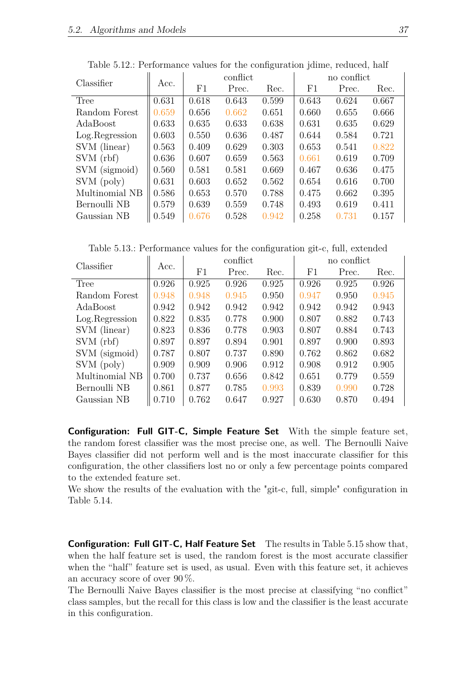| Classifier      |       | conflict |       |       | no conflict |       |       |  |
|-----------------|-------|----------|-------|-------|-------------|-------|-------|--|
|                 | Acc.  | F1       | Prec. | Rec.  | F1          | Prec. | Rec.  |  |
| Tree            | 0.631 | 0.618    | 0.643 | 0.599 | 0.643       | 0.624 | 0.667 |  |
| Random Forest   | 0.659 | 0.656    | 0.662 | 0.651 | 0.660       | 0.655 | 0.666 |  |
| AdaBoost        | 0.633 | 0.635    | 0.633 | 0.638 | 0.631       | 0.635 | 0.629 |  |
| Log. Regression | 0.603 | 0.550    | 0.636 | 0.487 | 0.644       | 0.584 | 0.721 |  |
| SVM (linear)    | 0.563 | 0.409    | 0.629 | 0.303 | 0.653       | 0.541 | 0.822 |  |
| SVM(rbf)        | 0.636 | 0.607    | 0.659 | 0.563 | 0.661       | 0.619 | 0.709 |  |
| SVM (sigmoid)   | 0.560 | 0.581    | 0.581 | 0.669 | 0.467       | 0.636 | 0.475 |  |
| SVM (poly)      | 0.631 | 0.603    | 0.652 | 0.562 | 0.654       | 0.616 | 0.700 |  |
| Multinomial NB  | 0.586 | 0.653    | 0.570 | 0.788 | 0.475       | 0.662 | 0.395 |  |
| Bernoulli NB    | 0.579 | 0.639    | 0.559 | 0.748 | 0.493       | 0.619 | 0.411 |  |
| Gaussian NB     | 0.549 | 0.676    | 0.528 | 0.942 | 0.258       | 0.731 | 0.157 |  |

<span id="page-46-0"></span>Table 5.12.: Performance values for the configuration jdime, reduced, half

<span id="page-46-1"></span>Table 5.13.: Performance values for the configuration git-c, full, extended

| Classifier      | Acc.  |       | conflict |       | no conflict |       |       |  |
|-----------------|-------|-------|----------|-------|-------------|-------|-------|--|
|                 |       | F1    | Prec.    | Rec.  | F1          | Prec. | Rec.  |  |
| Tree            | 0.926 | 0.925 | 0.926    | 0.925 | 0.926       | 0.925 | 0.926 |  |
| Random Forest   | 0.948 | 0.948 | 0.945    | 0.950 | 0.947       | 0.950 | 0.945 |  |
| AdaBoost        | 0.942 | 0.942 | 0.942    | 0.942 | 0.942       | 0.942 | 0.943 |  |
| Log. Regression | 0.822 | 0.835 | 0.778    | 0.900 | 0.807       | 0.882 | 0.743 |  |
| SVM (linear)    | 0.823 | 0.836 | 0.778    | 0.903 | 0.807       | 0.884 | 0.743 |  |
| SVM(rbf)        | 0.897 | 0.897 | 0.894    | 0.901 | 0.897       | 0.900 | 0.893 |  |
| SVM (sigmoid)   | 0.787 | 0.807 | 0.737    | 0.890 | 0.762       | 0.862 | 0.682 |  |
| SVM (poly)      | 0.909 | 0.909 | 0.906    | 0.912 | 0.908       | 0.912 | 0.905 |  |
| Multinomial NB  | 0.700 | 0.737 | 0.656    | 0.842 | 0.651       | 0.779 | 0.559 |  |
| Bernoulli NB    | 0.861 | 0.877 | 0.785    | 0.993 | 0.839       | 0.990 | 0.728 |  |
| Gaussian NB     | 0.710 | 0.762 | 0.647    | 0.927 | 0.630       | 0.870 | 0.494 |  |

**Configuration: Full GIT-C, Simple Feature Set** With the simple feature set, the random forest classifier was the most precise one, as well. The Bernoulli Naive Bayes classifier did not perform well and is the most inaccurate classifier for this configuration, the other classifiers lost no or only a few percentage points compared to the extended feature set.

We show the results of the evaluation with the "git-c, full, simple" configuration in Table [5.14.](#page-47-0)

**Configuration: Full GIT-C, Half Feature Set** The results in Table [5.15](#page-47-1) show that, when the half feature set is used, the random forest is the most accurate classifier when the "half" feature set is used, as usual. Even with this feature set, it achieves an accuracy score of over 90 %.

The Bernoulli Naive Bayes classifier is the most precise at classifying "no conflict" class samples, but the recall for this class is low and the classifier is the least accurate in this configuration.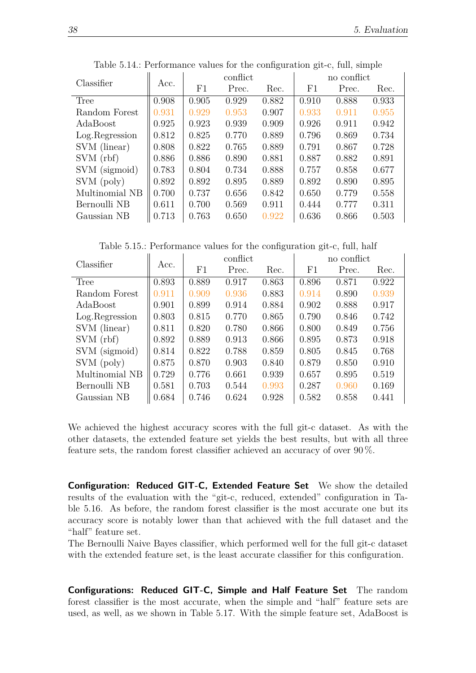| Classifier      |       | conflict |       |       | no conflict |       |       |  |
|-----------------|-------|----------|-------|-------|-------------|-------|-------|--|
|                 | Acc.  | F1       | Prec. | Rec.  | F1          | Prec. | Rec.  |  |
| Tree            | 0.908 | 0.905    | 0.929 | 0.882 | 0.910       | 0.888 | 0.933 |  |
| Random Forest   | 0.931 | 0.929    | 0.953 | 0.907 | 0.933       | 0.911 | 0.955 |  |
| AdaBoost        | 0.925 | 0.923    | 0.939 | 0.909 | 0.926       | 0.911 | 0.942 |  |
| Log. Regression | 0.812 | 0.825    | 0.770 | 0.889 | 0.796       | 0.869 | 0.734 |  |
| SVM (linear)    | 0.808 | 0.822    | 0.765 | 0.889 | 0.791       | 0.867 | 0.728 |  |
| SVM(rbf)        | 0.886 | 0.886    | 0.890 | 0.881 | 0.887       | 0.882 | 0.891 |  |
| SVM (sigmoid)   | 0.783 | 0.804    | 0.734 | 0.888 | 0.757       | 0.858 | 0.677 |  |
| SVM (poly)      | 0.892 | 0.892    | 0.895 | 0.889 | 0.892       | 0.890 | 0.895 |  |
| Multinomial NB  | 0.700 | 0.737    | 0.656 | 0.842 | 0.650       | 0.779 | 0.558 |  |
| Bernoulli NB    | 0.611 | 0.700    | 0.569 | 0.911 | 0.444       | 0.777 | 0.311 |  |
| Gaussian NB     | 0.713 | 0.763    | 0.650 | 0.922 | 0.636       | 0.866 | 0.503 |  |

<span id="page-47-0"></span>Table 5.14.: Performance values for the configuration git-c, full, simple

<span id="page-47-1"></span>Table 5.15.: Performance values for the configuration git-c, full, half

| Classifier      | Acc.  |       | conflict |       | no conflict |       |       |  |
|-----------------|-------|-------|----------|-------|-------------|-------|-------|--|
|                 |       | F1    | Prec.    | Rec.  | F1          | Prec. | Rec.  |  |
| Tree            | 0.893 | 0.889 | 0.917    | 0.863 | 0.896       | 0.871 | 0.922 |  |
| Random Forest   | 0.911 | 0.909 | 0.936    | 0.883 | 0.914       | 0.890 | 0.939 |  |
| AdaBoost        | 0.901 | 0.899 | 0.914    | 0.884 | 0.902       | 0.888 | 0.917 |  |
| Log. Regression | 0.803 | 0.815 | 0.770    | 0.865 | 0.790       | 0.846 | 0.742 |  |
| SVM (linear)    | 0.811 | 0.820 | 0.780    | 0.866 | 0.800       | 0.849 | 0.756 |  |
| SVM(rbf)        | 0.892 | 0.889 | 0.913    | 0.866 | 0.895       | 0.873 | 0.918 |  |
| SVM (sigmoid)   | 0.814 | 0.822 | 0.788    | 0.859 | 0.805       | 0.845 | 0.768 |  |
| SVM (poly)      | 0.875 | 0.870 | 0.903    | 0.840 | 0.879       | 0.850 | 0.910 |  |
| Multinomial NB  | 0.729 | 0.776 | 0.661    | 0.939 | 0.657       | 0.895 | 0.519 |  |
| Bernoulli NB    | 0.581 | 0.703 | 0.544    | 0.993 | 0.287       | 0.960 | 0.169 |  |
| Gaussian NB     | 0.684 | 0.746 | 0.624    | 0.928 | 0.582       | 0.858 | 0.441 |  |

We achieved the highest accuracy scores with the full git-c dataset. As with the other datasets, the extended feature set yields the best results, but with all three feature sets, the random forest classifier achieved an accuracy of over 90 %.

**Configuration: Reduced GIT-C, Extended Feature Set** We show the detailed results of the evaluation with the "git-c, reduced, extended" configuration in Table [5.16.](#page-48-0) As before, the random forest classifier is the most accurate one but its accuracy score is notably lower than that achieved with the full dataset and the "half" feature set.

The Bernoulli Naive Bayes classifier, which performed well for the full git-c dataset with the extended feature set, is the least accurate classifier for this configuration.

**Configurations: Reduced GIT-C, Simple and Half Feature Set** The random forest classifier is the most accurate, when the simple and "half" feature sets are used, as well, as we shown in Table [5.17.](#page-48-1) With the simple feature set, AdaBoost is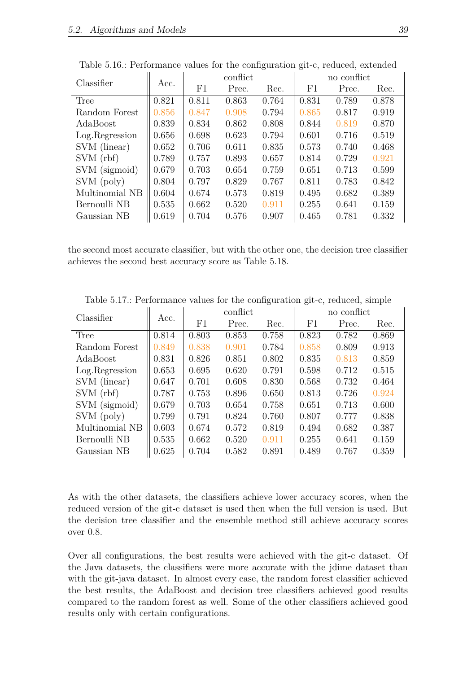| Classifier      |       |       | conflict |       | no conflict |       |       |  |
|-----------------|-------|-------|----------|-------|-------------|-------|-------|--|
|                 | Acc.  | F1    | Prec.    | Rec.  | F1          | Prec. | Rec.  |  |
| Tree            | 0.821 | 0.811 | 0.863    | 0.764 | 0.831       | 0.789 | 0.878 |  |
| Random Forest   | 0.856 | 0.847 | 0.908    | 0.794 | 0.865       | 0.817 | 0.919 |  |
| AdaBoost        | 0.839 | 0.834 | 0.862    | 0.808 | 0.844       | 0.819 | 0.870 |  |
| Log. Regression | 0.656 | 0.698 | 0.623    | 0.794 | 0.601       | 0.716 | 0.519 |  |
| SVM (linear)    | 0.652 | 0.706 | 0.611    | 0.835 | 0.573       | 0.740 | 0.468 |  |
| SVM(rbf)        | 0.789 | 0.757 | 0.893    | 0.657 | 0.814       | 0.729 | 0.921 |  |
| SVM (sigmoid)   | 0.679 | 0.703 | 0.654    | 0.759 | 0.651       | 0.713 | 0.599 |  |
| SVM (poly)      | 0.804 | 0.797 | 0.829    | 0.767 | 0.811       | 0.783 | 0.842 |  |
| Multinomial NB  | 0.604 | 0.674 | 0.573    | 0.819 | 0.495       | 0.682 | 0.389 |  |
| Bernoulli NB    | 0.535 | 0.662 | 0.520    | 0.911 | 0.255       | 0.641 | 0.159 |  |
| Gaussian NB     | 0.619 | 0.704 | 0.576    | 0.907 | 0.465       | 0.781 | 0.332 |  |

<span id="page-48-0"></span>Table 5.16.: Performance values for the configuration git-c, reduced, extended

the second most accurate classifier, but with the other one, the decision tree classifier achieves the second best accuracy score as Table [5.18.](#page-49-1)

| Classifier      | Acc.  |       | conflict |       | no conflict |       |       |  |
|-----------------|-------|-------|----------|-------|-------------|-------|-------|--|
|                 |       | F1    | Prec.    | Rec.  | F1          | Prec. | Rec.  |  |
| Tree            | 0.814 | 0.803 | 0.853    | 0.758 | 0.823       | 0.782 | 0.869 |  |
| Random Forest   | 0.849 | 0.838 | 0.901    | 0.784 | 0.858       | 0.809 | 0.913 |  |
| AdaBoost        | 0.831 | 0.826 | 0.851    | 0.802 | 0.835       | 0.813 | 0.859 |  |
| Log. Regression | 0.653 | 0.695 | 0.620    | 0.791 | 0.598       | 0.712 | 0.515 |  |
| SVM (linear)    | 0.647 | 0.701 | 0.608    | 0.830 | 0.568       | 0.732 | 0.464 |  |
| SVM(rbf)        | 0.787 | 0.753 | 0.896    | 0.650 | 0.813       | 0.726 | 0.924 |  |
| SVM (sigmoid)   | 0.679 | 0.703 | 0.654    | 0.758 | 0.651       | 0.713 | 0.600 |  |
| SVM (poly)      | 0.799 | 0.791 | 0.824    | 0.760 | 0.807       | 0.777 | 0.838 |  |
| Multinomial NB  | 0.603 | 0.674 | 0.572    | 0.819 | 0.494       | 0.682 | 0.387 |  |
| Bernoulli NB    | 0.535 | 0.662 | 0.520    | 0.911 | 0.255       | 0.641 | 0.159 |  |
| Gaussian NB     | 0.625 | 0.704 | 0.582    | 0.891 | 0.489       | 0.767 | 0.359 |  |

<span id="page-48-1"></span>Table 5.17.: Performance values for the configuration git-c, reduced, simple

As with the other datasets, the classifiers achieve lower accuracy scores, when the reduced version of the git-c dataset is used then when the full version is used. But the decision tree classifier and the ensemble method still achieve accuracy scores over 0*.*8.

Over all configurations, the best results were achieved with the git-c dataset. Of the Java datasets, the classifiers were more accurate with the jdime dataset than with the git-java dataset. In almost every case, the random forest classifier achieved the best results, the AdaBoost and decision tree classifiers achieved good results compared to the random forest as well. Some of the other classifiers achieved good results only with certain configurations.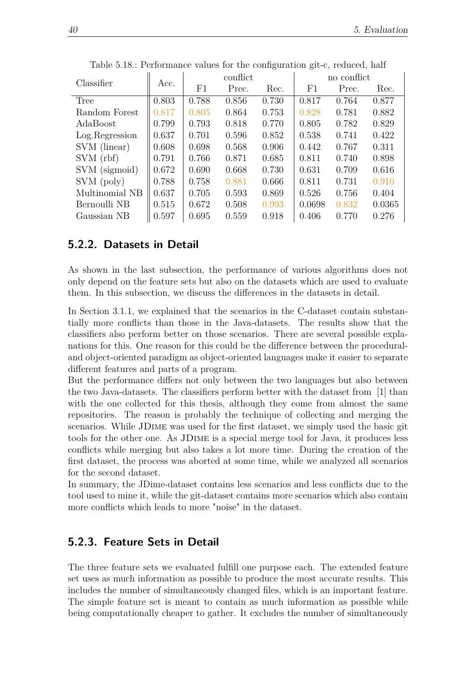|                 |       | conflict |       |       | no conflict |       |        |
|-----------------|-------|----------|-------|-------|-------------|-------|--------|
| Classifier      | Acc.  | F1       | Prec. | Rec.  | F1          | Prec. | Rec.   |
| Tree            | 0.803 | 0.788    | 0.856 | 0.730 | 0.817       | 0.764 | 0.877  |
| Random Forest   | 0.817 | 0.805    | 0.864 | 0.753 | 0.828       | 0.781 | 0.882  |
| AdaBoost        | 0.799 | 0.793    | 0.818 | 0.770 | 0.805       | 0.782 | 0.829  |
| Log. Regression | 0.637 | 0.701    | 0.596 | 0.852 | 0.538       | 0.741 | 0.422  |
| SVM (linear)    | 0.608 | 0.698    | 0.568 | 0.906 | 0.442       | 0.767 | 0.311  |
| SVM(rbf)        | 0.791 | 0.766    | 0.871 | 0.685 | 0.811       | 0.740 | 0.898  |
| SVM (sigmoid)   | 0.672 | 0.690    | 0.668 | 0.730 | 0.631       | 0.709 | 0.616  |
| SVM (poly)      | 0.788 | 0.758    | 0.881 | 0.666 | 0.811       | 0.731 | 0.910  |
| Multinomial NB  | 0.637 | 0.705    | 0.593 | 0.869 | 0.526       | 0.756 | 0.404  |
| Bernoulli NB    | 0.515 | 0.672    | 0.508 | 0.993 | 0.0698      | 0.832 | 0.0365 |
| Gaussian NB     | 0.597 | 0.695    | 0.559 | 0.918 | 0.406       | 0.770 | 0.276  |

<span id="page-49-1"></span>Table 5.18.: Performance values for the configuration git-c, reduced, half

## <span id="page-49-0"></span>**5.2.2. Datasets in Detail**

As shown in the last subsection, the performance of various algorithms does not only depend on the feature sets but also on the datasets which are used to evaluate them. In this subsection, we discuss the differences in the datasets in detail.

In Section [3.1.1,](#page-22-0) we explained that the scenarios in the C-dataset contain substantially more conflicts than those in the Java-datasets. The results show that the classifiers also perform better on those scenarios. There are several possible explanations for this. One reason for this could be the difference between the proceduraland object-oriented paradigm as object-oriented languages make it easier to separate different features and parts of a program.

But the performance differs not only between the two languages but also between the two Java-datasets. The classifiers perform better with the dataset from [\[1\]](#page-74-0) than with the one collected for this thesis, although they come from almost the same repositories. The reason is probably the technique of collecting and merging the scenarios. While JDime was used for the first dataset, we simply used the basic git tools for the other one. As JDime is a special merge tool for Java, it produces less conflicts while merging but also takes a lot more time. During the creation of the first dataset, the process was aborted at some time, while we analyzed all scenarios for the second dataset.

In summary, the JDime-dataset contains less scenarios and less conflicts due to the tool used to mine it, while the git-dataset contains more scenarios which also contain more conflicts which leads to more "noise" in the dataset.

## **5.2.3. Feature Sets in Detail**

The three feature sets we evaluated fulfill one purpose each. The extended feature set uses as much information as possible to produce the most accurate results. This includes the number of simultaneously changed files, which is an important feature. The simple feature set is meant to contain as much information as possible while being computationally cheaper to gather. It excludes the number of simultaneously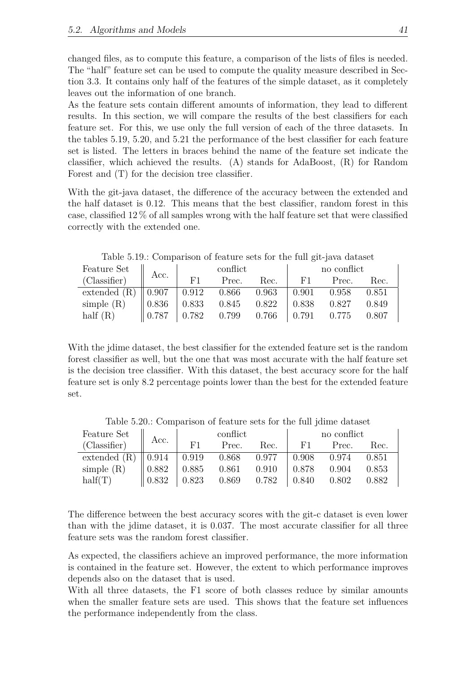changed files, as to compute this feature, a comparison of the lists of files is needed. The "half" feature set can be used to compute the quality measure described in Section [3.3.](#page-26-1) It contains only half of the features of the simple dataset, as it completely leaves out the information of one branch.

As the feature sets contain different amounts of information, they lead to different results. In this section, we will compare the results of the best classifiers for each feature set. For this, we use only the full version of each of the three datasets. In the tables [5.19,](#page-50-0) [5.20,](#page-50-1) and [5.21](#page-51-0) the performance of the best classifier for each feature set is listed. The letters in braces behind the name of the feature set indicate the classifier, which achieved the results. (A) stands for AdaBoost, (R) for Random Forest and (T) for the decision tree classifier.

With the git-java dataset, the difference of the accuracy between the extended and the half dataset is 0*.*12. This means that the best classifier, random forest in this case, classified 12 % of all samples wrong with the half feature set that were classified correctly with the extended one.

| Feature Set  | Acc.              | conflict     |       |       | no conflict |       |       |  |
|--------------|-------------------|--------------|-------|-------|-------------|-------|-------|--|
| (Classifier) |                   | F1           | Prec. | Rec.  | F1          | Prec. | Rec.  |  |
| extended (R) | $\parallel 0.907$ | $\mid$ 0.912 | 0.866 | 0.963 | 0.901       | 0.958 | 0.851 |  |
| simple $(R)$ | 0.836             | 0.833        | 0.845 | 0.822 | 0.838       | 0.827 | 0.849 |  |
| half $(R)$   | 0.787             | 0.782        | 0.799 | 0.766 | 0.791       | 0.775 | 0.807 |  |

<span id="page-50-0"></span>Table 5.19.: Comparison of feature sets for the full git-java dataset

With the jdime dataset, the best classifier for the extended feature set is the random forest classifier as well, but the one that was most accurate with the half feature set is the decision tree classifier. With this dataset, the best accuracy score for the half feature set is only 8*.*2 percentage points lower than the best for the extended feature set.

Feature Set  $\begin{array}{c|c|c|c} \text{Feature Set} & \text{conflict} & \text{no conflict} \\ \hline (Cl_{1,2,2}(f, x)) & \text{Acc.} & \text{Dec.} & \text{Dec.} & \text{Dec.} \end{array}$ (Classifier) Acc. F1 Prec. Rec. F1 Prec. Rec. extended (R) 0*.*914 0*.*919 0*.*868 0*.*977 0*.*908 0*.*974 0*.*851 simple (R) 0*.*882 0*.*885 0*.*861 0*.*910 0*.*878 0*.*904 0*.*853 half(T) 0*.*832 0*.*823 0*.*869 0*.*782 0*.*840 0*.*802 0*.*882

<span id="page-50-1"></span>Table 5.20.: Comparison of feature sets for the full jdime dataset

The difference between the best accuracy scores with the git-c dataset is even lower than with the jdime dataset, it is 0*.*037. The most accurate classifier for all three feature sets was the random forest classifier.

As expected, the classifiers achieve an improved performance, the more information is contained in the feature set. However, the extent to which performance improves depends also on the dataset that is used.

With all three datasets, the F1 score of both classes reduce by similar amounts when the smaller feature sets are used. This shows that the feature set influences the performance independently from the class.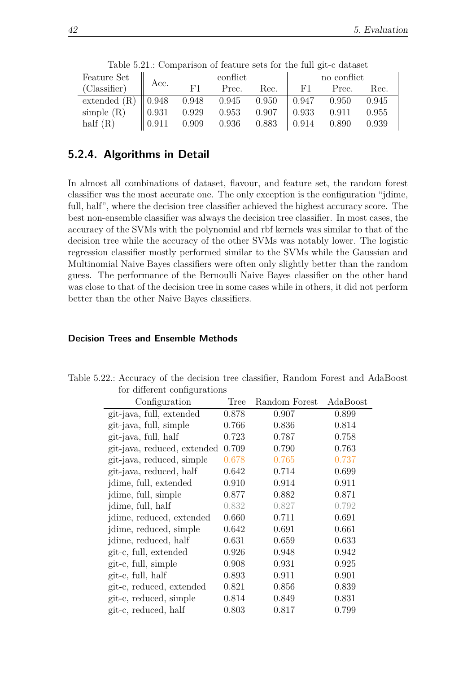| Feature Set $\parallel$ Acc.                                 |                   |    | conflict                                                |      | no conflict       |           |       |
|--------------------------------------------------------------|-------------------|----|---------------------------------------------------------|------|-------------------|-----------|-------|
| (Classifier)                                                 |                   | F1 | Prec.                                                   | Rec. | F1.               | Prec.     | Rec.  |
| extended (R) $\parallel$ 0.948 $\parallel$ 0.948 0.945 0.950 |                   |    |                                                         |      | $\mid 0.947 \mid$ | $0.950\,$ | 0.945 |
| simple $(R)$<br>half $(R)$                                   | $\parallel 0.931$ |    | $0.929$ $0.953$ $0.907$                                 |      | 0.933             | 0.911     | 0.955 |
|                                                              | $\parallel 0.911$ |    | $\begin{array}{cccc} 0.909 & 0.936 & 0.883 \end{array}$ |      | $\mid$ 0.914      | 0.890     | 0.939 |

<span id="page-51-0"></span>Table 5.21.: Comparison of feature sets for the full git-c dataset

## **5.2.4. Algorithms in Detail**

In almost all combinations of dataset, flavour, and feature set, the random forest classifier was the most accurate one. The only exception is the configuration "jdime, full, half", where the decision tree classifier achieved the highest accuracy score. The best non-ensemble classifier was always the decision tree classifier. In most cases, the accuracy of the SVMs with the polynomial and rbf kernels was similar to that of the decision tree while the accuracy of the other SVMs was notably lower. The logistic regression classifier mostly performed similar to the SVMs while the Gaussian and Multinomial Naive Bayes classifiers were often only slightly better than the random guess. The performance of the Bernoulli Naive Bayes classifier on the other hand was close to that of the decision tree in some cases while in others, it did not perform better than the other Naive Bayes classifiers.

#### **Decision Trees and Ensemble Methods**

<span id="page-51-1"></span>

| Configuration               | Tree  | Random Forest | AdaBoost |
|-----------------------------|-------|---------------|----------|
| git-java, full, extended    | 0.878 | 0.907         | 0.899    |
| git-java, full, simple      | 0.766 | 0.836         | 0.814    |
| git-java, full, half        | 0.723 | 0.787         | 0.758    |
| git-java, reduced, extended | 0.709 | 0.790         | 0.763    |
| git-java, reduced, simple   | 0.678 | 0.765         | 0.737    |
| git-java, reduced, half     | 0.642 | 0.714         | 0.699    |
| jdime, full, extended       | 0.910 | 0.914         | 0.911    |
| jdime, full, simple         | 0.877 | 0.882         | 0.871    |
| jdime, full, half           | 0.832 | 0.827         | 0.792    |
| jdime, reduced, extended    | 0.660 | 0.711         | 0.691    |
| jdime, reduced, simple      | 0.642 | 0.691         | 0.661    |
| jdime, reduced, half        | 0.631 | 0.659         | 0.633    |
| git-c, full, extended       | 0.926 | 0.948         | 0.942    |
| git-c, full, simple         | 0.908 | 0.931         | 0.925    |
| git-c, full, half           | 0.893 | 0.911         | 0.901    |
| git-c, reduced, extended    | 0.821 | 0.856         | 0.839    |
| git-c, reduced, simple      | 0.814 | 0.849         | 0.831    |
| git-c, reduced, half        | 0.803 | 0.817         | 0.799    |
|                             |       |               |          |

Table 5.22.: Accuracy of the decision tree classifier, Random Forest and AdaBoost for different configurations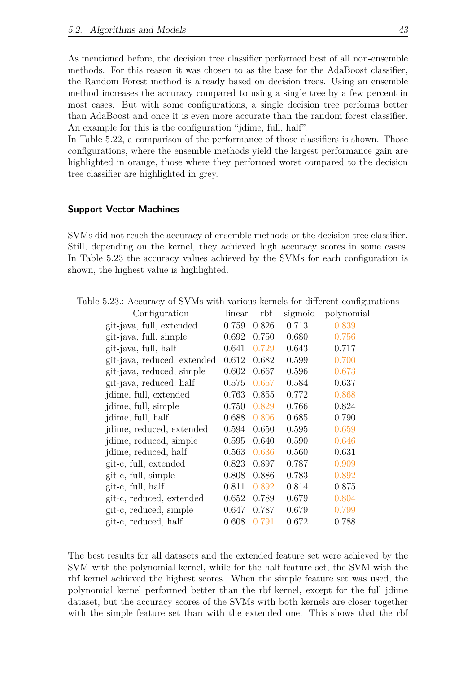As mentioned before, the decision tree classifier performed best of all non-ensemble methods. For this reason it was chosen to as the base for the AdaBoost classifier, the Random Forest method is already based on decision trees. Using an ensemble method increases the accuracy compared to using a single tree by a few percent in most cases. But with some configurations, a single decision tree performs better than AdaBoost and once it is even more accurate than the random forest classifier. An example for this is the configuration "jdime, full, half".

In Table [5.22,](#page-51-1) a comparison of the performance of those classifiers is shown. Those configurations, where the ensemble methods yield the largest performance gain are highlighted in orange, those where they performed worst compared to the decision tree classifier are highlighted in grey.

#### **Support Vector Machines**

SVMs did not reach the accuracy of ensemble methods or the decision tree classifier. Still, depending on the kernel, they achieved high accuracy scores in some cases. In Table [5.23](#page-52-0) the accuracy values achieved by the SVMs for each configuration is shown, the highest value is highlighted.

<span id="page-52-0"></span>

| Configuration               | linear | rbf   | sigmoid | polynomial |
|-----------------------------|--------|-------|---------|------------|
| git-java, full, extended    | 0.759  | 0.826 | 0.713   | 0.839      |
| git-java, full, simple      | 0.692  | 0.750 | 0.680   | 0.756      |
| git-java, full, half        | 0.641  | 0.729 | 0.643   | 0.717      |
| git-java, reduced, extended | 0.612  | 0.682 | 0.599   | 0.700      |
| git-java, reduced, simple   | 0.602  | 0.667 | 0.596   | 0.673      |
| git-java, reduced, half     | 0.575  | 0.657 | 0.584   | 0.637      |
| jdime, full, extended       | 0.763  | 0.855 | 0.772   | 0.868      |
| jdime, full, simple         | 0.750  | 0.829 | 0.766   | 0.824      |
| jdime, full, half           | 0.688  | 0.806 | 0.685   | 0.790      |
| jdime, reduced, extended    | 0.594  | 0.650 | 0.595   | 0.659      |
| jdime, reduced, simple      | 0.595  | 0.640 | 0.590   | 0.646      |
| jdime, reduced, half        | 0.563  | 0.636 | 0.560   | 0.631      |
| git-c, full, extended       | 0.823  | 0.897 | 0.787   | 0.909      |
| git-c, full, simple         | 0.808  | 0.886 | 0.783   | 0.892      |
| git-c, full, half           | 0.811  | 0.892 | 0.814   | 0.875      |
| git-c, reduced, extended    | 0.652  | 0.789 | 0.679   | 0.804      |
| git-c, reduced, simple      | 0.647  | 0.787 | 0.679   | 0.799      |
| git-c, reduced, half        | 0.608  | 0.791 | 0.672   | 0.788      |

Table 5.23.: Accuracy of SVMs with various kernels for different configurations

The best results for all datasets and the extended feature set were achieved by the SVM with the polynomial kernel, while for the half feature set, the SVM with the rbf kernel achieved the highest scores. When the simple feature set was used, the polynomial kernel performed better than the rbf kernel, except for the full jdime dataset, but the accuracy scores of the SVMs with both kernels are closer together with the simple feature set than with the extended one. This shows that the rbf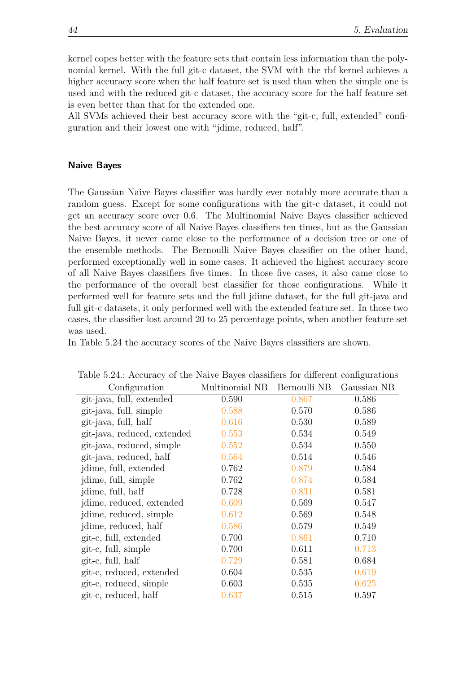kernel copes better with the feature sets that contain less information than the polynomial kernel. With the full git-c dataset, the SVM with the rbf kernel achieves a higher accuracy score when the half feature set is used than when the simple one is used and with the reduced git-c dataset, the accuracy score for the half feature set is even better than that for the extended one.

All SVMs achieved their best accuracy score with the "git-c, full, extended" configuration and their lowest one with "jdime, reduced, half".

#### **Naive Bayes**

The Gaussian Naive Bayes classifier was hardly ever notably more accurate than a random guess. Except for some configurations with the git-c dataset, it could not get an accuracy score over 0*.*6. The Multinomial Naive Bayes classifier achieved the best accuracy score of all Naive Bayes classifiers ten times, but as the Gaussian Naive Bayes, it never came close to the performance of a decision tree or one of the ensemble methods. The Bernoulli Naive Bayes classifier on the other hand, performed exceptionally well in some cases. It achieved the highest accuracy score of all Naive Bayes classifiers five times. In those five cases, it also came close to the performance of the overall best classifier for those configurations. While it performed well for feature sets and the full jdime dataset, for the full git-java and full git-c datasets, it only performed well with the extended feature set. In those two cases, the classifier lost around 20 to 25 percentage points, when another feature set was used.

In Table [5.24](#page-53-0) the accuracy scores of the Naive Bayes classifiers are shown.

| Configuration               | Multinomial NB | Bernoulli NB | Gaussian NB |
|-----------------------------|----------------|--------------|-------------|
| git-java, full, extended    | 0.590          | 0.867        | 0.586       |
| git-java, full, simple      | 0.588          | 0.570        | 0.586       |
| git-java, full, half        | 0.616          | 0.530        | 0.589       |
| git-java, reduced, extended | 0.553          | 0.534        | 0.549       |
| git-java, reduced, simple   | 0.552          | 0.534        | 0.550       |
| git-java, reduced, half     | 0.564          | 0.514        | 0.546       |
| jdime, full, extended       | 0.762          | 0.879        | 0.584       |
| jdime, full, simple         | 0.762          | 0.874        | 0.584       |
| jdime, full, half           | 0.728          | 0.831        | 0.581       |
| jdime, reduced, extended    | 0.609          | 0.569        | 0.547       |
| jdime, reduced, simple      | 0.612          | 0.569        | 0.548       |
| jdime, reduced, half        | 0.586          | 0.579        | 0.549       |
| git-c, full, extended       | 0.700          | 0.861        | 0.710       |
| git-c, full, simple         | 0.700          | 0.611        | 0.713       |
| git-c, full, half           | 0.729          | 0.581        | 0.684       |
| git-c, reduced, extended    | 0.604          | 0.535        | 0.619       |
| git-c, reduced, simple      | 0.603          | 0.535        | 0.625       |
| git-c, reduced, half        | 0.637          | 0.515        | 0.597       |

<span id="page-53-0"></span>Table 5.24.: Accuracy of the Naive Bayes classifiers for different configurations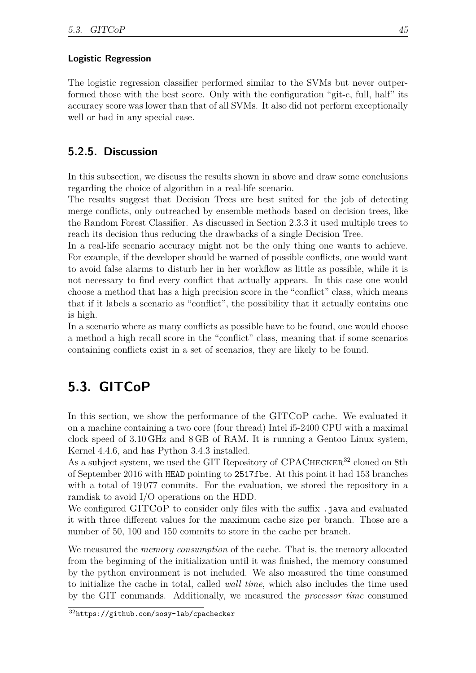#### **Logistic Regression**

The logistic regression classifier performed similar to the SVMs but never outperformed those with the best score. Only with the configuration "git-c, full, half" its accuracy score was lower than that of all SVMs. It also did not perform exceptionally well or bad in any special case.

### **5.2.5. Discussion**

In this subsection, we discuss the results shown in above and draw some conclusions regarding the choice of algorithm in a real-life scenario.

The results suggest that Decision Trees are best suited for the job of detecting merge conflicts, only outreached by ensemble methods based on decision trees, like the Random Forest Classifier. As discussed in Section [2.3.3](#page-20-0) it used multiple trees to reach its decision thus reducing the drawbacks of a single Decision Tree.

In a real-life scenario accuracy might not be the only thing one wants to achieve. For example, if the developer should be warned of possible conflicts, one would want to avoid false alarms to disturb her in her workflow as little as possible, while it is not necessary to find every conflict that actually appears. In this case one would choose a method that has a high precision score in the "conflict" class, which means that if it labels a scenario as "conflict", the possibility that it actually contains one is high.

In a scenario where as many conflicts as possible have to be found, one would choose a method a high recall score in the "conflict" class, meaning that if some scenarios containing conflicts exist in a set of scenarios, they are likely to be found.

## **5.3. GITCoP**

In this section, we show the performance of the GITCoP cache. We evaluated it on a machine containing a two core (four thread) Intel i5-2400 CPU with a maximal clock speed of 3*.*10 GHz and 8 GB of RAM. It is running a Gentoo Linux system, Kernel 4.4.6, and has Python 3.4.3 installed.

As a subject system, we used the GIT Repository of CPACHECKER<sup>[32](#page-54-0)</sup> cloned on 8th of September 2016 with HEAD pointing to 2517fbe. At this point it had 153 branches with a total of 19 077 commits. For the evaluation, we stored the repository in a ramdisk to avoid I/O operations on the HDD.

We configured GITCoP to consider only files with the suffix .java and evaluated it with three different values for the maximum cache size per branch. Those are a number of 50, 100 and 150 commits to store in the cache per branch.

We measured the *memory consumption* of the cache. That is, the memory allocated from the beginning of the initialization until it was finished, the memory consumed by the python environment is not included. We also measured the time consumed to initialize the cache in total, called *wall time*, which also includes the time used by the GIT commands. Additionally, we measured the *processor time* consumed

<span id="page-54-0"></span> $\overline{32}_{\text{https://github.com/sosy-lab/cpachecker}}$  $\overline{32}_{\text{https://github.com/sosy-lab/cpachecker}}$  $\overline{32}_{\text{https://github.com/sosy-lab/cpachecker}}$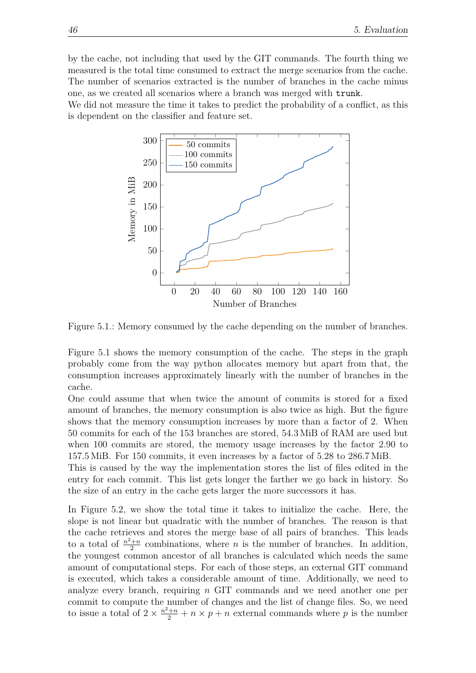by the cache, not including that used by the GIT commands. The fourth thing we measured is the total time consumed to extract the merge scenarios from the cache. The number of scenarios extracted is the number of branches in the cache minus one, as we created all scenarios where a branch was merged with trunk.

We did not measure the time it takes to predict the probability of a conflict, as this is dependent on the classifier and feature set.



<span id="page-55-0"></span>Figure 5.1.: Memory consumed by the cache depending on the number of branches.

Figure [5.1](#page-55-0) shows the memory consumption of the cache. The steps in the graph probably come from the way python allocates memory but apart from that, the consumption increases approximately linearly with the number of branches in the cache.

One could assume that when twice the amount of commits is stored for a fixed amount of branches, the memory consumption is also twice as high. But the figure shows that the memory consumption increases by more than a factor of 2. When 50 commits for each of the 153 branches are stored, 54*.*3 MiB of RAM are used but when 100 commits are stored, the memory usage increases by the factor 2*.*90 to 157*.*5 MiB. For 150 commits, it even increases by a factor of 5*.*28 to 286*.*7 MiB.

This is caused by the way the implementation stores the list of files edited in the entry for each commit. This list gets longer the farther we go back in history. So the size of an entry in the cache gets larger the more successors it has.

In Figure [5.2,](#page-56-0) we show the total time it takes to initialize the cache. Here, the slope is not linear but quadratic with the number of branches. The reason is that the cache retrieves and stores the merge base of all pairs of branches. This leads to a total of  $\frac{n^2+n}{2}$  $\frac{+n}{2}$  combinations, where *n* is the number of branches. In addition, the youngest common ancestor of all branches is calculated which needs the same amount of computational steps. For each of those steps, an external GIT command is executed, which takes a considerable amount of time. Additionally, we need to analyze every branch, requiring *n* GIT commands and we need another one per commit to compute the number of changes and the list of change files. So, we need to issue a total of  $2 \times \frac{n^2+n}{2} + n \times p + n$  external commands where *p* is the number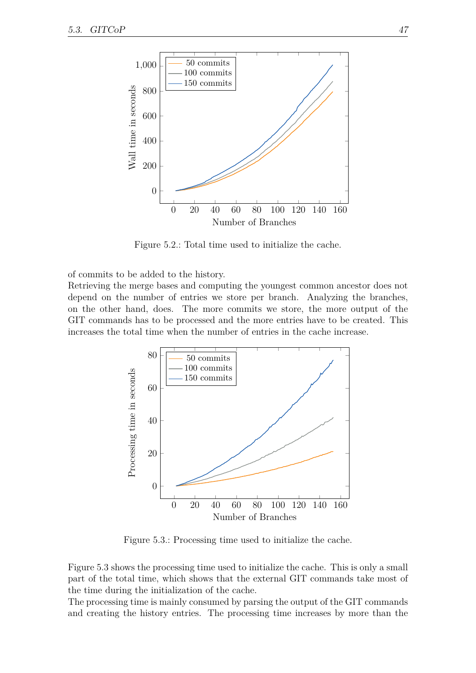

<span id="page-56-0"></span>Figure 5.2.: Total time used to initialize the cache.

of commits to be added to the history.

Retrieving the merge bases and computing the youngest common ancestor does not depend on the number of entries we store per branch. Analyzing the branches, on the other hand, does. The more commits we store, the more output of the GIT commands has to be processed and the more entries have to be created. This increases the total time when the number of entries in the cache increase.



<span id="page-56-1"></span>Figure 5.3.: Processing time used to initialize the cache.

Figure [5.3](#page-56-1) shows the processing time used to initialize the cache. This is only a small part of the total time, which shows that the external GIT commands take most of the time during the initialization of the cache.

The processing time is mainly consumed by parsing the output of the GIT commands and creating the history entries. The processing time increases by more than the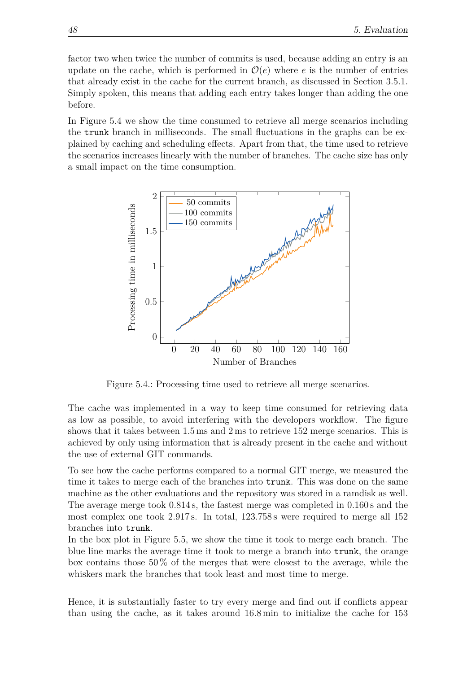factor two when twice the number of commits is used, because adding an entry is an update on the cache, which is performed in  $\mathcal{O}(e)$  where *e* is the number of entries that already exist in the cache for the current branch, as discussed in Section [3.5.1.](#page-30-0) Simply spoken, this means that adding each entry takes longer than adding the one before.

In Figure [5.4](#page-57-0) we show the time consumed to retrieve all merge scenarios including the trunk branch in milliseconds. The small fluctuations in the graphs can be explained by caching and scheduling effects. Apart from that, the time used to retrieve the scenarios increases linearly with the number of branches. The cache size has only a small impact on the time consumption.



<span id="page-57-0"></span>Figure 5.4.: Processing time used to retrieve all merge scenarios.

The cache was implemented in a way to keep time consumed for retrieving data as low as possible, to avoid interfering with the developers workflow. The figure shows that it takes between 1*.*5 ms and 2 ms to retrieve 152 merge scenarios. This is achieved by only using information that is already present in the cache and without the use of external GIT commands.

To see how the cache performs compared to a normal GIT merge, we measured the time it takes to merge each of the branches into trunk. This was done on the same machine as the other evaluations and the repository was stored in a ramdisk as well. The average merge took 0*.*814 s, the fastest merge was completed in 0*.*160 s and the most complex one took 2*.*917 s. In total, 123*.*758 s were required to merge all 152 branches into trunk.

In the box plot in Figure [5.5,](#page-58-0) we show the time it took to merge each branch. The blue line marks the average time it took to merge a branch into trunk, the orange box contains those  $50\%$  of the merges that were closest to the average, while the whiskers mark the branches that took least and most time to merge.

Hence, it is substantially faster to try every merge and find out if conflicts appear than using the cache, as it takes around 16*.*8 min to initialize the cache for 153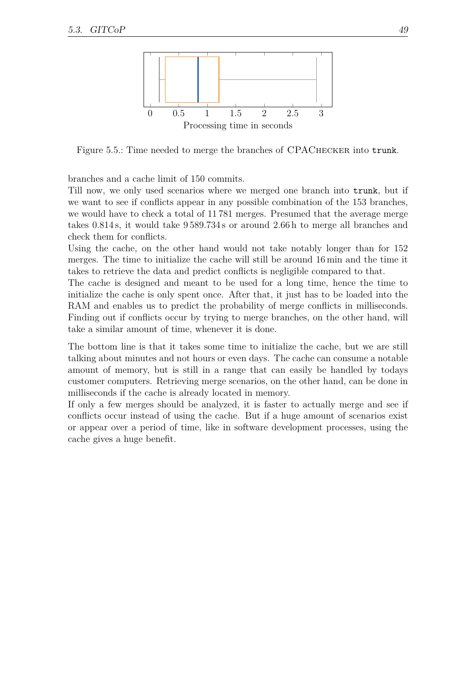

<span id="page-58-0"></span>Figure 5.5.: Time needed to merge the branches of CPACHECKER into trunk.

branches and a cache limit of 150 commits.

Till now, we only used scenarios where we merged one branch into trunk, but if we want to see if conflicts appear in any possible combination of the 153 branches, we would have to check a total of 11 781 merges. Presumed that the average merge takes 0*.*814 s, it would take 9 589*.*734 s or around 2*.*66 h to merge all branches and check them for conflicts.

Using the cache, on the other hand would not take notably longer than for 152 merges. The time to initialize the cache will still be around 16 min and the time it takes to retrieve the data and predict conflicts is negligible compared to that.

The cache is designed and meant to be used for a long time, hence the time to initialize the cache is only spent once. After that, it just has to be loaded into the RAM and enables us to predict the probability of merge conflicts in milliseconds. Finding out if conflicts occur by trying to merge branches, on the other hand, will take a similar amount of time, whenever it is done.

The bottom line is that it takes some time to initialize the cache, but we are still talking about minutes and not hours or even days. The cache can consume a notable amount of memory, but is still in a range that can easily be handled by todays customer computers. Retrieving merge scenarios, on the other hand, can be done in milliseconds if the cache is already located in memory.

If only a few merges should be analyzed, it is faster to actually merge and see if conflicts occur instead of using the cache. But if a huge amount of scenarios exist or appear over a period of time, like in software development processes, using the cache gives a huge benefit.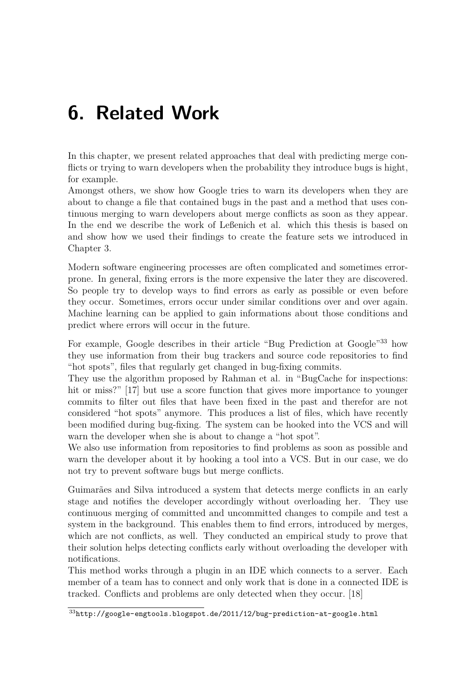# **6. Related Work**

In this chapter, we present related approaches that deal with predicting merge conflicts or trying to warn developers when the probability they introduce bugs is hight, for example.

Amongst others, we show how Google tries to warn its developers when they are about to change a file that contained bugs in the past and a method that uses continuous merging to warn developers about merge conflicts as soon as they appear. In the end we describe the work of Leßenich et al. which this thesis is based on and show how we used their findings to create the feature sets we introduced in Chapter [3.](#page-22-1)

Modern software engineering processes are often complicated and sometimes errorprone. In general, fixing errors is the more expensive the later they are discovered. So people try to develop ways to find errors as early as possible or even before they occur. Sometimes, errors occur under similar conditions over and over again. Machine learning can be applied to gain informations about those conditions and predict where errors will occur in the future.

For example, Google describes in their article "Bug Prediction at Google"<sup>[33](#page-60-0)</sup> how they use information from their bug trackers and source code repositories to find "hot spots", files that regularly get changed in bug-fixing commits.

They use the algorithm proposed by Rahman et al. in "BugCache for inspections: hit or miss?" [\[17\]](#page-75-0) but use a score function that gives more importance to younger commits to filter out files that have been fixed in the past and therefor are not considered "hot spots" anymore. This produces a list of files, which have recently been modified during bug-fixing. The system can be hooked into the VCS and will warn the developer when she is about to change a "hot spot".

We also use information from repositories to find problems as soon as possible and warn the developer about it by hooking a tool into a VCS. But in our case, we do not try to prevent software bugs but merge conflicts.

Guimarães and Silva introduced a system that detects merge conflicts in an early stage and notifies the developer accordingly without overloading her. They use continuous merging of committed and uncommitted changes to compile and test a system in the background. This enables them to find errors, introduced by merges, which are not conflicts, as well. They conducted an empirical study to prove that their solution helps detecting conflicts early without overloading the developer with notifications.

This method works through a plugin in an IDE which connects to a server. Each member of a team has to connect and only work that is done in a connected IDE is tracked. Conflicts and problems are only detected when they occur. [\[18\]](#page-75-1)

<span id="page-60-0"></span><sup>33</sup><http://google-engtools.blogspot.de/2011/12/bug-prediction-at-google.html>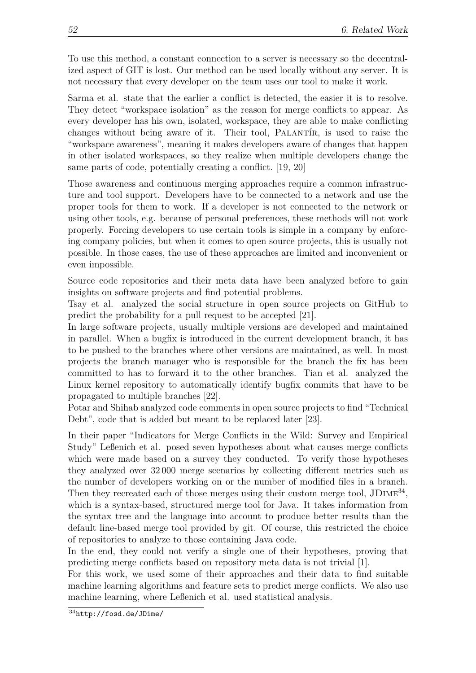To use this method, a constant connection to a server is necessary so the decentralized aspect of GIT is lost. Our method can be used locally without any server. It is not necessary that every developer on the team uses our tool to make it work.

Sarma et al. state that the earlier a conflict is detected, the easier it is to resolve. They detect "workspace isolation" as the reason for merge conflicts to appear. As every developer has his own, isolated, workspace, they are able to make conflicting changes without being aware of it. Their tool, PALANTIR, is used to raise the "workspace awareness", meaning it makes developers aware of changes that happen in other isolated workspaces, so they realize when multiple developers change the same parts of code, potentially creating a conflict. [\[19,](#page-75-2) [20\]](#page-75-3)

Those awareness and continuous merging approaches require a common infrastructure and tool support. Developers have to be connected to a network and use the proper tools for them to work. If a developer is not connected to the network or using other tools, e.g. because of personal preferences, these methods will not work properly. Forcing developers to use certain tools is simple in a company by enforcing company policies, but when it comes to open source projects, this is usually not possible. In those cases, the use of these approaches are limited and inconvenient or even impossible.

Source code repositories and their meta data have been analyzed before to gain insights on software projects and find potential problems.

Tsay et al. analyzed the social structure in open source projects on GitHub to predict the probability for a pull request to be accepted [\[21\]](#page-75-4).

In large software projects, usually multiple versions are developed and maintained in parallel. When a bugfix is introduced in the current development branch, it has to be pushed to the branches where other versions are maintained, as well. In most projects the branch manager who is responsible for the branch the fix has been committed to has to forward it to the other branches. Tian et al. analyzed the Linux kernel repository to automatically identify bugfix commits that have to be propagated to multiple branches [\[22\]](#page-75-5).

Potar and Shihab analyzed code comments in open source projects to find "Technical Debt", code that is added but meant to be replaced later [\[23\]](#page-75-6).

In their paper "Indicators for Merge Conflicts in the Wild: Survey and Empirical Study" Leßenich et al. posed seven hypotheses about what causes merge conflicts which were made based on a survey they conducted. To verify those hypotheses they analyzed over 32 000 merge scenarios by collecting different metrics such as the number of developers working on or the number of modified files in a branch. Then they recreated each of those merges using their custom merge tool, JDIME<sup>[34](#page-61-0)</sup>, which is a syntax-based, structured merge tool for Java. It takes information from the syntax tree and the language into account to produce better results than the default line-based merge tool provided by git. Of course, this restricted the choice of repositories to analyze to those containing Java code.

In the end, they could not verify a single one of their hypotheses, proving that predicting merge conflicts based on repository meta data is not trivial [\[1\]](#page-74-0).

For this work, we used some of their approaches and their data to find suitable machine learning algorithms and feature sets to predict merge conflicts. We also use machine learning, where Leßenich et al. used statistical analysis.

<span id="page-61-0"></span><sup>34</sup><http://fosd.de/JDime/>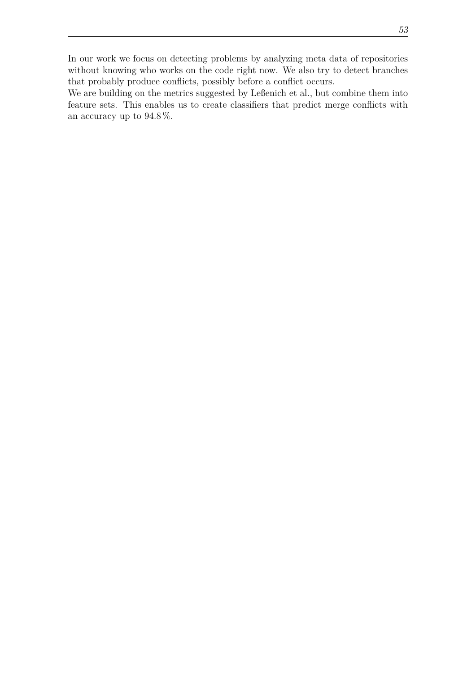In our work we focus on detecting problems by analyzing meta data of repositories without knowing who works on the code right now. We also try to detect branches that probably produce conflicts, possibly before a conflict occurs.

We are building on the metrics suggested by Leßenich et al., but combine them into feature sets. This enables us to create classifiers that predict merge conflicts with an accuracy up to 94*.*8 %.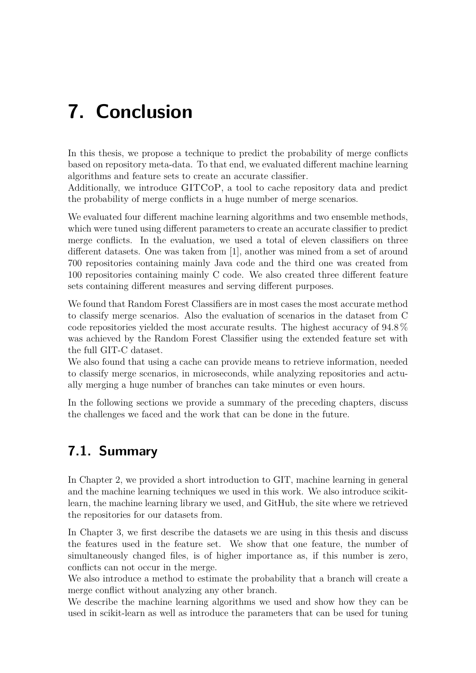# **7. Conclusion**

In this thesis, we propose a technique to predict the probability of merge conflicts based on repository meta-data. To that end, we evaluated different machine learning algorithms and feature sets to create an accurate classifier.

Additionally, we introduce GITCoP, a tool to cache repository data and predict the probability of merge conflicts in a huge number of merge scenarios.

We evaluated four different machine learning algorithms and two ensemble methods, which were tuned using different parameters to create an accurate classifier to predict merge conflicts. In the evaluation, we used a total of eleven classifiers on three different datasets. One was taken from [\[1\]](#page-74-0), another was mined from a set of around 700 repositories containing mainly Java code and the third one was created from 100 repositories containing mainly C code. We also created three different feature sets containing different measures and serving different purposes.

We found that Random Forest Classifiers are in most cases the most accurate method to classify merge scenarios. Also the evaluation of scenarios in the dataset from C code repositories yielded the most accurate results. The highest accuracy of 94*.*8 % was achieved by the Random Forest Classifier using the extended feature set with the full GIT-C dataset.

We also found that using a cache can provide means to retrieve information, needed to classify merge scenarios, in microseconds, while analyzing repositories and actually merging a huge number of branches can take minutes or even hours.

In the following sections we provide a summary of the preceding chapters, discuss the challenges we faced and the work that can be done in the future.

# **7.1. Summary**

In Chapter [2,](#page-14-0) we provided a short introduction to GIT, machine learning in general and the machine learning techniques we used in this work. We also introduce scikitlearn, the machine learning library we used, and GitHub, the site where we retrieved the repositories for our datasets from.

In Chapter [3,](#page-22-1) we first describe the datasets we are using in this thesis and discuss the features used in the feature set. We show that one feature, the number of simultaneously changed files, is of higher importance as, if this number is zero, conflicts can not occur in the merge.

We also introduce a method to estimate the probability that a branch will create a merge conflict without analyzing any other branch.

We describe the machine learning algorithms we used and show how they can be used in scikit-learn as well as introduce the parameters that can be used for tuning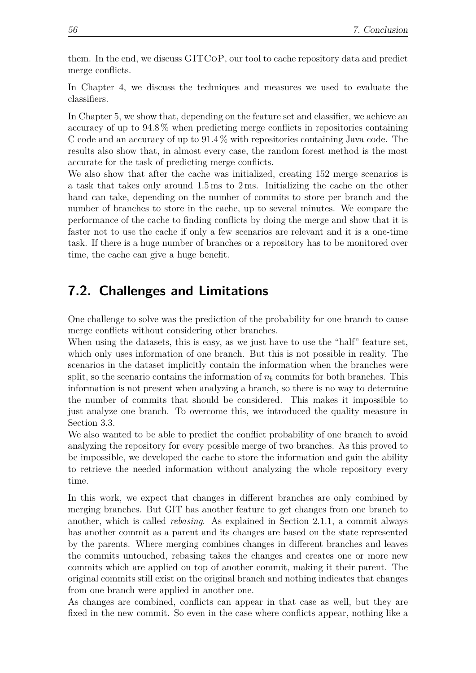them. In the end, we discuss GITCoP, our tool to cache repository data and predict merge conflicts.

In Chapter [4,](#page-34-0) we discuss the techniques and measures we used to evaluate the classifiers.

In Chapter [5,](#page-38-0) we show that, depending on the feature set and classifier, we achieve an accuracy of up to 94*.*8 % when predicting merge conflicts in repositories containing C code and an accuracy of up to 91*.*4 % with repositories containing Java code. The results also show that, in almost every case, the random forest method is the most accurate for the task of predicting merge conflicts.

We also show that after the cache was initialized, creating 152 merge scenarios is a task that takes only around 1*.*5 ms to 2 ms. Initializing the cache on the other hand can take, depending on the number of commits to store per branch and the number of branches to store in the cache, up to several minutes. We compare the performance of the cache to finding conflicts by doing the merge and show that it is faster not to use the cache if only a few scenarios are relevant and it is a one-time task. If there is a huge number of branches or a repository has to be monitored over time, the cache can give a huge benefit.

## **7.2. Challenges and Limitations**

One challenge to solve was the prediction of the probability for one branch to cause merge conflicts without considering other branches.

When using the datasets, this is easy, as we just have to use the "half" feature set, which only uses information of one branch. But this is not possible in reality. The scenarios in the dataset implicitly contain the information when the branches were split, so the scenario contains the information of  $n<sub>b</sub>$  commits for both branches. This information is not present when analyzing a branch, so there is no way to determine the number of commits that should be considered. This makes it impossible to just analyze one branch. To overcome this, we introduced the quality measure in Section [3.3.](#page-26-1)

We also wanted to be able to predict the conflict probability of one branch to avoid analyzing the repository for every possible merge of two branches. As this proved to be impossible, we developed the cache to store the information and gain the ability to retrieve the needed information without analyzing the whole repository every time.

In this work, we expect that changes in different branches are only combined by merging branches. But GIT has another feature to get changes from one branch to another, which is called *rebasing*. As explained in Section [2.1.1,](#page-14-1) a commit always has another commit as a parent and its changes are based on the state represented by the parents. Where merging combines changes in different branches and leaves the commits untouched, rebasing takes the changes and creates one or more new commits which are applied on top of another commit, making it their parent. The original commits still exist on the original branch and nothing indicates that changes from one branch were applied in another one.

As changes are combined, conflicts can appear in that case as well, but they are fixed in the new commit. So even in the case where conflicts appear, nothing like a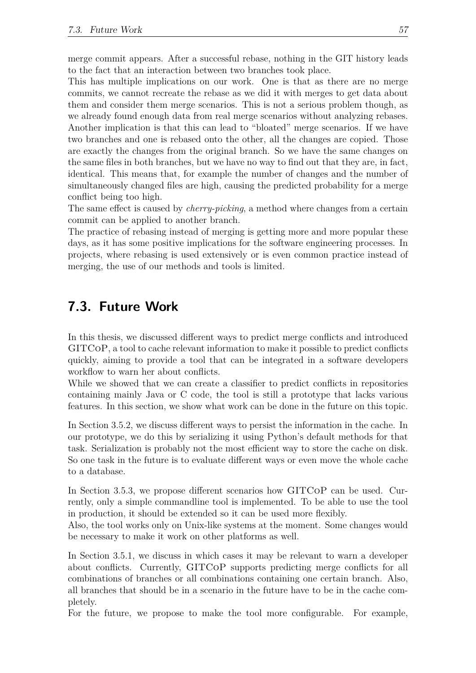merge commit appears. After a successful rebase, nothing in the GIT history leads to the fact that an interaction between two branches took place.

This has multiple implications on our work. One is that as there are no merge commits, we cannot recreate the rebase as we did it with merges to get data about them and consider them merge scenarios. This is not a serious problem though, as we already found enough data from real merge scenarios without analyzing rebases. Another implication is that this can lead to "bloated" merge scenarios. If we have two branches and one is rebased onto the other, all the changes are copied. Those are exactly the changes from the original branch. So we have the same changes on the same files in both branches, but we have no way to find out that they are, in fact, identical. This means that, for example the number of changes and the number of simultaneously changed files are high, causing the predicted probability for a merge conflict being too high.

The same effect is caused by *cherry-picking*, a method where changes from a certain commit can be applied to another branch.

The practice of rebasing instead of merging is getting more and more popular these days, as it has some positive implications for the software engineering processes. In projects, where rebasing is used extensively or is even common practice instead of merging, the use of our methods and tools is limited.

## **7.3. Future Work**

In this thesis, we discussed different ways to predict merge conflicts and introduced GITCoP, a tool to cache relevant information to make it possible to predict conflicts quickly, aiming to provide a tool that can be integrated in a software developers workflow to warn her about conflicts.

While we showed that we can create a classifier to predict conflicts in repositories containing mainly Java or C code, the tool is still a prototype that lacks various features. In this section, we show what work can be done in the future on this topic.

In Section [3.5.2,](#page-32-0) we discuss different ways to persist the information in the cache. In our prototype, we do this by serializing it using Python's default methods for that task. Serialization is probably not the most efficient way to store the cache on disk. So one task in the future is to evaluate different ways or even move the whole cache to a database.

In Section [3.5.3,](#page-33-0) we propose different scenarios how GITCoP can be used. Currently, only a simple commandline tool is implemented. To be able to use the tool in production, it should be extended so it can be used more flexibly.

Also, the tool works only on Unix-like systems at the moment. Some changes would be necessary to make it work on other platforms as well.

In Section [3.5.1,](#page-30-0) we discuss in which cases it may be relevant to warn a developer about conflicts. Currently, GITCoP supports predicting merge conflicts for all combinations of branches or all combinations containing one certain branch. Also, all branches that should be in a scenario in the future have to be in the cache completely.

For the future, we propose to make the tool more configurable. For example,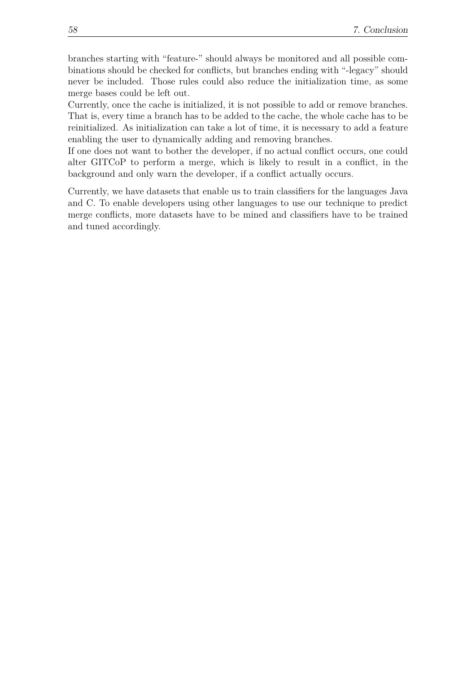branches starting with "feature-" should always be monitored and all possible combinations should be checked for conflicts, but branches ending with "-legacy" should never be included. Those rules could also reduce the initialization time, as some merge bases could be left out.

Currently, once the cache is initialized, it is not possible to add or remove branches. That is, every time a branch has to be added to the cache, the whole cache has to be reinitialized. As initialization can take a lot of time, it is necessary to add a feature enabling the user to dynamically adding and removing branches.

If one does not want to bother the developer, if no actual conflict occurs, one could alter GITCoP to perform a merge, which is likely to result in a conflict, in the background and only warn the developer, if a conflict actually occurs.

Currently, we have datasets that enable us to train classifiers for the languages Java and C. To enable developers using other languages to use our technique to predict merge conflicts, more datasets have to be mined and classifiers have to be trained and tuned accordingly.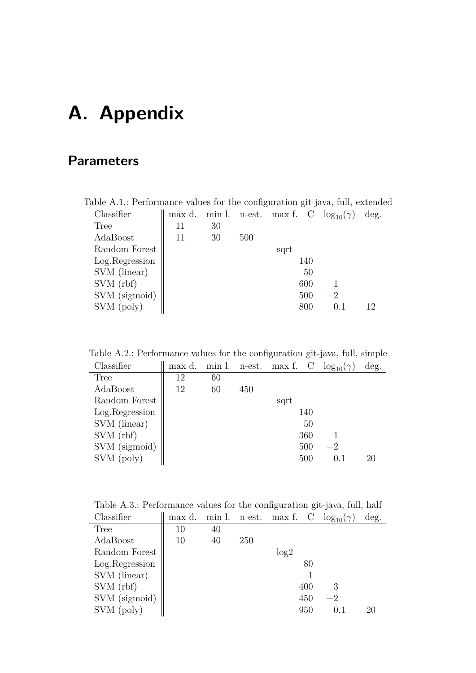# **A. Appendix**

# <span id="page-68-0"></span>**Parameters**

| Classifier      | max d. |    |     | min l. n-est. max f. C | $\log_{10}(\gamma)$ | deg. |
|-----------------|--------|----|-----|------------------------|---------------------|------|
| <b>Tree</b>     | 11     | 30 |     |                        |                     |      |
| AdaBoost        | 11     | 30 | 500 |                        |                     |      |
| Random Forest   |        |    |     | sqrt                   |                     |      |
| Log. Regression |        |    |     | 140                    |                     |      |
| SVM (linear)    |        |    |     | 50                     |                     |      |
| SVM (rbf)       |        |    |     | 600                    |                     |      |
| SVM (sigmoid)   |        |    |     | 500                    | $-2$                |      |
| SVM (poly)      |        |    |     | 800                    | 0.1                 | 12   |

Table A.1.: Performance values for the configuration git-java, full, extended

Table A.2.: Performance values for the configuration git-java, full, simple

| Classifier      | max d. | min l. | n-est. | max f. C |     | $\log_{10}(\gamma)$ | deg. |
|-----------------|--------|--------|--------|----------|-----|---------------------|------|
| <b>Tree</b>     | 12     | 60     |        |          |     |                     |      |
| AdaBoost        | 12     | 60     | 450    |          |     |                     |      |
| Random Forest   |        |        |        | sqrt     |     |                     |      |
| Log. Regression |        |        |        |          | 140 |                     |      |
| SVM (linear)    |        |        |        |          | 50  |                     |      |
| SVM(rbf)        |        |        |        |          | 360 |                     |      |
| SVM (sigmoid)   |        |        |        |          | 500 | $-2$                |      |
| SVM (poly)      |        |        |        |          | 500 | 0.1                 | 20   |

Table A.3.: Performance values for the configuration git-java, full, half

| Classifier      | max d. |    |            |      |     | min l. n-est. max f. C $log_{10}(\gamma)$ | deg. |
|-----------------|--------|----|------------|------|-----|-------------------------------------------|------|
| Tree            | 10     | 40 |            |      |     |                                           |      |
| AdaBoost        | 10     | 40 | <b>250</b> |      |     |                                           |      |
| Random Forest   |        |    |            | log2 |     |                                           |      |
| Log. Regression |        |    |            |      | 80  |                                           |      |
| SVM (linear)    |        |    |            |      |     |                                           |      |
| SVM(rbf)        |        |    |            |      | 400 | 3                                         |      |
| SVM (sigmoid)   |        |    |            |      | 450 | -2                                        |      |
| SVM (poly)      |        |    |            |      | 950 | (0,1)                                     | 20   |
|                 |        |    |            |      |     |                                           |      |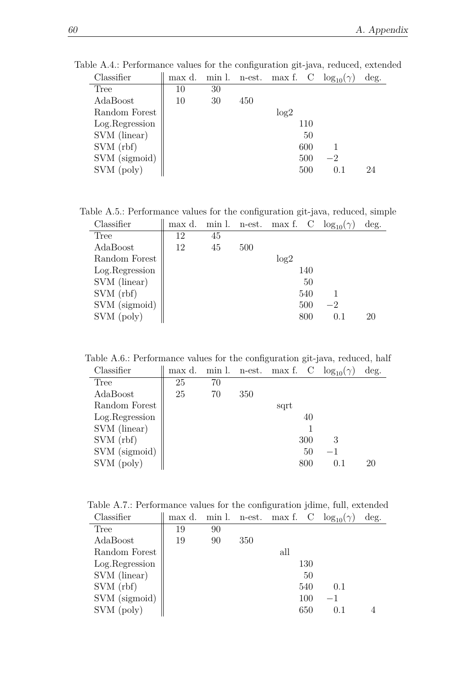| Classifier     | max d. | min l. |     | n-est. max f. C |     | $\log_{10}(\gamma)$ | deg. |
|----------------|--------|--------|-----|-----------------|-----|---------------------|------|
| <b>Tree</b>    | $10\,$ | 30     |     |                 |     |                     |      |
| AdaBoost       | 10     | 30     | 450 |                 |     |                     |      |
| Random Forest  |        |        |     | log2            |     |                     |      |
| Log.Regression |        |        |     |                 | 110 |                     |      |
| SVM (linear)   |        |        |     |                 | 50  |                     |      |
| SVM(rbf)       |        |        |     |                 | 600 |                     |      |
| SVM (sigmoid)  |        |        |     |                 | 500 | -2                  |      |
| SVM (poly)     |        |        |     |                 | 500 | በ 1                 | 94   |

Table A.4.: Performance values for the configuration git-java, reduced, extended

Table A.5.: Performance values for the configuration git-java, reduced, simple Classifier  $\|\text{max d. min l. n-est. max f. C log<sub>10</sub>( $\gamma$ ) deg.$ 

| $\bigcup$ Labbilityi | mas u. | 111111 1. | $11 - C50$ | $\max$ 1. |     | 19510(1) | uvz. |
|----------------------|--------|-----------|------------|-----------|-----|----------|------|
| Tree                 | 12     | 45        |            |           |     |          |      |
| AdaBoost             | 12     | 45        | 500        |           |     |          |      |
| Random Forest        |        |           |            | log2      |     |          |      |
| Log.Regression       |        |           |            |           | 140 |          |      |
| SVM (linear)         |        |           |            |           | 50  |          |      |
| SVM (rbf)            |        |           |            |           | 540 |          |      |
| SVM (sigmoid)        |        |           |            |           | 500 | $-2$     |      |
| SVM (poly)           |        |           |            |           | 800 | 0.1      | 20   |
|                      |        |           |            |           |     |          |      |

Table A.6.: Performance values for the configuration git-java, reduced, half

| Classifier      | max d. | min l. | n-est. | max f. | $\mathbf C$ | $\log_{10}(\gamma)$ | deg. |
|-----------------|--------|--------|--------|--------|-------------|---------------------|------|
| <b>Tree</b>     | 25     | 70     |        |        |             |                     |      |
| AdaBoost        | 25     | 70     | 350    |        |             |                     |      |
| Random Forest   |        |        |        | sqrt   |             |                     |      |
| Log. Regression |        |        |        |        | 40          |                     |      |
| SVM (linear)    |        |        |        |        |             |                     |      |
| SVM (rbf)       |        |        |        |        | 300         | 3                   |      |
| SVM (sigmoid)   |        |        |        |        | 50          |                     |      |
| SVM (poly)      |        |        |        |        | 800         | 0.1                 | 20   |

Table A.7.: Performance values for the configuration jdime, full, extended

| Classifier     | max d. | min l. |     |     |     | n-est. max f. C $log_{10}(\gamma)$ | deg. |
|----------------|--------|--------|-----|-----|-----|------------------------------------|------|
| <b>Tree</b>    | 19     | 90     |     |     |     |                                    |      |
| AdaBoost       | 19     | 90     | 350 |     |     |                                    |      |
| Random Forest  |        |        |     | all |     |                                    |      |
| Log.Regression |        |        |     |     | 130 |                                    |      |
| SVM (linear)   |        |        |     |     | 50  |                                    |      |
| SVM(rbf)       |        |        |     |     | 540 | 0.1                                |      |
| SVM (sigmoid)  |        |        |     |     | 100 | $-1$                               |      |
| SVM (poly)     |        |        |     |     | 650 |                                    |      |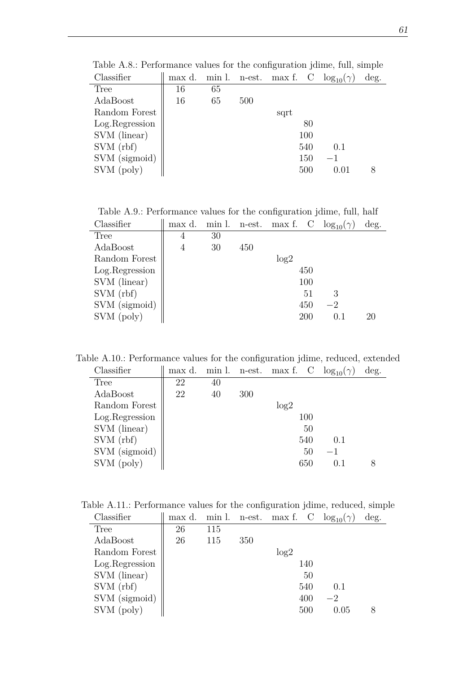| Classifier     | max d. |    |     |      |     | min l. n-est. max f. C $log_{10}(\gamma)$ | deg. |
|----------------|--------|----|-----|------|-----|-------------------------------------------|------|
| Tree           | 16     | 65 |     |      |     |                                           |      |
| AdaBoost       | 16     | 65 | 500 |      |     |                                           |      |
| Random Forest  |        |    |     | sqrt |     |                                           |      |
| Log.Regression |        |    |     |      | 80  |                                           |      |
| SVM (linear)   |        |    |     |      | 100 |                                           |      |
| SVM (rbf)      |        |    |     |      | 540 | 0.1                                       |      |
| SVM (sigmoid)  |        |    |     |      | 150 | $-1$                                      |      |
| SVM (poly)     |        |    |     |      | 500 | (0.01)                                    |      |

Table A.8.: Performance values for the configuration jdime, full, simple

Table A.9.: Performance values for the configuration jdime, full, half Classifier  $\|\text{max d. min l. n-est. max f. C\_\text{log}_{10}(\gamma) \text{ deg.}}\|$ 

| $\sim$ iuduliitu |   | ****** ** | $\mathbf{u}$ over | 111072 T. |     | 19510177 | $uv_{\mathcal{D}}$ |
|------------------|---|-----------|-------------------|-----------|-----|----------|--------------------|
| <b>Tree</b>      | 4 | 30        |                   |           |     |          |                    |
| AdaBoost         | 4 | 30        | 450               |           |     |          |                    |
| Random Forest    |   |           |                   | log2      |     |          |                    |
| Log.Regression   |   |           |                   |           | 450 |          |                    |
| SVM (linear)     |   |           |                   |           | 100 |          |                    |
| SVM(rbf)         |   |           |                   |           | 51  |          |                    |
| SVM (sigmoid)    |   |           |                   |           | 450 | $-2$     |                    |
| SVM (poly)       |   |           |                   |           | 200 | 0.1      | 20                 |
|                  |   |           |                   |           |     |          |                    |

Table A.10.: Performance values for the configuration jdime, reduced, extended

| max d. | min l. | n-est. | max f. |    | $\log_{10}(\gamma)$ | deg. |
|--------|--------|--------|--------|----|---------------------|------|
| 22     | 40     |        |        |    |                     |      |
| 22     | 40     | 300    |        |    |                     |      |
|        |        |        | log2   |    |                     |      |
|        |        |        |        |    |                     |      |
|        |        |        |        | 50 |                     |      |
|        |        |        |        |    | 0.1                 |      |
|        |        |        |        | 50 | $-1$                |      |
|        |        |        |        |    | 0.1                 |      |
|        |        |        |        |    | 100<br>540<br>650   |      |

Table A.11.: Performance values for the configuration jdime, reduced, simple

| Classifier     | max d. | min l. |     | n-est. max f. C |     | $\log_{10}(\gamma)$ | deg. |
|----------------|--------|--------|-----|-----------------|-----|---------------------|------|
| Tree           | 26     | 115    |     |                 |     |                     |      |
| AdaBoost       | 26     | 115    | 350 |                 |     |                     |      |
| Random Forest  |        |        |     | log2            |     |                     |      |
| Log.Regression |        |        |     |                 | 140 |                     |      |
| SVM (linear)   |        |        |     |                 | 50  |                     |      |
| SVM (rbf)      |        |        |     |                 | 540 | 0.1                 |      |
| SVM (sigmoid)  |        |        |     |                 | 400 | $-2$                |      |
| SVM (poly)     |        |        |     |                 | 500 | 0.05                |      |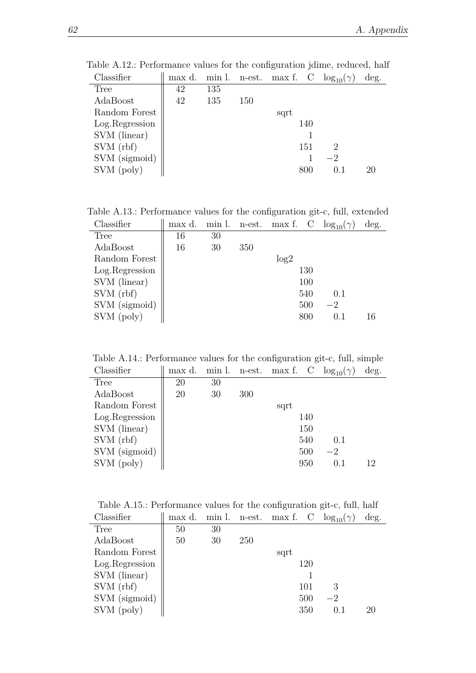| Classifier      | max d. | min l. |     | n-est. max f. C |     | $\log_{10}(\gamma)$ | deg. |
|-----------------|--------|--------|-----|-----------------|-----|---------------------|------|
| <b>Tree</b>     | 42     | 135    |     |                 |     |                     |      |
| AdaBoost        | 42     | 135    | 150 |                 |     |                     |      |
| Random Forest   |        |        |     | sqrt            |     |                     |      |
| Log. Regression |        |        |     |                 | 140 |                     |      |
| SVM (linear)    |        |        |     |                 |     |                     |      |
| SVM (rbf)       |        |        |     |                 | 151 | 2                   |      |
| SVM (sigmoid)   |        |        |     |                 |     | $-2$                |      |
| SVM (poly)      |        |        |     |                 | 800 | 0.1                 | 20   |

Table A.12.: Performance values for the configuration jdime, reduced, half

Table A.13.: Performance values for the configuration git-c, full, extended Classifier  $\parallel$  max d. min l. n-est. max f. C  $log_{10}(\gamma)$  deg. | max d. min l. n-est. max f.  $\underline{C \log_{10}(\gamma)}$  deg.

| -----------    |    |    | 11 V.V. | ****** ** | $\checkmark$ | 10111 | $-5$ |
|----------------|----|----|---------|-----------|--------------|-------|------|
| Tree           | 16 | 30 |         |           |              |       |      |
| AdaBoost       | 16 | 30 | 350     |           |              |       |      |
| Random Forest  |    |    |         | log2      |              |       |      |
| Log.Regression |    |    |         |           | 130          |       |      |
| SVM (linear)   |    |    |         |           | 100          |       |      |
| SVM (rbf)      |    |    |         |           | 540          | 0.1   |      |
| SVM (sigmoid)  |    |    |         |           | 500          | $-2$  |      |
| SVM (poly)     |    |    |         |           | 800          | 0.1   | 16   |
|                |    |    |         |           |              |       |      |

Table A.14.: Performance values for the configuration git-c, full, simple

| Classifier     | max d. | min l. |     | n-est. max f. C |     | $\log_{10}(\gamma)$ | deg. |
|----------------|--------|--------|-----|-----------------|-----|---------------------|------|
| Tree           | 20     | 30     |     |                 |     |                     |      |
| AdaBoost       | 20     | 30     | 300 |                 |     |                     |      |
| Random Forest  |        |        |     | sqrt            |     |                     |      |
| Log.Regression |        |        |     |                 | 140 |                     |      |
| SVM (linear)   |        |        |     |                 | 150 |                     |      |
| SVM(rbf)       |        |        |     |                 | 540 | 0.1                 |      |
| SVM (sigmoid)  |        |        |     |                 | 500 | $-2$                |      |
| SVM (poly)     |        |        |     |                 | 950 | (0.1)               | 12   |

Table A.15.: Performance values for the configuration git-c, full, half<br>Classifier

| Classifier     | max d. |    |            |      |     | min l. n-est. max f. C $log_{10}(\gamma)$ | deg. |
|----------------|--------|----|------------|------|-----|-------------------------------------------|------|
| Tree           | 50     | 30 |            |      |     |                                           |      |
| AdaBoost       | 50     | 30 | <b>250</b> |      |     |                                           |      |
| Random Forest  |        |    |            | sqrt |     |                                           |      |
| Log.Regression |        |    |            |      | 120 |                                           |      |
| SVM (linear)   |        |    |            |      |     |                                           |      |
| SVM(rbf)       |        |    |            |      | 101 | 3                                         |      |
| SVM (sigmoid)  |        |    |            |      | 500 | $-2$                                      |      |
| SVM (poly)     |        |    |            |      | 350 | 0.1                                       | 20   |
|                |        |    |            |      |     |                                           |      |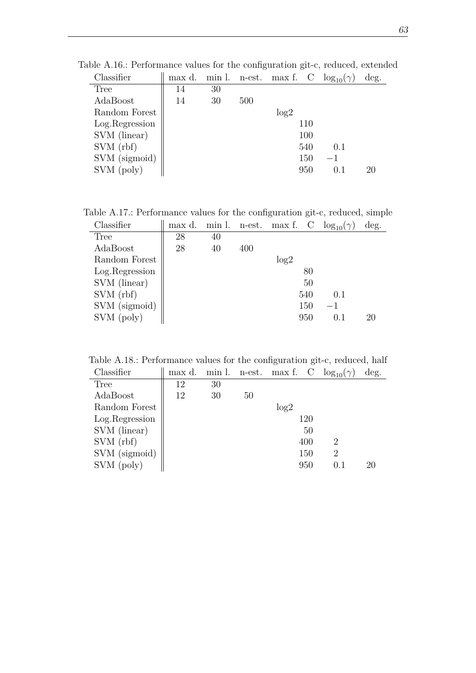| Classifier     | max d. |    |     | min l. n-est. max f. C $log_{10}(\gamma)$ |     |         | deg. |
|----------------|--------|----|-----|-------------------------------------------|-----|---------|------|
| <b>Tree</b>    | 14     | 30 |     |                                           |     |         |      |
| AdaBoost       | 14     | 30 | 500 |                                           |     |         |      |
| Random Forest  |        |    |     | log2                                      |     |         |      |
| Log.Regression |        |    |     |                                           | 110 |         |      |
| SVM (linear)   |        |    |     |                                           | 100 |         |      |
| SVM(rbf)       |        |    |     |                                           | 540 | 0.1     |      |
| SVM (sigmoid)  |        |    |     |                                           | 150 | $^{-1}$ |      |
| SVM (poly)     |        |    |     |                                           | 950 | () 1    | 20   |

Table A.16.: Performance values for the configuration git-c, reduced, extended

Table A.17.: Performance values for the configuration git-c, reduced, simple

| Classifier     | max d. | min l. | n-est. | max f. |     | $\log_{10}(\gamma)$ | deg. |
|----------------|--------|--------|--------|--------|-----|---------------------|------|
| Tree           | 28     | 40     |        |        |     |                     |      |
| AdaBoost       | 28     | 40     | 400    |        |     |                     |      |
| Random Forest  |        |        |        | log2   |     |                     |      |
| Log.Regression |        |        |        |        | 80  |                     |      |
| SVM (linear)   |        |        |        |        | 50  |                     |      |
| SVM (rbf)      |        |        |        |        | 540 | 0.1                 |      |
| SVM (sigmoid)  |        |        |        |        | 150 | $-1$                |      |
| SVM (poly)     |        |        |        |        | 950 | 0.1                 | 20   |
|                |        |        |        |        |     |                     |      |

Table A.18.: Performance values for the configuration git-c, reduced, half

| Classifier     | max d. | min l. | n-est. |      |     | max f. C $\log_{10}(\gamma)$ | deg. |
|----------------|--------|--------|--------|------|-----|------------------------------|------|
| <b>Tree</b>    | 12     | 30     |        |      |     |                              |      |
| AdaBoost       | 12     | 30     | 50     |      |     |                              |      |
| Random Forest  |        |        |        | log2 |     |                              |      |
| Log.Regression |        |        |        |      | 120 |                              |      |
| SVM (linear)   |        |        |        |      | 50  |                              |      |
| SVM(rbf)       |        |        |        |      | 400 | 2                            |      |
| SVM (sigmoid)  |        |        |        |      | 150 | $\overline{2}$               |      |
| SVM (poly)     |        |        |        |      | 950 |                              | 20   |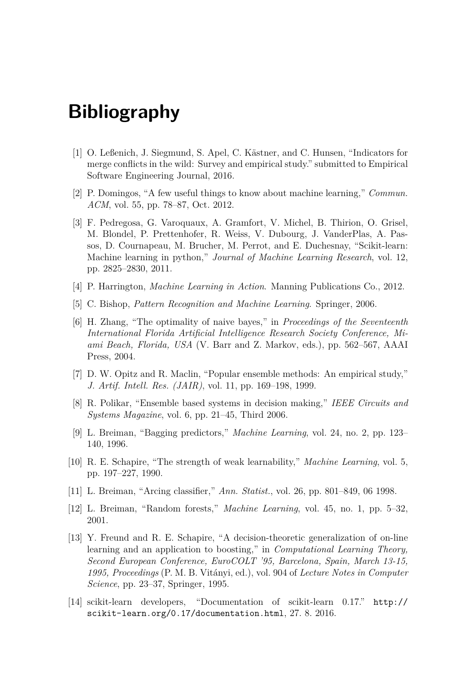## **Bibliography**

- [1] O. Leßenich, J. Siegmund, S. Apel, C. Kästner, and C. Hunsen, "Indicators for merge conflicts in the wild: Survey and empirical study." submitted to Empirical Software Engineering Journal, 2016.
- [2] P. Domingos, "A few useful things to know about machine learning," *Commun. ACM*, vol. 55, pp. 78–87, Oct. 2012.
- [3] F. Pedregosa, G. Varoquaux, A. Gramfort, V. Michel, B. Thirion, O. Grisel, M. Blondel, P. Prettenhofer, R. Weiss, V. Dubourg, J. VanderPlas, A. Passos, D. Cournapeau, M. Brucher, M. Perrot, and E. Duchesnay, "Scikit-learn: Machine learning in python," *Journal of Machine Learning Research*, vol. 12, pp. 2825–2830, 2011.
- [4] P. Harrington, *Machine Learning in Action*. Manning Publications Co., 2012.
- [5] C. Bishop, *Pattern Recognition and Machine Learning*. Springer, 2006.
- [6] H. Zhang, "The optimality of naive bayes," in *Proceedings of the Seventeenth International Florida Artificial Intelligence Research Society Conference, Miami Beach, Florida, USA* (V. Barr and Z. Markov, eds.), pp. 562–567, AAAI Press, 2004.
- [7] D. W. Opitz and R. Maclin, "Popular ensemble methods: An empirical study," *J. Artif. Intell. Res. (JAIR)*, vol. 11, pp. 169–198, 1999.
- [8] R. Polikar, "Ensemble based systems in decision making," *IEEE Circuits and Systems Magazine*, vol. 6, pp. 21–45, Third 2006.
- [9] L. Breiman, "Bagging predictors," *Machine Learning*, vol. 24, no. 2, pp. 123– 140, 1996.
- [10] R. E. Schapire, "The strength of weak learnability," *Machine Learning*, vol. 5, pp. 197–227, 1990.
- [11] L. Breiman, "Arcing classifier," *Ann. Statist.*, vol. 26, pp. 801–849, 06 1998.
- [12] L. Breiman, "Random forests," *Machine Learning*, vol. 45, no. 1, pp. 5–32, 2001.
- [13] Y. Freund and R. E. Schapire, "A decision-theoretic generalization of on-line learning and an application to boosting," in *Computational Learning Theory, Second European Conference, EuroCOLT '95, Barcelona, Spain, March 13-15, 1995, Proceedings* (P. M. B. Vitányi, ed.), vol. 904 of *Lecture Notes in Computer Science*, pp. 23–37, Springer, 1995.
- [14] scikit-learn developers, "Documentation of scikit-learn 0.17." [http://](http://scikit-learn.org/0.17/documentation.html) [scikit-learn.org/0.17/documentation.html](http://scikit-learn.org/0.17/documentation.html), 27. 8. 2016.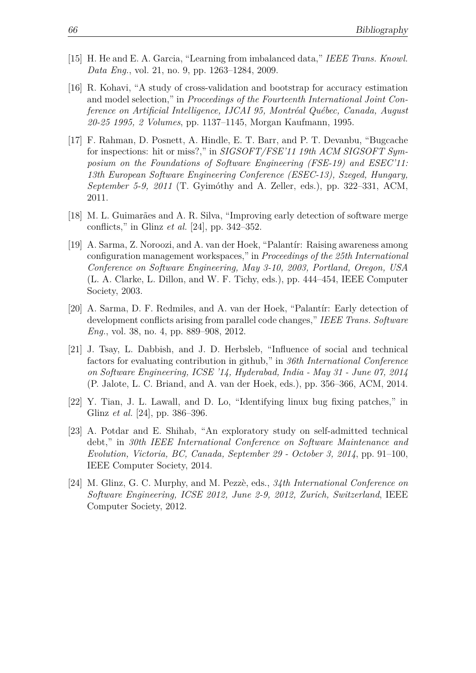- [15] H. He and E. A. Garcia, "Learning from imbalanced data," *IEEE Trans. Knowl. Data Eng.*, vol. 21, no. 9, pp. 1263–1284, 2009.
- [16] R. Kohavi, "A study of cross-validation and bootstrap for accuracy estimation and model selection," in *Proceedings of the Fourteenth International Joint Conference on Artificial Intelligence, IJCAI 95, Montréal Québec, Canada, August 20-25 1995, 2 Volumes*, pp. 1137–1145, Morgan Kaufmann, 1995.
- [17] F. Rahman, D. Posnett, A. Hindle, E. T. Barr, and P. T. Devanbu, "Bugcache for inspections: hit or miss?," in *SIGSOFT/FSE'11 19th ACM SIGSOFT Symposium on the Foundations of Software Engineering (FSE-19) and ESEC'11: 13th European Software Engineering Conference (ESEC-13), Szeged, Hungary, September 5-9, 2011* (T. Gyimóthy and A. Zeller, eds.), pp. 322–331, ACM, 2011.
- [18] M. L. Guimarães and A. R. Silva, "Improving early detection of software merge conflicts," in Glinz *et al.* [\[24\]](#page-75-0), pp. 342–352.
- [19] A. Sarma, Z. Noroozi, and A. van der Hoek, "Palantír: Raising awareness among configuration management workspaces," in *Proceedings of the 25th International Conference on Software Engineering, May 3-10, 2003, Portland, Oregon, USA* (L. A. Clarke, L. Dillon, and W. F. Tichy, eds.), pp. 444–454, IEEE Computer Society, 2003.
- [20] A. Sarma, D. F. Redmiles, and A. van der Hoek, "Palantír: Early detection of development conflicts arising from parallel code changes," *IEEE Trans. Software Eng.*, vol. 38, no. 4, pp. 889–908, 2012.
- [21] J. Tsay, L. Dabbish, and J. D. Herbsleb, "Influence of social and technical factors for evaluating contribution in github," in *36th International Conference on Software Engineering, ICSE '14, Hyderabad, India - May 31 - June 07, 2014* (P. Jalote, L. C. Briand, and A. van der Hoek, eds.), pp. 356–366, ACM, 2014.
- [22] Y. Tian, J. L. Lawall, and D. Lo, "Identifying linux bug fixing patches," in Glinz *et al.* [\[24\]](#page-75-0), pp. 386–396.
- [23] A. Potdar and E. Shihab, "An exploratory study on self-admitted technical debt," in *30th IEEE International Conference on Software Maintenance and Evolution, Victoria, BC, Canada, September 29 - October 3, 2014*, pp. 91–100, IEEE Computer Society, 2014.
- <span id="page-75-0"></span>[24] M. Glinz, G. C. Murphy, and M. Pezzè, eds., *34th International Conference on Software Engineering, ICSE 2012, June 2-9, 2012, Zurich, Switzerland*, IEEE Computer Society, 2012.